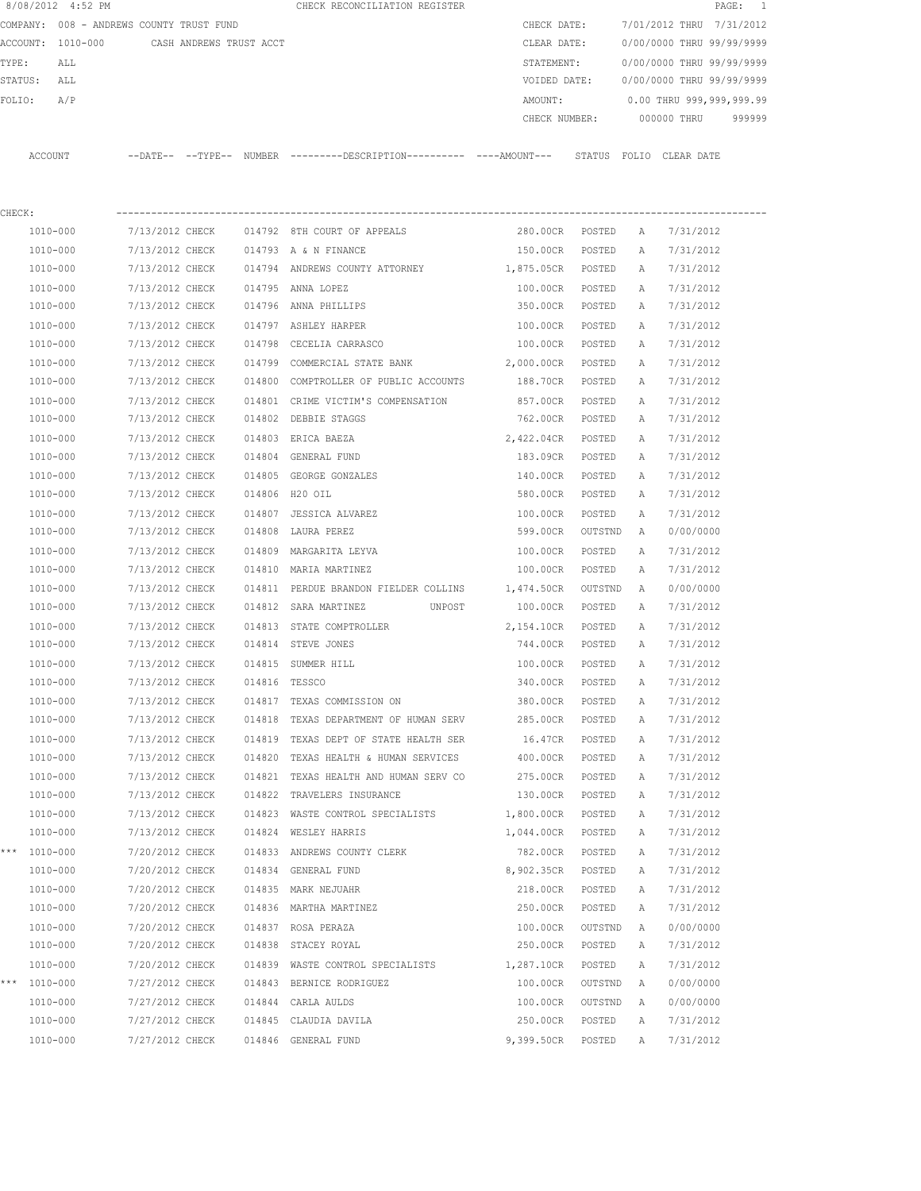|                  | 8/08/2012 4:52 PM                        |                 |                         |               | CHECK RECONCILIATION REGISTER                                                                |                      |         |   |                           | PAGE: 1 |
|------------------|------------------------------------------|-----------------|-------------------------|---------------|----------------------------------------------------------------------------------------------|----------------------|---------|---|---------------------------|---------|
|                  | COMPANY: 008 - ANDREWS COUNTY TRUST FUND |                 |                         |               |                                                                                              | CHECK DATE:          |         |   | 7/01/2012 THRU 7/31/2012  |         |
| ACCOUNT:         | 1010-000                                 |                 | CASH ANDREWS TRUST ACCT |               |                                                                                              | CLEAR DATE:          |         |   | 0/00/0000 THRU 99/99/9999 |         |
| TYPE:            | ALL                                      |                 |                         |               |                                                                                              | STATEMENT:           |         |   | 0/00/0000 THRU 99/99/9999 |         |
| STATUS:          | ALL                                      |                 |                         |               |                                                                                              | VOIDED DATE:         |         |   | 0/00/0000 THRU 99/99/9999 |         |
| FOLIO:           | A/P                                      |                 |                         |               |                                                                                              | AMOUNT:              |         |   | 0.00 THRU 999,999,999.99  |         |
|                  |                                          |                 |                         |               |                                                                                              | CHECK NUMBER:        |         |   | 000000 THRU               | 999999  |
|                  | ACCOUNT                                  |                 |                         |               | --DATE-- --TYPE-- NUMBER ---------DESCRIPTION---------- ----AMOUNT--- STATUS FOLIO CLEARDATE |                      |         |   |                           |         |
| CHECK:           |                                          |                 |                         |               |                                                                                              |                      |         |   |                           |         |
|                  | 1010-000                                 | 7/13/2012 CHECK |                         |               | 014792 8TH COURT OF APPEALS                                                                  | 280.00CR POSTED      |         | A | 7/31/2012                 |         |
|                  | 1010-000                                 | 7/13/2012 CHECK |                         |               | 014793 A & N FINANCE                                                                         | 150.00CR             | POSTED  | Α | 7/31/2012                 |         |
|                  | 1010-000                                 | 7/13/2012 CHECK |                         |               | 014794 ANDREWS COUNTY ATTORNEY                                                               | 1,875.05CR           | POSTED  | Α | 7/31/2012                 |         |
|                  | 1010-000                                 | 7/13/2012 CHECK |                         | 014795        | ANNA LOPEZ                                                                                   | 100.00CR             | POSTED  | A | 7/31/2012                 |         |
|                  | 1010-000                                 | 7/13/2012 CHECK |                         |               | 014796 ANNA PHILLIPS                                                                         | 350.00CR             | POSTED  | A | 7/31/2012                 |         |
|                  | 1010-000                                 | 7/13/2012 CHECK |                         |               | 014797 ASHLEY HARPER                                                                         | 100.00CR             | POSTED  | A | 7/31/2012                 |         |
|                  | 1010-000                                 | 7/13/2012 CHECK |                         | 014798        | CECELIA CARRASCO                                                                             | 100.00CR             | POSTED  | Α | 7/31/2012                 |         |
|                  | 1010-000                                 | 7/13/2012 CHECK |                         | 014799        | COMMERCIAL STATE BANK                                                                        | 2,000.00CR           | POSTED  | Α | 7/31/2012                 |         |
|                  | 1010-000                                 | 7/13/2012 CHECK |                         | 014800        | COMPTROLLER OF PUBLIC ACCOUNTS 188.70CR                                                      |                      | POSTED  | A | 7/31/2012                 |         |
|                  | 1010-000                                 | 7/13/2012 CHECK |                         | 014801        | CRIME VICTIM'S COMPENSATION                                                                  | 857.00CR             | POSTED  | Α | 7/31/2012                 |         |
|                  | 1010-000                                 | 7/13/2012 CHECK |                         | 014802        | DEBBIE STAGGS                                                                                | 762.00CR             | POSTED  | Α | 7/31/2012                 |         |
|                  | 1010-000                                 | 7/13/2012 CHECK |                         |               | 014803 ERICA BAEZA                                                                           | 2,422.04CR           | POSTED  | Α | 7/31/2012                 |         |
|                  | 1010-000                                 | 7/13/2012 CHECK |                         |               | 014804 GENERAL FUND                                                                          | 183.09CR             | POSTED  | Α | 7/31/2012                 |         |
|                  | 1010-000                                 | 7/13/2012 CHECK |                         | 014805        | GEORGE GONZALES                                                                              | 140.00CR             | POSTED  | Α | 7/31/2012                 |         |
|                  | 1010-000                                 | 7/13/2012 CHECK |                         |               | 014806 H20 OIL                                                                               | 580.00CR             | POSTED  | A | 7/31/2012                 |         |
|                  | 1010-000                                 | 7/13/2012 CHECK |                         | 014807        | JESSICA ALVAREZ                                                                              | 100.00CR             | POSTED  | Α | 7/31/2012                 |         |
|                  | 1010-000                                 | 7/13/2012 CHECK |                         | 014808        | LAURA PEREZ                                                                                  | 599.00CR             | OUTSTND | Α | 0/00/0000                 |         |
|                  | 1010-000                                 | 7/13/2012 CHECK |                         | 014809        | MARGARITA LEYVA                                                                              | 100.00CR             | POSTED  | Α | 7/31/2012                 |         |
|                  | 1010-000                                 | 7/13/2012 CHECK |                         | 014810        | MARIA MARTINEZ                                                                               | 100.00CR             | POSTED  | Α | 7/31/2012                 |         |
|                  | 1010-000                                 | 7/13/2012 CHECK |                         | 014811        | PERDUE BRANDON FIELDER COLLINS 1,474.50CR                                                    |                      | OUTSTND | А | 0/00/0000                 |         |
|                  | 1010-000                                 | 7/13/2012 CHECK |                         | 014812        | SARA MARTINEZ<br>UNPOST                                                                      | 100.00CR             | POSTED  | А | 7/31/2012                 |         |
|                  | 1010-000                                 | 7/13/2012 CHECK |                         | 014813        | STATE COMPTROLLER                                                                            | 2,154.10CR           | POSTED  | Α | 7/31/2012                 |         |
|                  | 1010-000                                 | 7/13/2012 CHECK |                         |               | 014814 STEVE JONES                                                                           | 744.00CR             | POSTED  | А | 7/31/2012                 |         |
|                  | 1010-000                                 | 7/13/2012 CHECK |                         |               | 014815 SUMMER HILL                                                                           |                      | POSTED  |   | 7/31/2012                 |         |
|                  | 1010-000                                 | 7/13/2012 CHECK |                         | 014816 TESSCO |                                                                                              | 100.00CR             |         | Α | 7/31/2012                 |         |
|                  |                                          |                 |                         |               |                                                                                              | 340.00CR             | POSTED  | Α | 7/31/2012                 |         |
|                  | 1010-000                                 | 7/13/2012 CHECK |                         |               | 014817 TEXAS COMMISSION ON                                                                   | 380.00CR<br>285.00CR | POSTED  | Α |                           |         |
|                  | 1010-000                                 | 7/13/2012 CHECK |                         | 014818        | TEXAS DEPARTMENT OF HUMAN SERV                                                               |                      | POSTED  | Α | 7/31/2012                 |         |
|                  | 1010-000                                 | 7/13/2012 CHECK |                         | 014819        | TEXAS DEPT OF STATE HEALTH SER                                                               | 16.47CR              | POSTED  | Α | 7/31/2012                 |         |
|                  | 1010-000                                 | 7/13/2012 CHECK |                         | 014820        | TEXAS HEALTH & HUMAN SERVICES                                                                | 400.00CR             | POSTED  | Α | 7/31/2012                 |         |
|                  | 1010-000                                 | 7/13/2012 CHECK |                         | 014821        | TEXAS HEALTH AND HUMAN SERV CO                                                               | 275.00CR             | POSTED  | Α | 7/31/2012                 |         |
|                  | 1010-000                                 | 7/13/2012 CHECK |                         | 014822        | TRAVELERS INSURANCE                                                                          | 130.00CR             | POSTED  | Α | 7/31/2012                 |         |
|                  | 1010-000                                 | 7/13/2012 CHECK |                         | 014823        | WASTE CONTROL SPECIALISTS                                                                    | 1,800.00CR           | POSTED  | Α | 7/31/2012                 |         |
|                  | 1010-000                                 | 7/13/2012 CHECK |                         | 014824        | WESLEY HARRIS                                                                                | 1,044.00CR           | POSTED  | Α | 7/31/2012                 |         |
| * * *            | 1010-000                                 | 7/20/2012 CHECK |                         |               | 014833 ANDREWS COUNTY CLERK                                                                  | 782.00CR             | POSTED  | А | 7/31/2012                 |         |
|                  | 1010-000                                 | 7/20/2012 CHECK |                         |               | 014834 GENERAL FUND                                                                          | 8,902.35CR           | POSTED  | Α | 7/31/2012                 |         |
|                  | 1010-000                                 | 7/20/2012 CHECK |                         |               | 014835 MARK NEJUAHR                                                                          | 218.00CR             | POSTED  | Α | 7/31/2012                 |         |
|                  | 1010-000                                 | 7/20/2012 CHECK |                         |               | 014836 MARTHA MARTINEZ                                                                       | 250.00CR             | POSTED  | Α | 7/31/2012                 |         |
|                  | 1010-000                                 | 7/20/2012 CHECK |                         |               | 014837 ROSA PERAZA                                                                           | 100.00CR             | OUTSTND | Α | 0/00/0000                 |         |
|                  | 1010-000                                 | 7/20/2012 CHECK |                         |               | 014838 STACEY ROYAL                                                                          | 250.00CR             | POSTED  | Α | 7/31/2012                 |         |
|                  | 1010-000                                 | 7/20/2012 CHECK |                         | 014839        | WASTE CONTROL SPECIALISTS                                                                    | 1,287.10CR           | POSTED  | Α | 7/31/2012                 |         |
| *** $1010 - 000$ |                                          | 7/27/2012 CHECK |                         |               | 014843 BERNICE RODRIGUEZ                                                                     | 100.00CR             | OUTSTND | Α | 0/00/0000                 |         |
|                  | 1010-000                                 | 7/27/2012 CHECK |                         | 014844        | CARLA AULDS                                                                                  | 100.00CR             | OUTSTND | Α | 0/00/0000                 |         |
|                  | $1010 - 000$                             | 7/27/2012 CHECK |                         |               | 014845 CLAUDIA DAVILA                                                                        | 250.00CR             | POSTED  | Α | 7/31/2012                 |         |
|                  | 1010-000                                 | 7/27/2012 CHECK |                         |               | 014846 GENERAL FUND                                                                          | 9,399.50CR           | POSTED  | Α | 7/31/2012                 |         |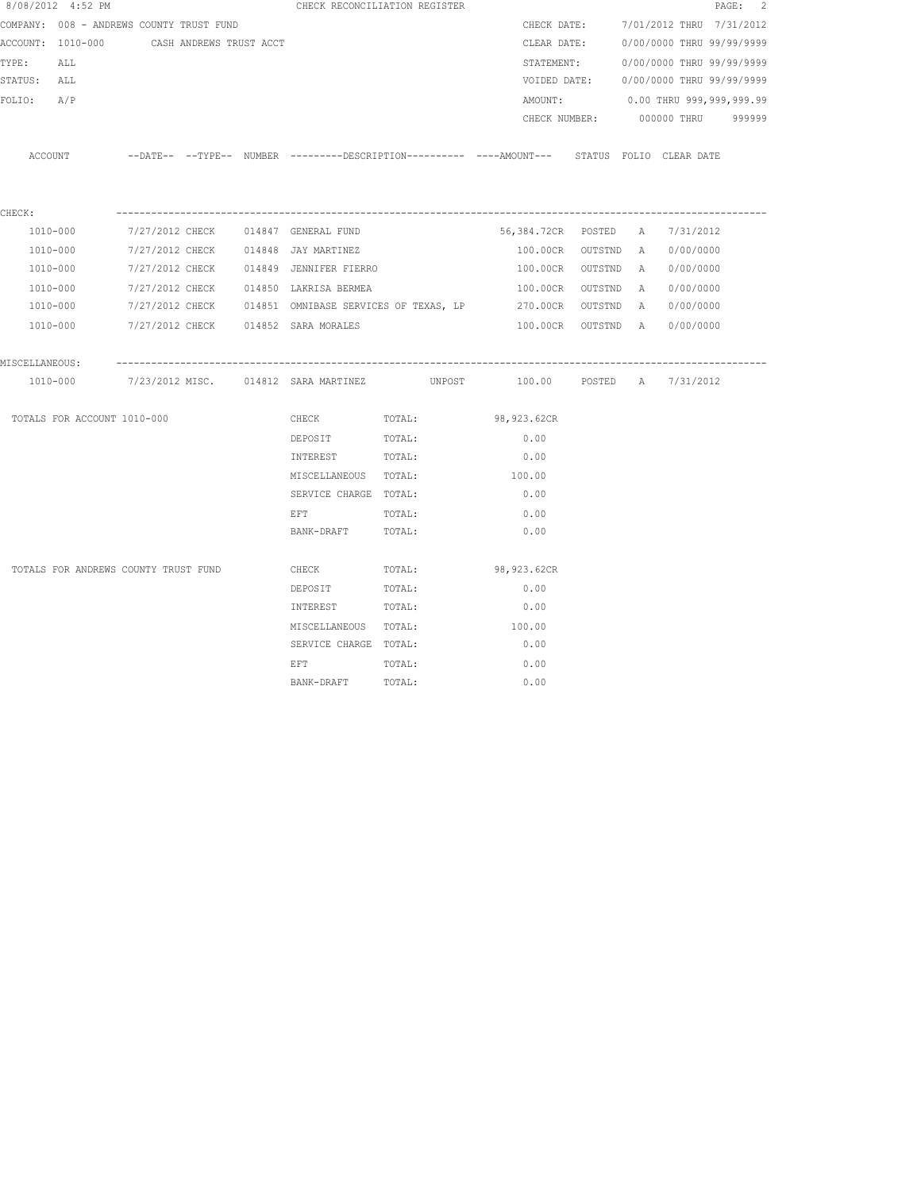| 8/08/2012 4:52 PM                         |  | CHECK RECONCILIATION REGISTER                                                                                      |        |                      |  |                              | PAGE: 2 |
|-------------------------------------------|--|--------------------------------------------------------------------------------------------------------------------|--------|----------------------|--|------------------------------|---------|
| COMPANY: 008 - ANDREWS COUNTY TRUST FUND  |  |                                                                                                                    |        | CHECK DATE:          |  | 7/01/2012 THRU 7/31/2012     |         |
| ACCOUNT: 1010-000 CASH ANDREWS TRUST ACCT |  |                                                                                                                    |        | CLEAR DATE:          |  | 0/00/0000 THRU 99/99/9999    |         |
| TYPE:<br>ALL                              |  |                                                                                                                    |        | STATEMENT:           |  | 0/00/0000 THRU 99/99/9999    |         |
| STATUS: ALL                               |  |                                                                                                                    |        | VOIDED DATE:         |  | 0/00/0000 THRU 99/99/9999    |         |
| FOLIO: A/P                                |  |                                                                                                                    |        | AMOUNT:              |  | 0.00 THRU 999,999,999.99     |         |
|                                           |  |                                                                                                                    |        | CHECK NUMBER:        |  | 000000 THRU 999999           |         |
| ACCOUNT                                   |  | --DATE-- --TYPE-- NUMBER --------DESCRIPTION---------- ---AMOUNT--- STATUS FOLIO CLEAR DATE                        |        |                      |  |                              |         |
| CHECK:                                    |  |                                                                                                                    |        |                      |  |                              |         |
| 1010-000                                  |  | 7/27/2012 CHECK 014847 GENERAL FUND                                                                                |        | 56,384.72CR POSTED A |  | 7/31/2012                    |         |
| 1010-000                                  |  | 7/27/2012 CHECK 014848 JAY MARTINEZ                                                                                |        | 100.00CR OUTSTND A   |  | 0/00/0000                    |         |
| 1010-000                                  |  | 7/27/2012 CHECK 014849 JENNIFER FIERRO                                                                             |        | 100.00CR OUTSTND A   |  | 0/00/0000                    |         |
| 1010-000                                  |  | 7/27/2012 CHECK 014850 LAKRISA BERMEA                                                                              |        | 100.00CR OUTSTND A   |  | 0/00/0000                    |         |
| 1010-000                                  |  | 7/27/2012 CHECK 014851 OMNIBASE SERVICES OF TEXAS, LP 370.00CR OUTSTND A                                           |        |                      |  | 0/00/0000                    |         |
| 1010-000                                  |  | 7/27/2012 CHECK 014852 SARA MORALES                                                                                |        |                      |  | 100.00CR OUTSTND A 0/00/0000 |         |
| MISCELLANEOUS:                            |  |                                                                                                                    |        |                      |  |                              |         |
| 1010-000                                  |  | 7/23/2012 MISC.     014812   SARA MARTINEZ                UNPOST            100.00      POSTED     A     7/31/2012 |        |                      |  |                              |         |
| TOTALS FOR ACCOUNT 1010-000               |  | CHECK                                                                                                              | TOTAL: | 98,923.62CR          |  |                              |         |
|                                           |  | DEPOSIT                                                                                                            | TOTAL: | 0.00                 |  |                              |         |
|                                           |  | INTEREST                                                                                                           | TOTAL: | 0.00                 |  |                              |         |
|                                           |  | MISCELLANEOUS TOTAL:                                                                                               |        | 100.00               |  |                              |         |
|                                           |  | SERVICE CHARGE TOTAL:                                                                                              |        | 0.00                 |  |                              |         |
|                                           |  | EFT                                                                                                                | TOTAL: | 0.00                 |  |                              |         |
|                                           |  | BANK-DRAFT                                                                                                         | TOTAL: | 0.00                 |  |                              |         |
| TOTALS FOR ANDREWS COUNTY TRUST FUND      |  | CHECK                                                                                                              | TOTAL: | 98,923.62CR          |  |                              |         |
|                                           |  | DEPOSIT                                                                                                            | TOTAL: | 0.00                 |  |                              |         |
|                                           |  | INTEREST                                                                                                           | TOTAL: | 0.00                 |  |                              |         |
|                                           |  | MISCELLANEOUS TOTAL:                                                                                               |        | 100.00               |  |                              |         |
|                                           |  | SERVICE CHARGE TOTAL:                                                                                              |        | 0.00                 |  |                              |         |
|                                           |  | EFT                                                                                                                | TOTAL: | 0.00                 |  |                              |         |
|                                           |  | BANK-DRAFT                                                                                                         | TOTAL: | 0.00                 |  |                              |         |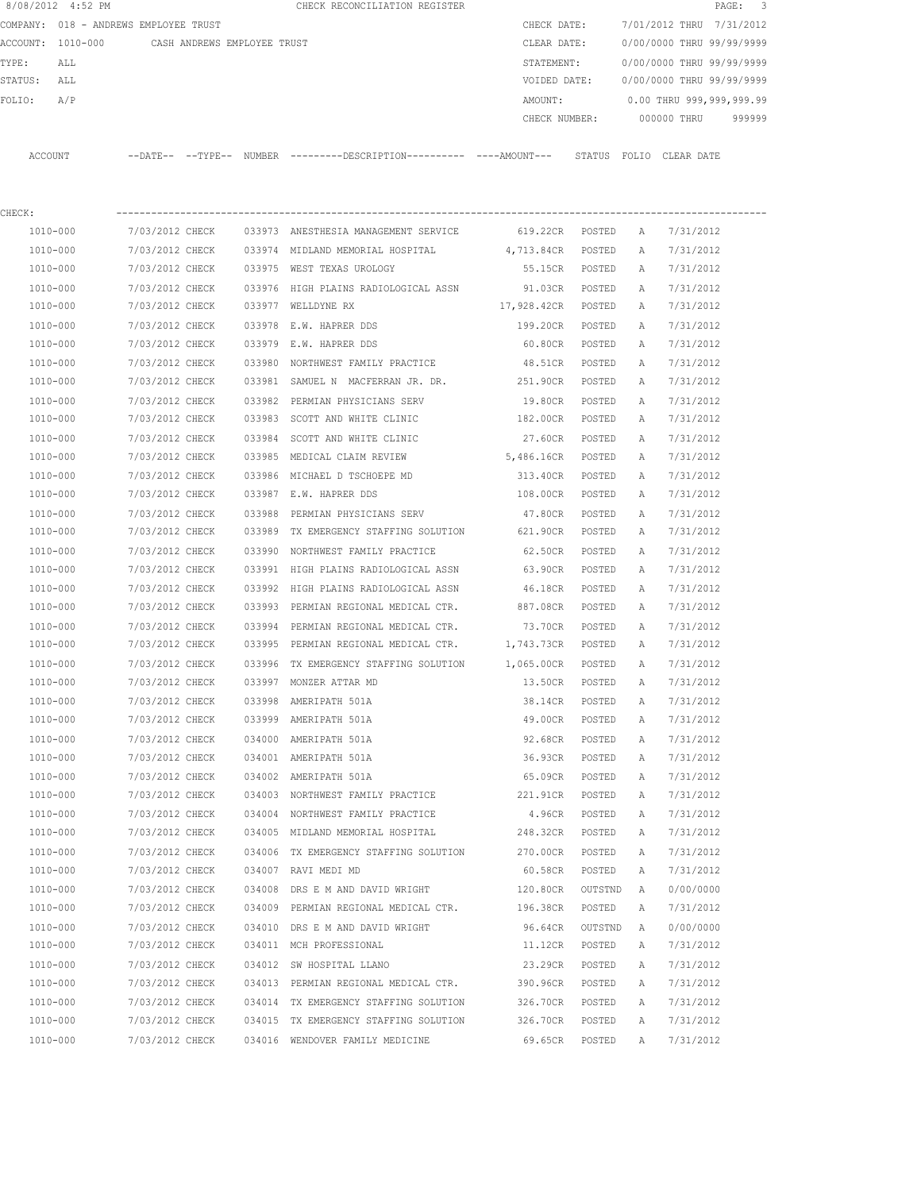|         | 8/08/2012 4:52 PM |                                               | CHECK RECONCILIATION REGISTER                       |               |                           |             | PAGE: 3                  |  |
|---------|-------------------|-----------------------------------------------|-----------------------------------------------------|---------------|---------------------------|-------------|--------------------------|--|
|         |                   | COMPANY: 018 - ANDREWS EMPLOYEE TRUST         |                                                     | CHECK DATE:   | 7/01/2012 THRU 7/31/2012  |             |                          |  |
|         |                   | ACCOUNT: 1010-000 CASH ANDREWS EMPLOYEE TRUST |                                                     | CLEAR DATE:   | 0/00/0000 THRU 99/99/9999 |             |                          |  |
| TYPE:   | ALL               |                                               |                                                     | STATEMENT:    | 0/00/0000 THRU 99/99/9999 |             |                          |  |
| STATUS: | ALL               |                                               |                                                     | VOIDED DATE:  | 0/00/0000 THRU 99/99/9999 |             |                          |  |
| FOLIO:  | A/P               |                                               |                                                     | AMOUNT:       |                           |             | 0.00 THRU 999,999,999.99 |  |
|         |                   |                                               |                                                     | CHECK NUMBER: |                           | 000000 THRU | 999999                   |  |
| ACCOUNT |                   | $---DATF------TYPF---$                        | NUMBER ---------DESCRIPTION---------- ----AMOUNT--- | STATUS        | FOLIO CLEAR DATE          |             |                          |  |
| CHECK:  |                   |                                               |                                                     |               |                           |             |                          |  |

| 1010-000 | 7/03/2012 CHECK | 033973 ANESTHESIA MANAGEMENT SERVICE        | 619.22CR          | POSTED  | A | 7/31/2012 |
|----------|-----------------|---------------------------------------------|-------------------|---------|---|-----------|
| 1010-000 | 7/03/2012 CHECK | 033974 MIDLAND MEMORIAL HOSPITAL 4,713.84CR |                   | POSTED  | A | 7/31/2012 |
| 1010-000 | 7/03/2012 CHECK | 033975 WEST TEXAS UROLOGY                   | 55.15CR           | POSTED  | A | 7/31/2012 |
| 1010-000 | 7/03/2012 CHECK | 033976 HIGH PLAINS RADIOLOGICAL ASSN        | 91.03CR POSTED    |         | Α | 7/31/2012 |
| 1010-000 | 7/03/2012 CHECK | 033977 WELLDYNE RX                          | 17,928.42CR       | POSTED  | Α | 7/31/2012 |
| 1010-000 | 7/03/2012 CHECK | 033978 E.W. HAPRER DDS                      | 199.20CR          | POSTED  | Α | 7/31/2012 |
| 1010-000 | 7/03/2012 CHECK | 033979 E.W. HAPRER DDS                      | 60.80CR           | POSTED  | Α | 7/31/2012 |
| 1010-000 | 7/03/2012 CHECK | 033980 NORTHWEST FAMILY PRACTICE            | 48.51CR           | POSTED  | Α | 7/31/2012 |
| 1010-000 | 7/03/2012 CHECK | 033981 SAMUEL N MACFERRAN JR. DR.           | 251.90CR          | POSTED  | A | 7/31/2012 |
| 1010-000 | 7/03/2012 CHECK | 033982 PERMIAN PHYSICIANS SERV              | 19.80CR           | POSTED  | Α | 7/31/2012 |
| 1010-000 | 7/03/2012 CHECK | 033983 SCOTT AND WHITE CLINIC               | 182.00CR POSTED   |         | Α | 7/31/2012 |
| 1010-000 | 7/03/2012 CHECK | 033984 SCOTT AND WHITE CLINIC               | 27.60CR           | POSTED  | Α | 7/31/2012 |
| 1010-000 | 7/03/2012 CHECK | 033985 MEDICAL CLAIM REVIEW                 | 5,486.16CR POSTED |         | Α | 7/31/2012 |
| 1010-000 | 7/03/2012 CHECK | 033986 MICHAEL D TSCHOEPE MD                | 313.40CR          | POSTED  | Α | 7/31/2012 |
| 1010-000 | 7/03/2012 CHECK | 033987 E.W. HAPRER DDS                      | 108.00CR          | POSTED  | А | 7/31/2012 |
| 1010-000 | 7/03/2012 CHECK | 033988 PERMIAN PHYSICIANS SERV              | 47.80CR           | POSTED  | Α | 7/31/2012 |
| 1010-000 | 7/03/2012 CHECK | 033989 TX EMERGENCY STAFFING SOLUTION       | 621.90CR          | POSTED  | Α | 7/31/2012 |
| 1010-000 | 7/03/2012 CHECK | 033990 NORTHWEST FAMILY PRACTICE            | 62.50CR           | POSTED  | Α | 7/31/2012 |
| 1010-000 | 7/03/2012 CHECK | 033991 HIGH PLAINS RADIOLOGICAL ASSN        | 63.90CR           | POSTED  | Α | 7/31/2012 |
| 1010-000 | 7/03/2012 CHECK | 033992 HIGH PLAINS RADIOLOGICAL ASSN        | 46.18CR           | POSTED  | A | 7/31/2012 |
| 1010-000 | 7/03/2012 CHECK | 033993 PERMIAN REGIONAL MEDICAL CTR.        | 887.08CR          | POSTED  | A | 7/31/2012 |
| 1010-000 | 7/03/2012 CHECK | 033994 PERMIAN REGIONAL MEDICAL CTR.        | 73.70CR POSTED    |         | Α | 7/31/2012 |
| 1010-000 | 7/03/2012 CHECK | 033995 PERMIAN REGIONAL MEDICAL CTR.        | 1,743.73CR POSTED |         | Α | 7/31/2012 |
| 1010-000 | 7/03/2012 CHECK | 033996 TX EMERGENCY STAFFING SOLUTION       | 1,065.00CR        | POSTED  | Α | 7/31/2012 |
| 1010-000 | 7/03/2012 CHECK | 033997 MONZER ATTAR MD                      | 13.50CR           | POSTED  | Α | 7/31/2012 |
| 1010-000 | 7/03/2012 CHECK | 033998 AMERIPATH 501A                       | 38.14CR           | POSTED  | A | 7/31/2012 |
| 1010-000 | 7/03/2012 CHECK | 033999 AMERIPATH 501A                       | 49.00CR           | POSTED  | A | 7/31/2012 |
| 1010-000 | 7/03/2012 CHECK | 034000 AMERIPATH 501A                       | 92.68CR           | POSTED  | Α | 7/31/2012 |
| 1010-000 | 7/03/2012 CHECK | 034001 AMERIPATH 501A                       | 36.93CR           | POSTED  | Α | 7/31/2012 |
| 1010-000 | 7/03/2012 CHECK | 034002 AMERIPATH 501A                       | 65.09CR           | POSTED  | Α | 7/31/2012 |
| 1010-000 | 7/03/2012 CHECK | 034003 NORTHWEST FAMILY PRACTICE            | 221.91CR          | POSTED  | Α | 7/31/2012 |
| 1010-000 | 7/03/2012 CHECK | 034004 NORTHWEST FAMILY PRACTICE            | 4.96CR            | POSTED  | A | 7/31/2012 |
| 1010-000 | 7/03/2012 CHECK | 034005 MIDLAND MEMORIAL HOSPITAL            | 248.32CR          | POSTED  | A | 7/31/2012 |
| 1010-000 | 7/03/2012 CHECK | 034006 TX EMERGENCY STAFFING SOLUTION       | 270.00CR POSTED   |         | A | 7/31/2012 |
| 1010-000 | 7/03/2012 CHECK | 034007 RAVI MEDI MD                         | 60.58CR POSTED    |         | A | 7/31/2012 |
| 1010-000 | 7/03/2012 CHECK | 034008 DRS E M AND DAVID WRIGHT             | 120.80CR          | OUTSTND | A | 0/00/0000 |
| 1010-000 | 7/03/2012 CHECK | 034009 PERMIAN REGIONAL MEDICAL CTR.        | 196.38CR          | POSTED  | Α | 7/31/2012 |
| 1010-000 | 7/03/2012 CHECK | 034010 DRS E M AND DAVID WRIGHT             | 96.64CR           | OUTSTND | Α | 0/00/0000 |
| 1010-000 | 7/03/2012 CHECK | 034011 MCH PROFESSIONAL                     | 11.12CR           | POSTED  | Α | 7/31/2012 |
| 1010-000 | 7/03/2012 CHECK | 034012 SW HOSPITAL LLANO                    | 23.29CR           | POSTED  | Α | 7/31/2012 |
| 1010-000 | 7/03/2012 CHECK | 034013 PERMIAN REGIONAL MEDICAL CTR.        | 390.96CR          | POSTED  | Α | 7/31/2012 |
| 1010-000 | 7/03/2012 CHECK | 034014 TX EMERGENCY STAFFING SOLUTION       | 326.70CR          | POSTED  | Α | 7/31/2012 |
| 1010-000 | 7/03/2012 CHECK | 034015 TX EMERGENCY STAFFING SOLUTION       | 326.70CR          | POSTED  | Α | 7/31/2012 |
| 1010-000 | 7/03/2012 CHECK | 034016 WENDOVER FAMILY MEDICINE             | 69.65CR           | POSTED  | Α | 7/31/2012 |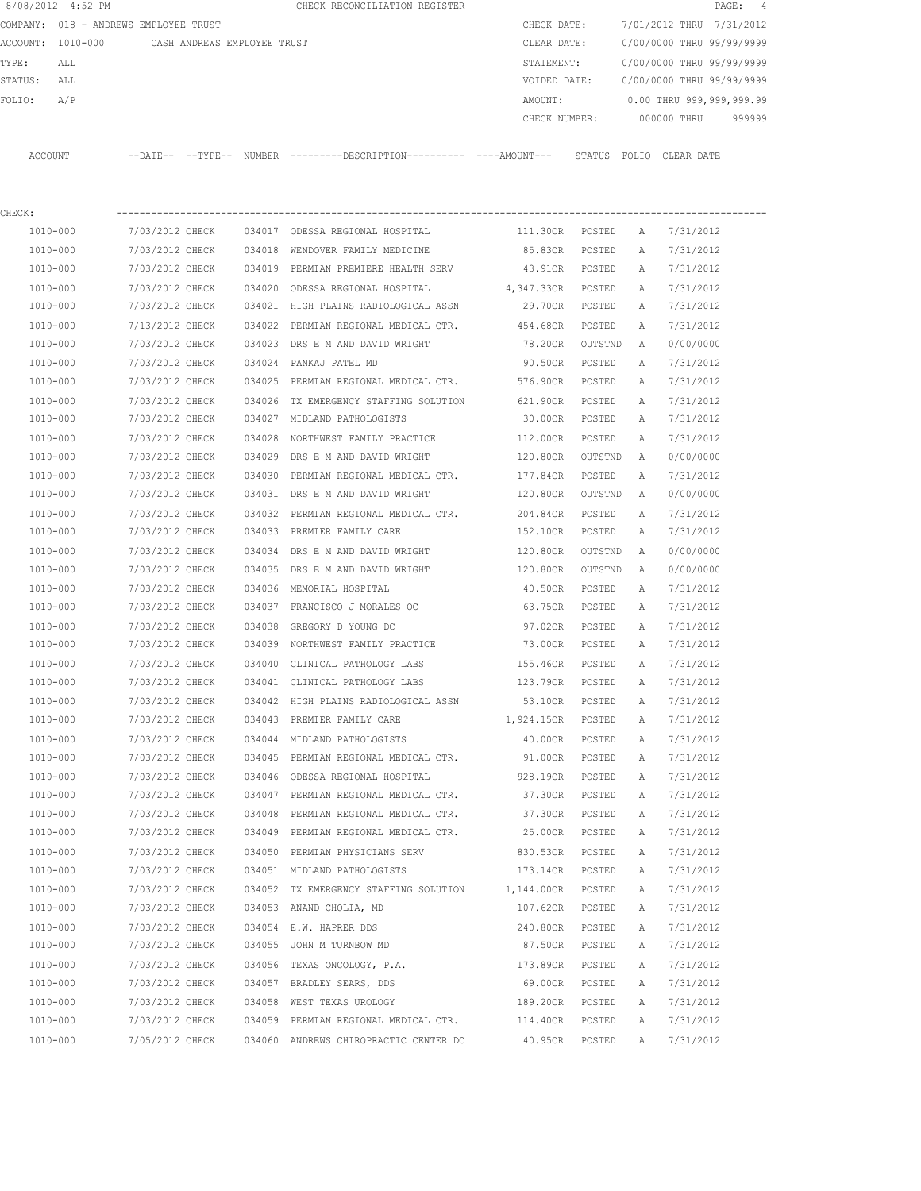|         | 8/08/2012 4:52 PM |                                       |        | CHECK RECONCILIATION REGISTER |               |                           | PAGE: 4   |
|---------|-------------------|---------------------------------------|--------|-------------------------------|---------------|---------------------------|-----------|
|         |                   | COMPANY: 018 - ANDREWS EMPLOYEE TRUST |        |                               | CHECK DATE:   | 7/01/2012 THRU            | 7/31/2012 |
|         | ACCOUNT: 1010-000 | CASH ANDREWS EMPLOYEE TRUST           |        |                               | CLEAR DATE:   | 0/00/0000 THRU 99/99/9999 |           |
| TYPE:   | ALL               |                                       |        |                               | STATEMENT:    | 0/00/0000 THRU 99/99/9999 |           |
| STATUS: | ALL               |                                       |        |                               | VOIDED DATE:  | 0/00/0000 THRU 99/99/9999 |           |
| FOLTO:  | A/P               |                                       |        |                               | AMOUNT:       | 0.00 THRU 999,999,999.99  |           |
|         |                   |                                       |        |                               | CHECK NUMBER: | 000000 THRU               | 999999    |
|         |                   |                                       |        |                               |               |                           |           |
| ACCOUNT |                   | --DATE-- --TYPE--                     | NUMBER |                               | STATUS        | FOLTO<br>CLEAR DATE       |           |

| CHECK:   |                 |        |                                                       |                   |         |              |           |
|----------|-----------------|--------|-------------------------------------------------------|-------------------|---------|--------------|-----------|
| 1010-000 | 7/03/2012 CHECK |        | 034017 ODESSA REGIONAL HOSPITAL                       | 111.30CR POSTED   |         | A            | 7/31/2012 |
| 1010-000 | 7/03/2012 CHECK |        | 034018 WENDOVER FAMILY MEDICINE                       | 85.83CR           | POSTED  | Α            | 7/31/2012 |
| 1010-000 | 7/03/2012 CHECK |        | 034019 PERMIAN PREMIERE HEALTH SERV                   | 43.91CR POSTED    |         | Α            | 7/31/2012 |
| 1010-000 | 7/03/2012 CHECK |        | 034020 ODESSA REGIONAL HOSPITAL                       | 4,347.33CR POSTED |         | A            | 7/31/2012 |
| 1010-000 | 7/03/2012 CHECK |        | 034021 HIGH PLAINS RADIOLOGICAL ASSN                  | 29.70CR POSTED    |         | A            | 7/31/2012 |
| 1010-000 | 7/13/2012 CHECK |        | 034022 PERMIAN REGIONAL MEDICAL CTR.                  | 454.68CR POSTED   |         | Α            | 7/31/2012 |
| 1010-000 | 7/03/2012 CHECK |        | 034023 DRS E M AND DAVID WRIGHT                       | 78.20CR OUTSTND   |         | A            | 0/00/0000 |
| 1010-000 | 7/03/2012 CHECK |        | 034024 PANKAJ PATEL MD                                | 90.50CR POSTED    |         | A            | 7/31/2012 |
| 1010-000 | 7/03/2012 CHECK |        | 034025 PERMIAN REGIONAL MEDICAL CTR. 576.90CR POSTED  |                   |         | A            | 7/31/2012 |
| 1010-000 | 7/03/2012 CHECK |        | 034026 TX EMERGENCY STAFFING SOLUTION 621.90CR POSTED |                   |         | A            | 7/31/2012 |
| 1010-000 | 7/03/2012 CHECK |        | 034027 MIDLAND PATHOLOGISTS                           | 30.00CR POSTED    |         | Α            | 7/31/2012 |
| 1010-000 | 7/03/2012 CHECK | 034028 | NORTHWEST FAMILY PRACTICE                             | 112.00CR          | POSTED  | Α            | 7/31/2012 |
| 1010-000 | 7/03/2012 CHECK |        | 034029 DRS E M AND DAVID WRIGHT                       | 120.80CR          | OUTSTND | Α            | 0/00/0000 |
| 1010-000 | 7/03/2012 CHECK |        | 034030 PERMIAN REGIONAL MEDICAL CTR.                  | 177.84CR          | POSTED  | Α            | 7/31/2012 |
| 1010-000 | 7/03/2012 CHECK |        | 034031 DRS E M AND DAVID WRIGHT                       | 120.80CR          | OUTSTND | $\mathbb{A}$ | 0/00/0000 |
| 1010-000 | 7/03/2012 CHECK |        | 034032 PERMIAN REGIONAL MEDICAL CTR.                  | 204.84CR          | POSTED  | Α            | 7/31/2012 |
| 1010-000 | 7/03/2012 CHECK |        | 034033 PREMIER FAMILY CARE                            | 152.10CR POSTED   |         | Α            | 7/31/2012 |
| 1010-000 | 7/03/2012 CHECK |        | 034034 DRS E M AND DAVID WRIGHT                       | 120.80CR          | OUTSTND | A            | 0/00/0000 |
| 1010-000 | 7/03/2012 CHECK |        | 034035 DRS E M AND DAVID WRIGHT                       | 120.80CR          | OUTSTND | A            | 0/00/0000 |
| 1010-000 | 7/03/2012 CHECK |        | 034036 MEMORIAL HOSPITAL                              | 40.50CR POSTED    |         | A            | 7/31/2012 |
| 1010-000 | 7/03/2012 CHECK |        | 034037 FRANCISCO J MORALES OC                         | 63.75CR POSTED    |         | Α            | 7/31/2012 |
| 1010-000 | 7/03/2012 CHECK | 034038 | GREGORY D YOUNG DC                                    | 97.02CR           | POSTED  | Α            | 7/31/2012 |
| 1010-000 | 7/03/2012 CHECK |        | 034039 NORTHWEST FAMILY PRACTICE                      | 73.00CR POSTED    |         | A            | 7/31/2012 |
| 1010-000 | 7/03/2012 CHECK |        | 034040 CLINICAL PATHOLOGY LABS                        | 155.46CR          | POSTED  | Α            | 7/31/2012 |
| 1010-000 | 7/03/2012 CHECK |        | 034041 CLINICAL PATHOLOGY LABS                        | 123.79CR          | POSTED  | Α            | 7/31/2012 |
| 1010-000 | 7/03/2012 CHECK |        | 034042 HIGH PLAINS RADIOLOGICAL ASSN                  | 53.10CR           | POSTED  | Α            | 7/31/2012 |
| 1010-000 | 7/03/2012 CHECK |        | 034043 PREMIER FAMILY CARE                            | 1,924.15CR POSTED |         | Α            | 7/31/2012 |
| 1010-000 | 7/03/2012 CHECK |        | 034044 MIDLAND PATHOLOGISTS                           | 40.00CR POSTED    |         | Α            | 7/31/2012 |
| 1010-000 | 7/03/2012 CHECK |        | 034045 PERMIAN REGIONAL MEDICAL CTR.                  | 91.00CR POSTED    |         | Α            | 7/31/2012 |
| 1010-000 | 7/03/2012 CHECK |        | 034046 ODESSA REGIONAL HOSPITAL                       | 928.19CR POSTED   |         | Α            | 7/31/2012 |
| 1010-000 | 7/03/2012 CHECK |        | 034047 PERMIAN REGIONAL MEDICAL CTR.                  | 37.30CR POSTED    |         | A            | 7/31/2012 |
| 1010-000 | 7/03/2012 CHECK |        | 034048 PERMIAN REGIONAL MEDICAL CTR.                  | 37.30CR           | POSTED  | Α            | 7/31/2012 |
| 1010-000 | 7/03/2012 CHECK |        | 034049 PERMIAN REGIONAL MEDICAL CTR.                  | 25.00CR POSTED    |         | A            | 7/31/2012 |
| 1010-000 | 7/03/2012 CHECK |        | 034050 PERMIAN PHYSICIANS SERV                        | 830.53CR          | POSTED  | A            | 7/31/2012 |
| 1010-000 | 7/03/2012 CHECK |        | 034051 MIDLAND PATHOLOGISTS                           | 173.14CR          | POSTED  | $\mathbb{A}$ | 7/31/2012 |
| 1010-000 | 7/03/2012 CHECK |        | 034052 TX EMERGENCY STAFFING SOLUTION                 | 1,144.00CR        | POSTED  | Α            | 7/31/2012 |
| 1010-000 | 7/03/2012 CHECK |        | 034053 ANAND CHOLIA, MD                               | 107.62CR          | POSTED  | Α            | 7/31/2012 |
| 1010-000 | 7/03/2012 CHECK |        | 034054 E.W. HAPRER DDS                                | 240.80CR          | POSTED  | Α            | 7/31/2012 |
| 1010-000 | 7/03/2012 CHECK |        | 034055 JOHN M TURNBOW MD                              | 87.50CR           | POSTED  | Α            | 7/31/2012 |
| 1010-000 | 7/03/2012 CHECK |        | 034056 TEXAS ONCOLOGY, P.A.                           | 173.89CR          | POSTED  | Α            | 7/31/2012 |
| 1010-000 | 7/03/2012 CHECK |        | 034057 BRADLEY SEARS, DDS                             | 69.00CR           | POSTED  | Α            | 7/31/2012 |
| 1010-000 | 7/03/2012 CHECK |        | 034058 WEST TEXAS UROLOGY                             | 189.20CR          | POSTED  | Α            | 7/31/2012 |
| 1010-000 | 7/03/2012 CHECK |        | 034059 PERMIAN REGIONAL MEDICAL CTR.                  | 114.40CR          | POSTED  | Α            | 7/31/2012 |
| 1010-000 | 7/05/2012 CHECK |        | 034060 ANDREWS CHIROPRACTIC CENTER DC                 | 40.95CR           | POSTED  | Α            | 7/31/2012 |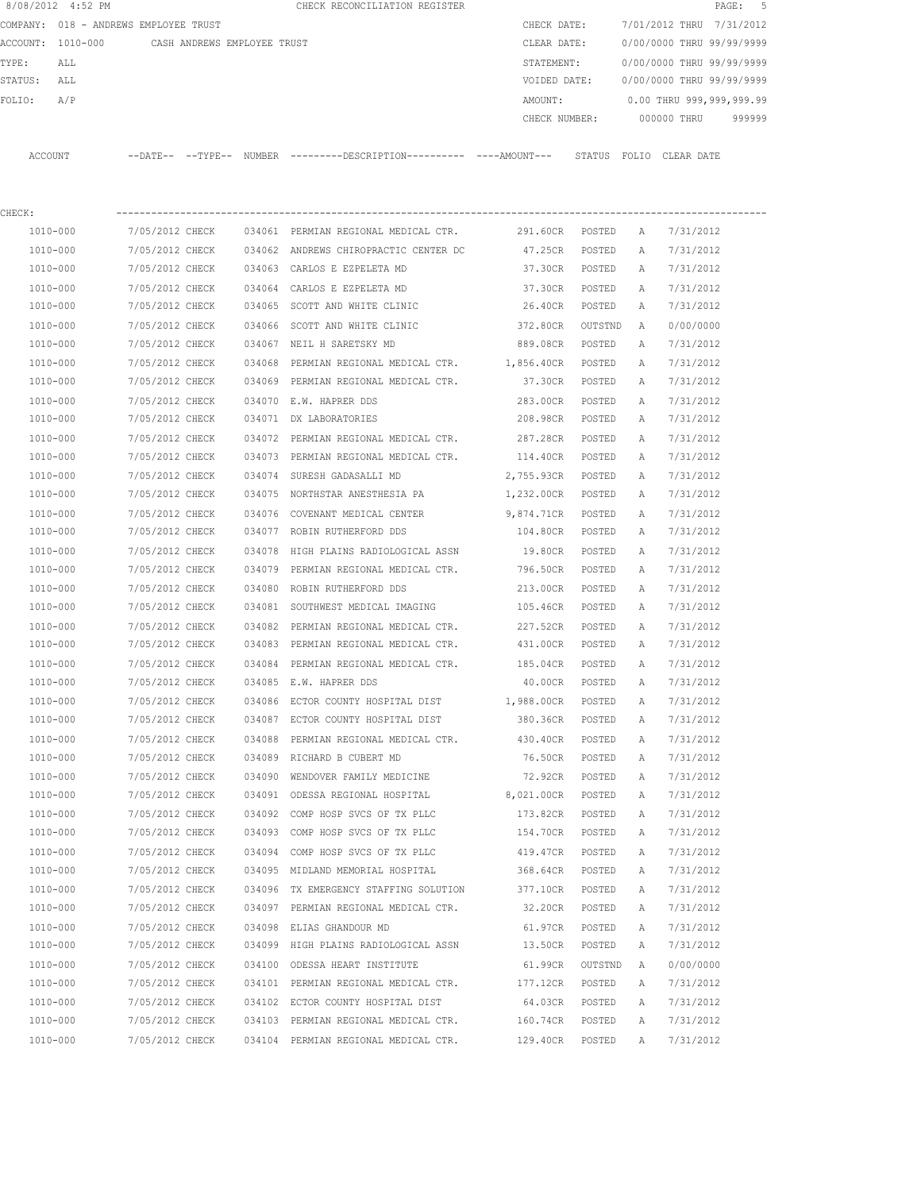|         | 8/08/2012 4:52 PM                             |                 |        | CHECK RECONCILIATION REGISTER                                                                 |                   |         |   |                           | 5<br>PAGE: |
|---------|-----------------------------------------------|-----------------|--------|-----------------------------------------------------------------------------------------------|-------------------|---------|---|---------------------------|------------|
|         | COMPANY: 018 - ANDREWS EMPLOYEE TRUST         |                 |        |                                                                                               | CHECK DATE:       |         |   | 7/01/2012 THRU 7/31/2012  |            |
|         | ACCOUNT: 1010-000 CASH ANDREWS EMPLOYEE TRUST |                 |        |                                                                                               | CLEAR DATE:       |         |   | 0/00/0000 THRU 99/99/9999 |            |
| TYPE:   | ALL                                           |                 |        |                                                                                               | STATEMENT:        |         |   | 0/00/0000 THRU 99/99/9999 |            |
| STATUS: | ALL                                           |                 |        |                                                                                               | VOIDED DATE:      |         |   | 0/00/0000 THRU 99/99/9999 |            |
| FOLIO:  | A/P                                           |                 |        |                                                                                               | AMOUNT:           |         |   | 0.00 THRU 999,999,999.99  |            |
|         |                                               |                 |        |                                                                                               | CHECK NUMBER:     |         |   | 000000 THRU               | 999999     |
|         | ACCOUNT                                       |                 |        | --DATE-- --TYPE-- NUMBER ---------DESCRIPTION---------- ----AMOUNT--- STATUS FOLIO CLEAR DATE |                   |         |   |                           |            |
| CHECK:  |                                               |                 |        |                                                                                               |                   |         |   |                           |            |
|         | 1010-000                                      | 7/05/2012 CHECK |        | 034061 PERMIAN REGIONAL MEDICAL CTR. 291.60CR POSTED                                          |                   |         | A | 7/31/2012                 |            |
|         | 1010-000                                      | 7/05/2012 CHECK |        | 034062 ANDREWS CHIROPRACTIC CENTER DC                                                         | 47.25CR           | POSTED  | А | 7/31/2012                 |            |
|         | 1010-000                                      | 7/05/2012 CHECK |        | 034063 CARLOS E EZPELETA MD                                                                   | 37.30CR           | POSTED  | А | 7/31/2012                 |            |
|         | 1010-000                                      | 7/05/2012 CHECK |        | 034064 CARLOS E EZPELETA MD                                                                   | 37.30CR POSTED    |         | Α | 7/31/2012                 |            |
|         | 1010-000                                      | 7/05/2012 CHECK |        | 034065 SCOTT AND WHITE CLINIC                                                                 | 26.40CR POSTED    |         | Α | 7/31/2012                 |            |
|         | 1010-000                                      | 7/05/2012 CHECK |        | 034066 SCOTT AND WHITE CLINIC                                                                 | 372.80CR OUTSTND  |         | A | 0/00/0000                 |            |
|         | 1010-000                                      | 7/05/2012 CHECK |        | 034067 NEIL H SARETSKY MD                                                                     | 889.08CR POSTED   |         | Α | 7/31/2012                 |            |
|         | 1010-000                                      | 7/05/2012 CHECK |        | 034068 PERMIAN REGIONAL MEDICAL CTR.                                                          | 1,856.40CR POSTED |         | А | 7/31/2012                 |            |
|         | 1010-000                                      | 7/05/2012 CHECK |        | 034069 PERMIAN REGIONAL MEDICAL CTR.                                                          | 37.30CR POSTED    |         | A | 7/31/2012                 |            |
|         | 1010-000                                      | 7/05/2012 CHECK |        | 034070 E.W. HAPRER DDS                                                                        | 283.00CR          | POSTED  | A | 7/31/2012                 |            |
|         | 1010-000                                      | 7/05/2012 CHECK |        | 034071 DX LABORATORIES                                                                        | 208.98CR          | POSTED  | A | 7/31/2012                 |            |
|         | 1010-000                                      | 7/05/2012 CHECK |        | 034072 PERMIAN REGIONAL MEDICAL CTR. 287.28CR                                                 |                   | POSTED  | Α | 7/31/2012                 |            |
|         | 1010-000                                      | 7/05/2012 CHECK |        | 034073 PERMIAN REGIONAL MEDICAL CTR. 114.40CR POSTED                                          |                   |         | Α | 7/31/2012                 |            |
|         | 1010-000                                      | 7/05/2012 CHECK |        | 034074 SURESH GADASALLI MD                                                                    | 2,755.93CR        | POSTED  | А | 7/31/2012                 |            |
|         | 1010-000                                      | 7/05/2012 CHECK |        | 034075 NORTHSTAR ANESTHESIA PA                                                                | 1,232.00CR        | POSTED  | A | 7/31/2012                 |            |
|         | 1010-000                                      | 7/05/2012 CHECK |        | 034076 COVENANT MEDICAL CENTER                                                                | 9,874.71CR POSTED |         | Α | 7/31/2012                 |            |
|         | 1010-000                                      | 7/05/2012 CHECK |        | 034077 ROBIN RUTHERFORD DDS                                                                   | 104.80CR          | POSTED  | Α | 7/31/2012                 |            |
|         | 1010-000                                      | 7/05/2012 CHECK |        | 034078 HIGH PLAINS RADIOLOGICAL ASSN                                                          | 19.80CR           | POSTED  | Α | 7/31/2012                 |            |
|         | 1010-000                                      | 7/05/2012 CHECK |        | 034079 PERMIAN REGIONAL MEDICAL CTR.                                                          | 796.50CR          | POSTED  | A | 7/31/2012                 |            |
|         | 1010-000                                      | 7/05/2012 CHECK | 034080 | ROBIN RUTHERFORD DDS                                                                          | 213.00CR          | POSTED  | А | 7/31/2012                 |            |
|         | 1010-000                                      | 7/05/2012 CHECK |        | 034081 SOUTHWEST MEDICAL IMAGING                                                              | 105.46CR          | POSTED  | Α | 7/31/2012                 |            |
|         | 1010-000                                      | 7/05/2012 CHECK |        | 034082 PERMIAN REGIONAL MEDICAL CTR.                                                          | 227.52CR          | POSTED  | Α | 7/31/2012                 |            |
|         | 1010-000                                      | 7/05/2012 CHECK |        | 034083 PERMIAN REGIONAL MEDICAL CTR.                                                          | 431.00CR          | POSTED  | A | 7/31/2012                 |            |
|         | 1010-000                                      | 7/05/2012 CHECK |        | 034084 PERMIAN REGIONAL MEDICAL CTR.                                                          | 185.04CR          | POSTED  | A | 7/31/2012                 |            |
|         | 1010-000                                      | 7/05/2012 CHECK |        | 034085 E.W. HAPRER DDS                                                                        | 40.00CR           | POSTED  | А | 7/31/2012                 |            |
|         | 1010-000                                      | 7/05/2012 CHECK |        | 034086 ECTOR COUNTY HOSPITAL DIST 1,988.00CR                                                  |                   | POSTED  | Α | 7/31/2012                 |            |
|         | 1010-000                                      | 7/05/2012 CHECK |        | 034087 ECTOR COUNTY HOSPITAL DIST                                                             | 380.36CR          | POSTED  | Α | 7/31/2012                 |            |
|         | 1010-000                                      | 7/05/2012 CHECK |        | 034088 PERMIAN REGIONAL MEDICAL CTR.                                                          | 430.40CR          | POSTED  | Α | 7/31/2012                 |            |
|         | 1010-000                                      | 7/05/2012 CHECK |        | 034089 RICHARD B CUBERT MD                                                                    | 76.50CR           | POSTED  | Α | 7/31/2012                 |            |
|         | 1010-000                                      | 7/05/2012 CHECK |        | 034090 WENDOVER FAMILY MEDICINE                                                               | 72.92CR           | POSTED  | Α | 7/31/2012                 |            |
|         | 1010-000                                      | 7/05/2012 CHECK |        | 034091 ODESSA REGIONAL HOSPITAL                                                               | 8,021.00CR        | POSTED  | Α | 7/31/2012                 |            |
|         | $1010 - 000$                                  | 7/05/2012 CHECK |        | 034092 COMP HOSP SVCS OF TX PLLC                                                              | 173.82CR          | POSTED  | Α | 7/31/2012                 |            |
|         | 1010-000                                      | 7/05/2012 CHECK |        | 034093 COMP HOSP SVCS OF TX PLLC                                                              | 154.70CR          | POSTED  | Α | 7/31/2012                 |            |
|         | $1010 - 000$                                  | 7/05/2012 CHECK |        | 034094 COMP HOSP SVCS OF TX PLLC                                                              | 419.47CR          | POSTED  | Α | 7/31/2012                 |            |
|         | 1010-000                                      | 7/05/2012 CHECK |        | 034095 MIDLAND MEMORIAL HOSPITAL                                                              | 368.64CR          | POSTED  | Α | 7/31/2012                 |            |
|         | 1010-000                                      | 7/05/2012 CHECK |        | 034096 TX EMERGENCY STAFFING SOLUTION                                                         | 377.10CR          | POSTED  | Α | 7/31/2012                 |            |
|         | 1010-000                                      | 7/05/2012 CHECK |        | 034097 PERMIAN REGIONAL MEDICAL CTR.                                                          | 32.20CR           | POSTED  | Α | 7/31/2012                 |            |
|         | 1010-000                                      | 7/05/2012 CHECK |        | 034098 ELIAS GHANDOUR MD                                                                      | 61.97CR           | POSTED  | Α | 7/31/2012                 |            |
|         | 1010-000                                      | 7/05/2012 CHECK |        | 034099 HIGH PLAINS RADIOLOGICAL ASSN                                                          | 13.50CR           | POSTED  | Α | 7/31/2012                 |            |
|         | 1010-000                                      | 7/05/2012 CHECK |        | 034100 ODESSA HEART INSTITUTE                                                                 | 61.99CR           | OUTSTND | Α | 0/00/0000                 |            |
|         | 1010-000                                      | 7/05/2012 CHECK |        | 034101 PERMIAN REGIONAL MEDICAL CTR.                                                          | 177.12CR POSTED   |         | Α | 7/31/2012                 |            |
|         | 1010-000                                      | 7/05/2012 CHECK |        | 034102 ECTOR COUNTY HOSPITAL DIST                                                             | 64.03CR           | POSTED  | Α | 7/31/2012                 |            |
|         | 1010-000                                      | 7/05/2012 CHECK |        | 034103 PERMIAN REGIONAL MEDICAL CTR.                                                          | 160.74CR          | POSTED  | Α | 7/31/2012                 |            |
|         | 1010-000                                      | 7/05/2012 CHECK |        | 034104 PERMIAN REGIONAL MEDICAL CTR.                                                          | 129.40CR POSTED   |         | Α | 7/31/2012                 |            |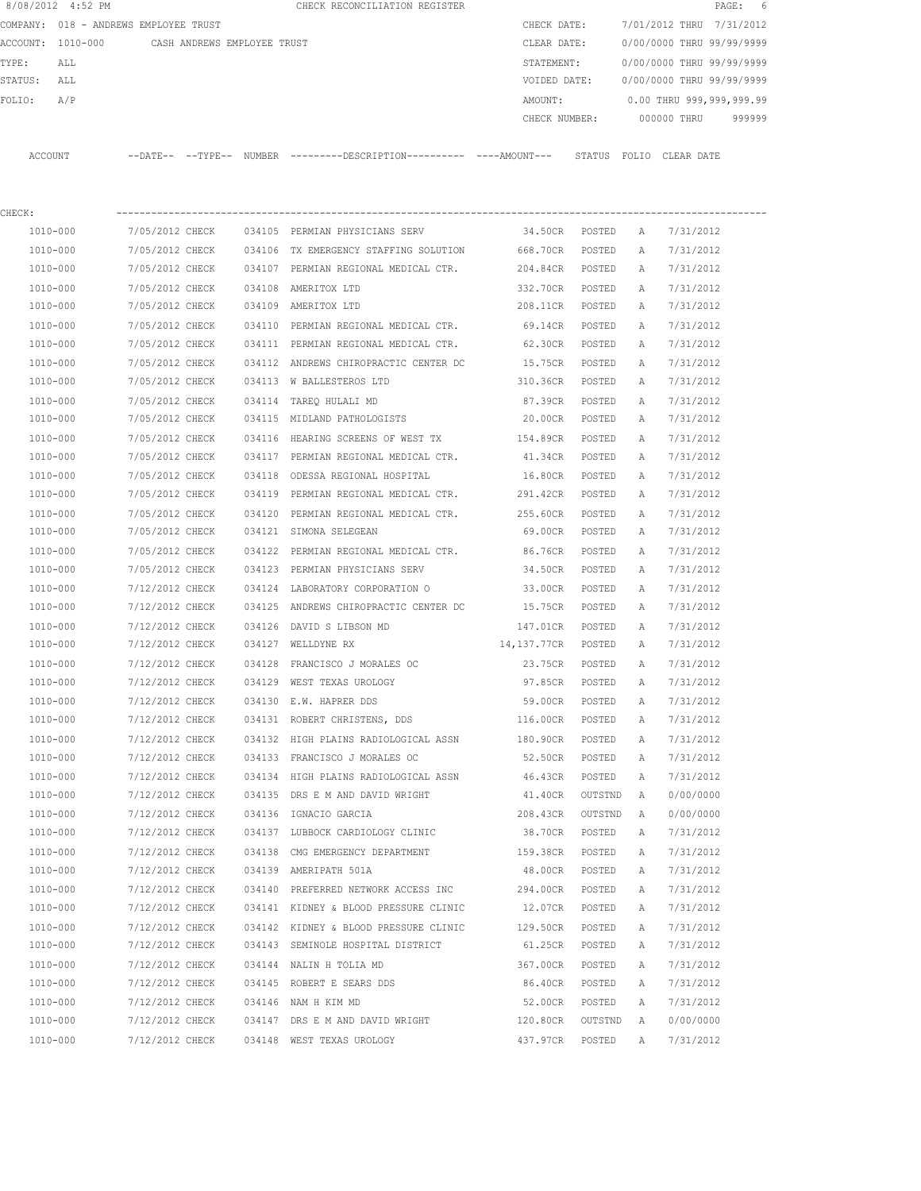|         | 8/08/2012 4:52 PM |                                       |        | CHECK RECONCILIATION REGISTER                |               |        |                           |             | PAGE: 6 |        |
|---------|-------------------|---------------------------------------|--------|----------------------------------------------|---------------|--------|---------------------------|-------------|---------|--------|
|         |                   | COMPANY: 018 - ANDREWS EMPLOYEE TRUST |        |                                              | CHECK DATE:   |        | 7/01/2012 THRU 7/31/2012  |             |         |        |
|         | ACCOUNT: 1010-000 | CASH ANDREWS EMPLOYEE TRUST           |        |                                              | CLEAR DATE:   |        | 0/00/0000 THRU 99/99/9999 |             |         |        |
| TYPE:   | ALL               |                                       |        |                                              | STATEMENT:    |        | 0/00/0000 THRU 99/99/9999 |             |         |        |
| STATUS: | ALL               |                                       |        |                                              | VOIDED DATE:  |        | 0/00/0000 THRU 99/99/9999 |             |         |        |
| FOLIO:  | A/P               |                                       |        |                                              | AMOUNT:       |        | 0.00 THRU 999,999,999.99  |             |         |        |
|         |                   |                                       |        |                                              | CHECK NUMBER: |        |                           | 000000 THRU |         | 999999 |
|         |                   |                                       |        |                                              |               |        |                           |             |         |        |
| ACCOUNT |                   | $---DATE---TYPE---$                   | NUMBER | ---------DESCRIPTION---------- ----AMOUNT--- |               | STATUS | FOLIO                     | CLEAR DATE  |         |        |

| CHECK:       |                 |                                                |                    |         |              |           |
|--------------|-----------------|------------------------------------------------|--------------------|---------|--------------|-----------|
| 1010-000     | 7/05/2012 CHECK | 034105 PERMIAN PHYSICIANS SERV                 | 34.50CR POSTED     |         | A            | 7/31/2012 |
| 1010-000     | 7/05/2012 CHECK | 034106 TX EMERGENCY STAFFING SOLUTION 668.70CR |                    | POSTED  | A            | 7/31/2012 |
| 1010-000     | 7/05/2012 CHECK | 034107 PERMIAN REGIONAL MEDICAL CTR.           | 204.84CR           | POSTED  | A            | 7/31/2012 |
| 1010-000     | 7/05/2012 CHECK | 034108 AMERITOX LTD                            | 332.70CR POSTED    |         | A            | 7/31/2012 |
| 1010-000     | 7/05/2012 CHECK | 034109 AMERITOX LTD                            | 208.11CR POSTED    |         | Α            | 7/31/2012 |
| 1010-000     | 7/05/2012 CHECK | 034110 PERMIAN REGIONAL MEDICAL CTR.           | 69.14CR POSTED     |         | A            | 7/31/2012 |
| 1010-000     | 7/05/2012 CHECK | 034111 PERMIAN REGIONAL MEDICAL CTR.           | 62.30CR POSTED     |         | A            | 7/31/2012 |
| 1010-000     | 7/05/2012 CHECK | 034112 ANDREWS CHIROPRACTIC CENTER DC          | 15.75CR POSTED     |         | Α            | 7/31/2012 |
| 1010-000     | 7/05/2012 CHECK | 034113 W BALLESTEROS LTD                       | 310.36CR POSTED    |         | A            | 7/31/2012 |
| 1010-000     | 7/05/2012 CHECK | 034114 TAREQ HULALI MD                         | 87.39CR POSTED     |         | A            | 7/31/2012 |
| 1010-000     | 7/05/2012 CHECK | 034115 MIDLAND PATHOLOGISTS                    | 20.00CR POSTED     |         | A            | 7/31/2012 |
| 1010-000     | 7/05/2012 CHECK |                                                |                    |         | A            | 7/31/2012 |
| 1010-000     | 7/05/2012 CHECK | 034117 PERMIAN REGIONAL MEDICAL CTR.           | 41.34CR POSTED     |         | A            | 7/31/2012 |
| 1010-000     | 7/05/2012 CHECK | 034118 ODESSA REGIONAL HOSPITAL                | 16.80CR            | POSTED  | Α            | 7/31/2012 |
| 1010-000     | 7/05/2012 CHECK | 034119 PERMIAN REGIONAL MEDICAL CTR. 291.42CR  |                    | POSTED  | A            | 7/31/2012 |
| 1010-000     | 7/05/2012 CHECK | 034120 PERMIAN REGIONAL MEDICAL CTR.           | 255.60CR POSTED    |         | Α            | 7/31/2012 |
| 1010-000     | 7/05/2012 CHECK | 034121 SIMONA SELEGEAN                         | 69.00CR POSTED     |         | $\mathbb{A}$ | 7/31/2012 |
| 1010-000     | 7/05/2012 CHECK | 034122 PERMIAN REGIONAL MEDICAL CTR.           | 86.76CR POSTED     |         | Α            | 7/31/2012 |
| 1010-000     | 7/05/2012 CHECK | 034123 PERMIAN PHYSICIANS SERV                 | 34.50CR POSTED     |         | Α            | 7/31/2012 |
| 1010-000     | 7/12/2012 CHECK | 034124 LABORATORY CORPORATION O                | 33.00CR POSTED     |         | A            | 7/31/2012 |
| 1010-000     | 7/12/2012 CHECK | 034125 ANDREWS CHIROPRACTIC CENTER DC          | 15.75CR POSTED     |         | A            | 7/31/2012 |
| 1010-000     | 7/12/2012 CHECK | 034126 DAVID S LIBSON MD                       | 147.01CR POSTED    |         | A            | 7/31/2012 |
| 1010-000     | 7/12/2012 CHECK | 034127 WELLDYNE RX                             | 14,137.77CR POSTED |         | A            | 7/31/2012 |
| 1010-000     | 7/12/2012 CHECK | 034128 FRANCISCO J MORALES OC                  | 23.75CR POSTED     |         | A            | 7/31/2012 |
| 1010-000     | 7/12/2012 CHECK | 034129 WEST TEXAS UROLOGY                      | 97.85CR            | POSTED  | A            | 7/31/2012 |
| 1010-000     | 7/12/2012 CHECK | 034130 E.W. HAPRER DDS                         | 59.00CR            | POSTED  | Α            | 7/31/2012 |
| 1010-000     | 7/12/2012 CHECK | 034131 ROBERT CHRISTENS, DDS                   | 116.00CR POSTED    |         | A            | 7/31/2012 |
| 1010-000     | 7/12/2012 CHECK | 034132 HIGH PLAINS RADIOLOGICAL ASSN           | 180.90CR POSTED    |         | A            | 7/31/2012 |
| 1010-000     | 7/12/2012 CHECK | 034133 FRANCISCO J MORALES OC                  | 52.50CR POSTED     |         | Α            | 7/31/2012 |
| 1010-000     | 7/12/2012 CHECK | 034134 HIGH PLAINS RADIOLOGICAL ASSN           | 46.43CR POSTED     |         | $\mathbb{A}$ | 7/31/2012 |
| 1010-000     | 7/12/2012 CHECK | 034135 DRS E M AND DAVID WRIGHT                | 41.40CR OUTSTND    |         | $\mathbb{A}$ | 0/00/0000 |
| 1010-000     | 7/12/2012 CHECK | 034136 IGNACIO GARCIA                          | 208.43CR OUTSTND   |         | A            | 0/00/0000 |
| 1010-000     | 7/12/2012 CHECK | 034137 LUBBOCK CARDIOLOGY CLINIC               | 38.70CR POSTED     |         | A            | 7/31/2012 |
| $1010 - 000$ | 7/12/2012 CHECK | 034138 CMG EMERGENCY DEPARTMENT                | 159.38CR           | POSTED  | A            | 7/31/2012 |
| 1010-000     | 7/12/2012 CHECK | 034139 AMERIPATH 501A                          | 48.00CR            | POSTED  | $\mathbb{A}$ | 7/31/2012 |
| 1010-000     | 7/12/2012 CHECK | 034140 PREFERRED NETWORK ACCESS INC            | 294.00CR           | POSTED  | Α            | 7/31/2012 |
| 1010-000     | 7/12/2012 CHECK | 034141 KIDNEY & BLOOD PRESSURE CLINIC          | 12.07CR            | POSTED  | Α            | 7/31/2012 |
| $1010 - 000$ | 7/12/2012 CHECK | 034142 KIDNEY & BLOOD PRESSURE CLINIC          | 129.50CR           | POSTED  | Α            | 7/31/2012 |
| 1010-000     | 7/12/2012 CHECK | 034143 SEMINOLE HOSPITAL DISTRICT              | 61.25CR            | POSTED  | Α            | 7/31/2012 |
| 1010-000     | 7/12/2012 CHECK | 034144 NALIN H TOLIA MD                        | 367.00CR           | POSTED  | Α            | 7/31/2012 |
| 1010-000     | 7/12/2012 CHECK | 034145 ROBERT E SEARS DDS                      | 86.40CR            | POSTED  | Α            | 7/31/2012 |
| 1010-000     | 7/12/2012 CHECK | 034146 NAM H KIM MD                            | 52.00CR            | POSTED  | Α            | 7/31/2012 |
| 1010-000     | 7/12/2012 CHECK | 034147 DRS E M AND DAVID WRIGHT                | 120.80CR           | OUTSTND | A            | 0/00/0000 |
| 1010-000     | 7/12/2012 CHECK | 034148 WEST TEXAS UROLOGY                      | 437.97CR           | POSTED  | Α            | 7/31/2012 |
|              |                 |                                                |                    |         |              |           |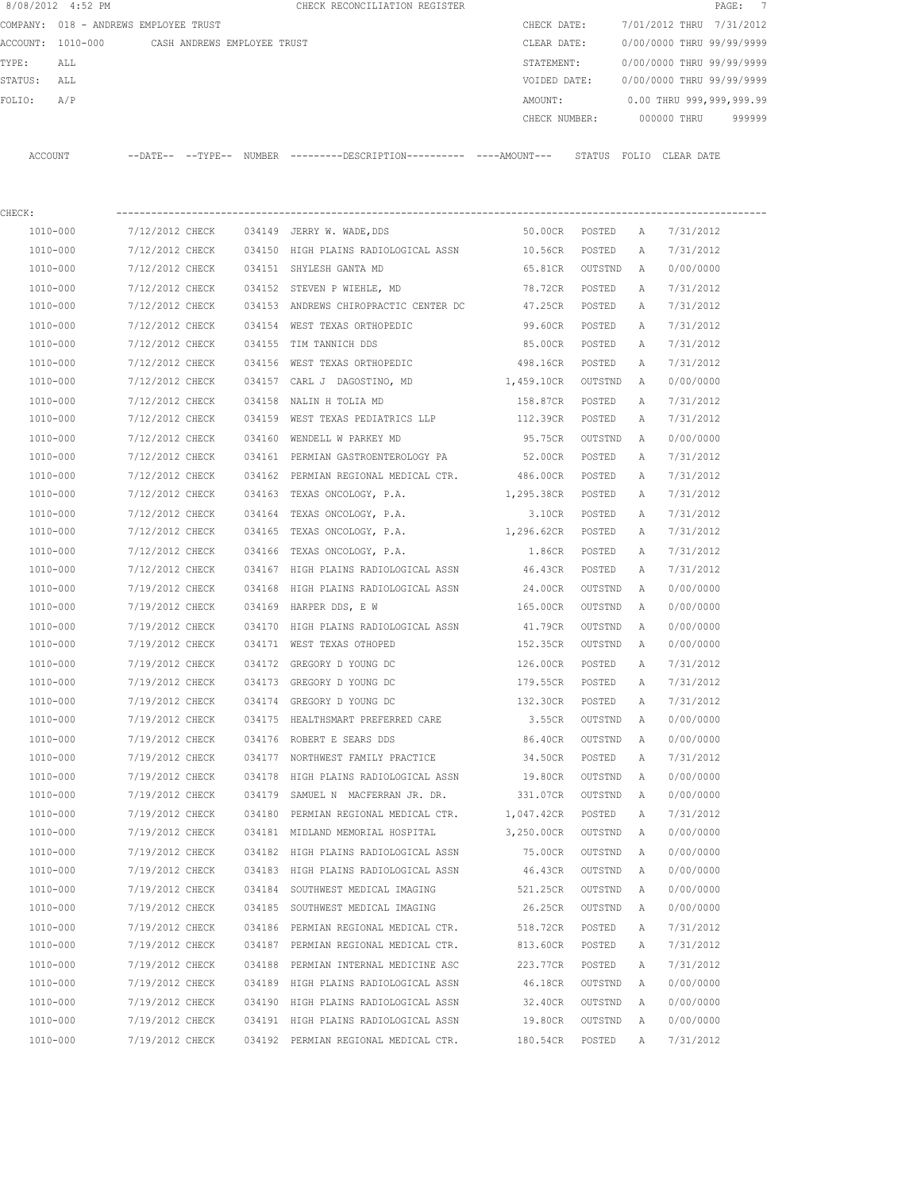|         | 8/08/2012 4:52 PM |                                       |        | CHECK RECONCILIATION REGISTER                |               |                           |            | PAGE: 7 |  |
|---------|-------------------|---------------------------------------|--------|----------------------------------------------|---------------|---------------------------|------------|---------|--|
|         |                   | COMPANY: 018 - ANDREWS EMPLOYEE TRUST |        |                                              | CHECK DATE:   | 7/01/2012 THRU 7/31/2012  |            |         |  |
|         | ACCOUNT: 1010-000 | CASH ANDREWS EMPLOYEE TRUST           |        |                                              | CLEAR DATE:   | 0/00/0000 THRU 99/99/9999 |            |         |  |
| TYPE:   | ALL               |                                       |        |                                              | STATEMENT:    | 0/00/0000 THRU 99/99/9999 |            |         |  |
| STATUS: | ALL               |                                       |        |                                              | VOIDED DATE:  | 0/00/0000 THRU 99/99/9999 |            |         |  |
| FOLTO:  | A/P               |                                       |        |                                              | AMOUNT:       | 0.00 THRU 999,999,999.99  |            |         |  |
|         |                   |                                       |        |                                              | CHECK NUMBER: | 000000 THRU               |            | 999999  |  |
|         |                   |                                       |        |                                              |               |                           |            |         |  |
| ACCOUNT |                   | --DATE-- --TYPE--                     | NUMBER | ---------DESCRIPTION---------- ----AMOUNT--- |               | STATUS<br>FOLIO           | CLEAR DATE |         |  |

| CHECK:   |                 |        |                                                      |                 |         |              |           |
|----------|-----------------|--------|------------------------------------------------------|-----------------|---------|--------------|-----------|
| 1010-000 |                 |        | 7/12/2012 CHECK 034149 JERRY W. WADE, DDS            | 50.00CR POSTED  |         | A            | 7/31/2012 |
| 1010-000 | 7/12/2012 CHECK | 034150 | HIGH PLAINS RADIOLOGICAL ASSN 10.56CR                |                 | POSTED  | Α            | 7/31/2012 |
| 1010-000 | 7/12/2012 CHECK |        | 034151 SHYLESH GANTA MD                              | 65.81CR         | OUTSTND | A            | 0/00/0000 |
| 1010-000 | 7/12/2012 CHECK |        | 034152 STEVEN P WIEHLE, MD                           | 78.72CR         | POSTED  | Α            | 7/31/2012 |
| 1010-000 | 7/12/2012 CHECK |        | 034153 ANDREWS CHIROPRACTIC CENTER DC                | 47.25CR         | POSTED  | Α            | 7/31/2012 |
| 1010-000 | 7/12/2012 CHECK |        | 034154 WEST TEXAS ORTHOPEDIC                         | 99.60CR         | POSTED  | А            | 7/31/2012 |
| 1010-000 | 7/12/2012 CHECK |        | 034155 TIM TANNICH DDS                               | 85.00CR         | POSTED  | Α            | 7/31/2012 |
| 1010-000 | 7/12/2012 CHECK |        | 034156 WEST TEXAS ORTHOPEDIC                         | 498.16CR        | POSTED  | Α            | 7/31/2012 |
| 1010-000 | 7/12/2012 CHECK |        | 034157 CARL J DAGOSTINO, MD                          | 1,459.10CR      | OUTSTND | Α            | 0/00/0000 |
| 1010-000 | 7/12/2012 CHECK |        | 034158 NALIN H TOLIA MD                              | 158.87CR POSTED |         | Α            | 7/31/2012 |
| 1010-000 | 7/12/2012 CHECK |        | 034159 WEST TEXAS PEDIATRICS LLP                     | 112.39CR POSTED |         | Α            | 7/31/2012 |
| 1010-000 | 7/12/2012 CHECK |        | 034160 WENDELL W PARKEY MD                           | 95.75CR         | OUTSTND | Α            | 0/00/0000 |
| 1010-000 | 7/12/2012 CHECK |        | 034161 PERMIAN GASTROENTEROLOGY PA                   | 52.00CR POSTED  |         | Α            | 7/31/2012 |
| 1010-000 | 7/12/2012 CHECK |        | 034162 PERMIAN REGIONAL MEDICAL CTR. 486.00CR        |                 | POSTED  | $\mathbb{A}$ | 7/31/2012 |
| 1010-000 | 7/12/2012 CHECK |        | 034163 TEXAS ONCOLOGY, P.A. 1,295.38CR POSTED        |                 |         | Α            | 7/31/2012 |
| 1010-000 | 7/12/2012 CHECK | 034164 | TEXAS ONCOLOGY, P.A.                                 | 3.10CR          | POSTED  | Α            | 7/31/2012 |
| 1010-000 | 7/12/2012 CHECK | 034165 | TEXAS ONCOLOGY, P.A. 1,296.62CR POSTED               |                 |         | Α            | 7/31/2012 |
| 1010-000 | 7/12/2012 CHECK | 034166 | TEXAS ONCOLOGY, P.A.                                 | 1.86CR          | POSTED  | Α            | 7/31/2012 |
| 1010-000 | 7/12/2012 CHECK |        | 034167 HIGH PLAINS RADIOLOGICAL ASSN 46.43CR         |                 | POSTED  | Α            | 7/31/2012 |
| 1010-000 | 7/19/2012 CHECK | 034168 | HIGH PLAINS RADIOLOGICAL ASSN                        | 24.00CR         | OUTSTND | Α            | 0/00/0000 |
| 1010-000 | 7/19/2012 CHECK |        | 034169 HARPER DDS, E W                               | 165.00CR        | OUTSTND | A            | 0/00/0000 |
| 1010-000 | 7/19/2012 CHECK | 034170 | HIGH PLAINS RADIOLOGICAL ASSN                        | 41.79CR         | OUTSTND | Α            | 0/00/0000 |
| 1010-000 | 7/19/2012 CHECK | 034171 | WEST TEXAS OTHOPED                                   | 152.35CR        | OUTSTND | Α            | 0/00/0000 |
| 1010-000 | 7/19/2012 CHECK |        | 034172 GREGORY D YOUNG DC                            | 126.00CR        | POSTED  | Α            | 7/31/2012 |
| 1010-000 | 7/19/2012 CHECK |        | 034173 GREGORY D YOUNG DC                            | 179.55CR        | POSTED  | Α            | 7/31/2012 |
| 1010-000 | 7/19/2012 CHECK | 034174 | GREGORY D YOUNG DC                                   | 132.30CR        | POSTED  | Α            | 7/31/2012 |
| 1010-000 | 7/19/2012 CHECK | 034175 | HEALTHSMART PREFERRED CARE                           | 3.55CR          | OUTSTND | A            | 0/00/0000 |
| 1010-000 | 7/19/2012 CHECK |        | 034176 ROBERT E SEARS DDS                            | 86.40CR         | OUTSTND | Α            | 0/00/0000 |
| 1010-000 | 7/19/2012 CHECK |        | 034177 NORTHWEST FAMILY PRACTICE 34.50CR             |                 | POSTED  | Α            | 7/31/2012 |
| 1010-000 | 7/19/2012 CHECK |        | 034178 HIGH PLAINS RADIOLOGICAL ASSN 19.80CR         |                 | OUTSTND | Α            | 0/00/0000 |
| 1010-000 | 7/19/2012 CHECK |        | 034179 SAMUEL N MACFERRAN JR. DR. 331.07CR           |                 | OUTSTND | Α            | 0/00/0000 |
| 1010-000 | 7/19/2012 CHECK |        | 034180 PERMIAN REGIONAL MEDICAL CTR. 1,047.42CR      |                 | POSTED  | Α            | 7/31/2012 |
| 1010-000 |                 |        | 7/19/2012 CHECK 034181 MIDLAND MEMORIAL HOSPITAL     | 3,250.00CR      | OUTSTND | Α            | 0/00/0000 |
| 1010-000 |                 |        | 7/19/2012 CHECK 034182 HIGH PLAINS RADIOLOGICAL ASSN | 75.00CR         | OUTSTND | A            | 0/00/0000 |
| 1010-000 | 7/19/2012 CHECK |        | 034183 HIGH PLAINS RADIOLOGICAL ASSN                 | 46.43CR         | OUTSTND | A            | 0/00/0000 |
| 1010-000 | 7/19/2012 CHECK |        | 034184 SOUTHWEST MEDICAL IMAGING                     | 521.25CR        | OUTSTND | Α            | 0/00/0000 |
| 1010-000 | 7/19/2012 CHECK |        | 034185 SOUTHWEST MEDICAL IMAGING                     | 26.25CR         | OUTSTND | Α            | 0/00/0000 |
| 1010-000 | 7/19/2012 CHECK |        | 034186 PERMIAN REGIONAL MEDICAL CTR.                 | 518.72CR        | POSTED  | Α            | 7/31/2012 |
| 1010-000 | 7/19/2012 CHECK |        | 034187 PERMIAN REGIONAL MEDICAL CTR.                 | 813.60CR        | POSTED  | Α            | 7/31/2012 |
| 1010-000 | 7/19/2012 CHECK | 034188 | PERMIAN INTERNAL MEDICINE ASC                        | 223.77CR        | POSTED  | Α            | 7/31/2012 |
| 1010-000 | 7/19/2012 CHECK |        | 034189 HIGH PLAINS RADIOLOGICAL ASSN                 | 46.18CR         | OUTSTND | Α            | 0/00/0000 |
| 1010-000 | 7/19/2012 CHECK |        | 034190 HIGH PLAINS RADIOLOGICAL ASSN                 | 32.40CR         | OUTSTND | Α            | 0/00/0000 |
| 1010-000 | 7/19/2012 CHECK |        | 034191 HIGH PLAINS RADIOLOGICAL ASSN                 | 19.80CR         | OUTSTND | Α            | 0/00/0000 |
| 1010-000 | 7/19/2012 CHECK |        | 034192 PERMIAN REGIONAL MEDICAL CTR.                 | 180.54CR        | POSTED  | Α            | 7/31/2012 |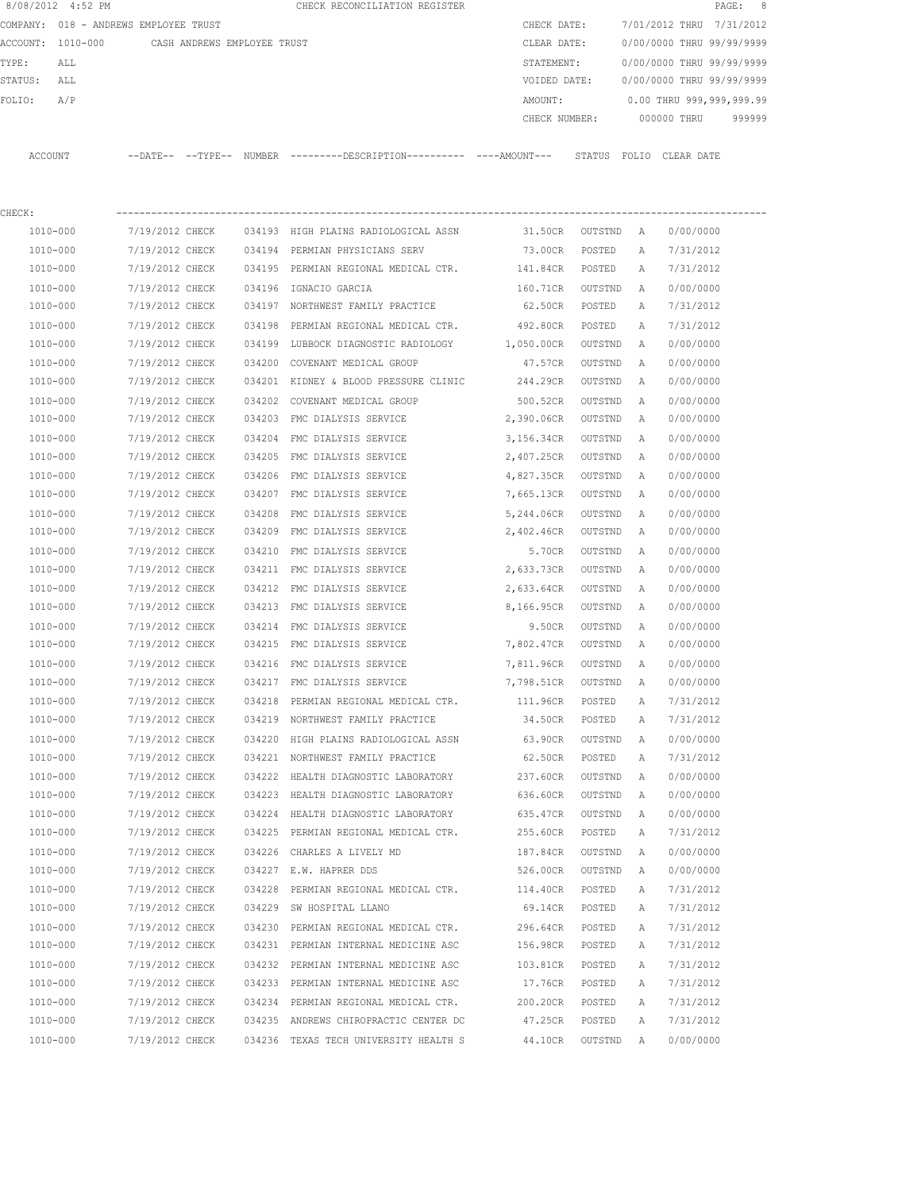|         | 8/08/2012 4:52 PM                     |                 |                             |        | CHECK RECONCILIATION REGISTER                                      |                |         |              |                           | 8<br>PAGE: |
|---------|---------------------------------------|-----------------|-----------------------------|--------|--------------------------------------------------------------------|----------------|---------|--------------|---------------------------|------------|
|         | COMPANY: 018 - ANDREWS EMPLOYEE TRUST |                 |                             |        |                                                                    | CHECK DATE:    |         |              | 7/01/2012 THRU            | 7/31/2012  |
|         | ACCOUNT: 1010-000                     |                 | CASH ANDREWS EMPLOYEE TRUST |        |                                                                    | CLEAR DATE:    |         |              | 0/00/0000 THRU 99/99/9999 |            |
| TYPE:   | ALL                                   |                 |                             |        |                                                                    | STATEMENT:     |         |              | 0/00/0000 THRU 99/99/9999 |            |
| STATUS: | ALL                                   |                 |                             |        |                                                                    | VOIDED DATE:   |         |              | 0/00/0000 THRU 99/99/9999 |            |
| FOLIO:  | A/P                                   |                 |                             |        |                                                                    | AMOUNT:        |         |              | 0.00 THRU 999,999,999.99  |            |
|         |                                       |                 |                             |        |                                                                    | CHECK NUMBER:  |         |              | 000000 THRU               | 999999     |
|         | ACCOUNT                               |                 |                             |        | --DATE-- --TYPE-- NUMBER --------DESCRIPTION--------- ---AMOUNT--- |                |         |              | STATUS FOLIO CLEAR DATE   |            |
| CHECK:  |                                       |                 |                             |        |                                                                    |                |         |              |                           |            |
|         | 1010-000                              | 7/19/2012 CHECK |                             |        | 034193 HIGH PLAINS RADIOLOGICAL ASSN                               | 31.50CR        | OUTSTND | A            | 0/00/0000                 |            |
|         | 1010-000                              | 7/19/2012 CHECK |                             | 034194 | PERMIAN PHYSICIANS SERV                                            | 73.00CR        | POSTED  | Α            | 7/31/2012                 |            |
|         | 1010-000                              | 7/19/2012 CHECK |                             |        | 034195 PERMIAN REGIONAL MEDICAL CTR.                               | 141.84CR       | POSTED  | Α            | 7/31/2012                 |            |
|         | 1010-000                              | 7/19/2012 CHECK |                             |        | 034196 IGNACIO GARCIA                                              | 160.71CR       | OUTSTND | Α            | 0/00/0000                 |            |
|         | 1010-000                              | 7/19/2012 CHECK |                             |        | 034197 NORTHWEST FAMILY PRACTICE                                   | 62.50CR        | POSTED  | Α            | 7/31/2012                 |            |
|         | 1010-000                              | 7/19/2012 CHECK |                             | 034198 | PERMIAN REGIONAL MEDICAL CTR.                                      | 492.80CR       | POSTED  | Α            | 7/31/2012                 |            |
|         | 1010-000                              | 7/19/2012 CHECK |                             |        | 034199 LUBBOCK DIAGNOSTIC RADIOLOGY                                | 1,050.00CR     | OUTSTND | Α            | 0/00/0000                 |            |
|         | 1010-000                              | 7/19/2012 CHECK |                             | 034200 | COVENANT MEDICAL GROUP                                             | 47.57CR        | OUTSTND | Α            | 0/00/0000                 |            |
|         | 1010-000                              | 7/19/2012 CHECK |                             | 034201 | KIDNEY & BLOOD PRESSURE CLINIC                                     | 244.29CR       | OUTSTND | Α            | 0/00/0000                 |            |
|         | 1010-000                              | 7/19/2012 CHECK |                             | 034202 | COVENANT MEDICAL GROUP                                             | 500.52CR       | OUTSTND | Α            | 0/00/0000                 |            |
|         | 1010-000                              | 7/19/2012 CHECK |                             | 034203 | FMC DIALYSIS SERVICE                                               | 2,390.06CR     | OUTSTND | Α            | 0/00/0000                 |            |
|         | 1010-000                              | 7/19/2012 CHECK |                             | 034204 | FMC DIALYSIS SERVICE                                               | 3,156.34CR     | OUTSTND | Α            | 0/00/0000                 |            |
|         | 1010-000                              | 7/19/2012 CHECK |                             | 034205 | FMC DIALYSIS SERVICE                                               | 2,407.25CR     | OUTSTND | А            | 0/00/0000                 |            |
|         | 1010-000                              | 7/19/2012 CHECK |                             | 034206 | FMC DIALYSIS SERVICE                                               | 4,827.35CR     | OUTSTND | Α            | 0/00/0000                 |            |
|         | 1010-000                              | 7/19/2012 CHECK |                             | 034207 | FMC DIALYSIS SERVICE                                               | 7,665.13CR     | OUTSTND | Α            | 0/00/0000                 |            |
|         | 1010-000                              | 7/19/2012 CHECK |                             | 034208 | FMC DIALYSIS SERVICE                                               | 5,244.06CR     | OUTSTND | Α            | 0/00/0000                 |            |
|         | 1010-000                              | 7/19/2012 CHECK |                             | 034209 | FMC DIALYSIS SERVICE                                               | 2,402.46CR     | OUTSTND | Α            | 0/00/0000                 |            |
|         | 1010-000                              | 7/19/2012 CHECK |                             | 034210 | FMC DIALYSIS SERVICE                                               | 5.70CR         | OUTSTND | Α            | 0/00/0000                 |            |
|         | 1010-000                              | 7/19/2012 CHECK |                             | 034211 | FMC DIALYSIS SERVICE                                               | 2,633.73CR     | OUTSTND | Α            | 0/00/0000                 |            |
|         | 1010-000                              | 7/19/2012 CHECK |                             | 034212 | FMC DIALYSIS SERVICE                                               | 2,633.64CR     | OUTSTND | Α            | 0/00/0000                 |            |
|         | 1010-000                              | 7/19/2012 CHECK |                             | 034213 | FMC DIALYSIS SERVICE                                               | 8,166.95CR     | OUTSTND | Α            | 0/00/0000                 |            |
|         | 1010-000                              | 7/19/2012 CHECK |                             | 034214 | FMC DIALYSIS SERVICE                                               | 9.50CR         | OUTSTND | Α            | 0/00/0000                 |            |
|         | 1010-000                              | 7/19/2012 CHECK |                             | 034215 | FMC DIALYSIS SERVICE                                               | 7,802.47CR     | OUTSTND | Α            | 0/00/0000                 |            |
|         | $1010 - 000$                          | 7/19/2012 CHECK |                             |        | 034216 FMC DIALYSIS SERVICE                                        | 7,811.96CR     | OUTSTND | A            | 0/00/0000                 |            |
|         | 1010-000                              | 7/19/2012 CHECK |                             |        | 034217 FMC DIALYSIS SERVICE                                        | 7,798.51CR     | OUTSTND | A            | 0/00/0000                 |            |
|         | 1010-000                              | 7/19/2012 CHECK |                             |        | 034218 PERMIAN REGIONAL MEDICAL CTR.                               | 111.96CR       | POSTED  | Α            | 7/31/2012                 |            |
|         | 1010-000                              | 7/19/2012 CHECK |                             |        | 034219 NORTHWEST FAMILY PRACTICE                                   | 34.50CR        | POSTED  | Α            | 7/31/2012                 |            |
|         | 1010-000                              | 7/19/2012 CHECK |                             |        | 034220 HIGH PLAINS RADIOLOGICAL ASSN                               | 63.90CR        | OUTSTND | $\mathbb A$  | 0/00/0000                 |            |
|         | 1010-000                              | 7/19/2012 CHECK |                             |        | 034221 NORTHWEST FAMILY PRACTICE                                   | 62.50CR        | POSTED  | Α            | 7/31/2012                 |            |
|         | 1010-000                              | 7/19/2012 CHECK |                             |        | 034222 HEALTH DIAGNOSTIC LABORATORY                                | 237.60CR       | OUTSTND | Α            | 0/00/0000                 |            |
|         | 1010-000                              | 7/19/2012 CHECK |                             |        | 034223 HEALTH DIAGNOSTIC LABORATORY                                | 636.60CR       | OUTSTND | Α            | 0/00/0000                 |            |
|         | 1010-000                              | 7/19/2012 CHECK |                             |        | 034224 HEALTH DIAGNOSTIC LABORATORY                                | 635.47CR       | OUTSTND | Α            | 0/00/0000                 |            |
|         | 1010-000                              | 7/19/2012 CHECK |                             |        | 034225 PERMIAN REGIONAL MEDICAL CTR.                               | 255.60CR       | POSTED  | Α            | 7/31/2012                 |            |
|         | 1010-000                              | 7/19/2012 CHECK |                             |        | 034226 CHARLES A LIVELY MD                                         | 187.84CR       | OUTSTND | A            | 0/00/0000                 |            |
|         | 1010-000                              | 7/19/2012 CHECK |                             |        | 034227 E.W. HAPRER DDS                                             | 526.00CR       | OUTSTND | A            | 0/00/0000                 |            |
|         | 1010-000                              | 7/19/2012 CHECK |                             |        | 034228 PERMIAN REGIONAL MEDICAL CTR.                               | 114.40CR       | POSTED  | Α            | 7/31/2012                 |            |
|         | 1010-000                              | 7/19/2012 CHECK |                             |        | 034229 SW HOSPITAL LLANO                                           | 69.14CR        | POSTED  | Α            | 7/31/2012                 |            |
|         | 1010-000                              | 7/19/2012 CHECK |                             |        | 034230 PERMIAN REGIONAL MEDICAL CTR.                               | 296.64CR       | POSTED  | Α            | 7/31/2012                 |            |
|         | 1010-000                              | 7/19/2012 CHECK |                             |        | 034231 PERMIAN INTERNAL MEDICINE ASC                               | 156.98CR       | POSTED  | Α            | 7/31/2012                 |            |
|         | 1010-000                              | 7/19/2012 CHECK |                             |        | 034232 PERMIAN INTERNAL MEDICINE ASC                               | 103.81CR       | POSTED  | Α            | 7/31/2012                 |            |
|         | 1010-000                              | 7/19/2012 CHECK |                             |        | 034233 PERMIAN INTERNAL MEDICINE ASC                               | 17.76CR        | POSTED  | Α            | 7/31/2012                 |            |
|         | 1010-000                              | 7/19/2012 CHECK |                             |        | 034234 PERMIAN REGIONAL MEDICAL CTR.                               | 200.20CR       | POSTED  | $\mathbb{A}$ | 7/31/2012                 |            |
|         | 1010-000                              | 7/19/2012 CHECK |                             |        | 034235 ANDREWS CHIROPRACTIC CENTER DC                              | 47.25CR POSTED |         | Α            | 7/31/2012                 |            |
|         | 1010-000                              | 7/19/2012 CHECK |                             |        | 034236 TEXAS TECH UNIVERSITY HEALTH S                              | 44.10CR        | OUTSTND | A            | 0/00/0000                 |            |
|         |                                       |                 |                             |        |                                                                    |                |         |              |                           |            |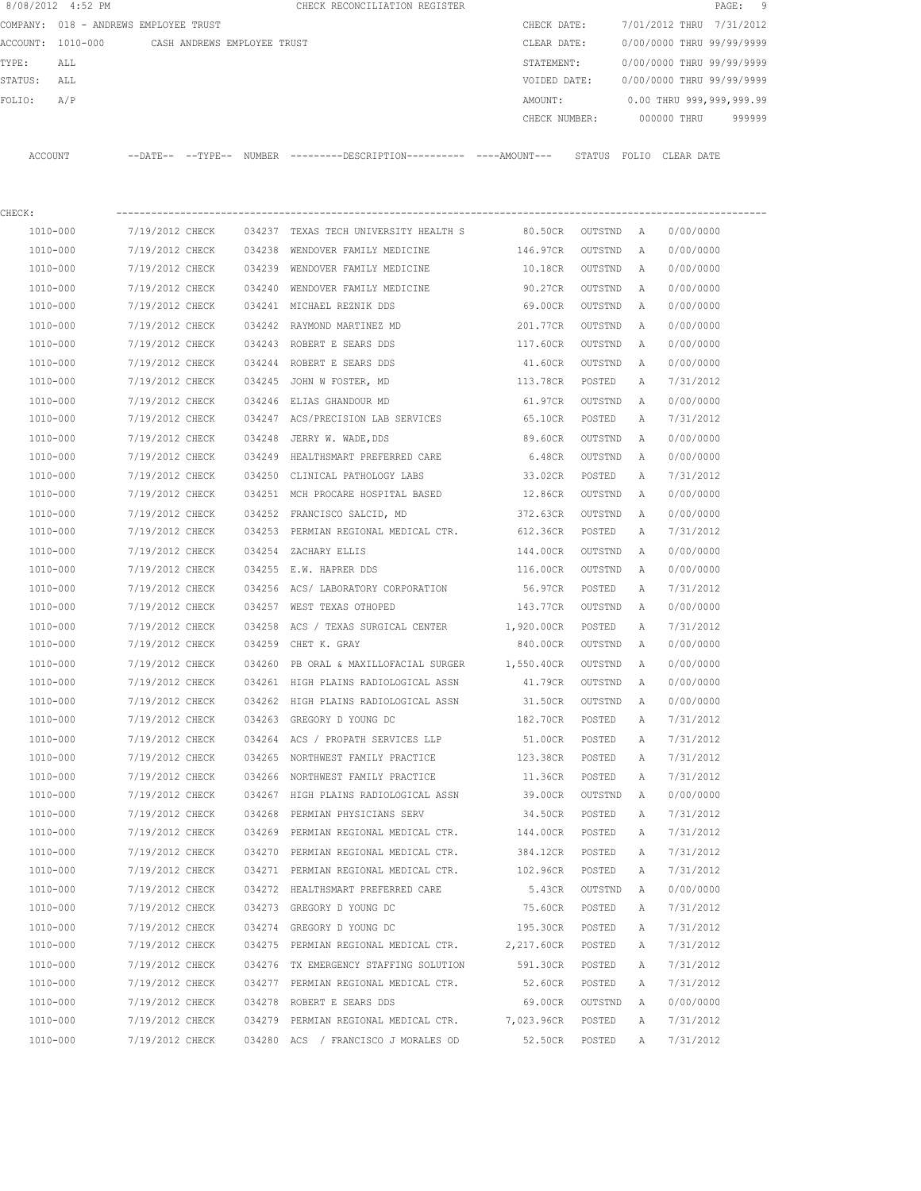|                | 8/08/2012 4:52 PM                     |                 |                             |        | CHECK RECONCILIATION REGISTER                                                              |                   |         |   |                           | 9<br>PAGE: |
|----------------|---------------------------------------|-----------------|-----------------------------|--------|--------------------------------------------------------------------------------------------|-------------------|---------|---|---------------------------|------------|
|                | COMPANY: 018 - ANDREWS EMPLOYEE TRUST |                 |                             |        |                                                                                            | CHECK DATE:       |         |   | 7/01/2012 THRU            | 7/31/2012  |
|                | ACCOUNT: 1010-000                     |                 | CASH ANDREWS EMPLOYEE TRUST |        |                                                                                            | CLEAR DATE:       |         |   | 0/00/0000 THRU 99/99/9999 |            |
| TYPE:          | ALL                                   |                 |                             |        |                                                                                            | STATEMENT:        |         |   | 0/00/0000 THRU 99/99/9999 |            |
| STATUS:        | ALL                                   |                 |                             |        |                                                                                            | VOIDED DATE:      |         |   | 0/00/0000 THRU 99/99/9999 |            |
| FOLIO:         | A/P                                   |                 |                             |        |                                                                                            | AMOUNT:           |         |   | 0.00 THRU 999,999,999.99  |            |
|                |                                       |                 |                             |        |                                                                                            | CHECK NUMBER:     |         |   | 000000 THRU               | 999999     |
| <b>ACCOUNT</b> |                                       |                 |                             |        | --DATE-- --TYPE-- NUMBER --------DESCRIPTION--------- ----AMOUNT--- STATUS FOLIO CLEARDATE |                   |         |   |                           |            |
| CHECK:         |                                       |                 |                             |        |                                                                                            |                   |         |   |                           |            |
| 1010-000       |                                       | 7/19/2012 CHECK |                             |        | 034237 TEXAS TECH UNIVERSITY HEALTH S                                                      | 80.50CR           | OUTSTND | A | 0/00/0000                 |            |
| 1010-000       |                                       | 7/19/2012 CHECK |                             | 034238 | WENDOVER FAMILY MEDICINE                                                                   | 146.97CR          | OUTSTND | Α | 0/00/0000                 |            |
| 1010-000       |                                       | 7/19/2012 CHECK |                             | 034239 | WENDOVER FAMILY MEDICINE                                                                   | 10.18CR           | OUTSTND | Α | 0/00/0000                 |            |
| 1010-000       |                                       | 7/19/2012 CHECK |                             |        | 034240 WENDOVER FAMILY MEDICINE                                                            | 90.27CR           | OUTSTND | Α | 0/00/0000                 |            |
| 1010-000       |                                       | 7/19/2012 CHECK |                             |        | 034241 MICHAEL REZNIK DDS                                                                  | 69.00CR           | OUTSTND | Α | 0/00/0000                 |            |
| 1010-000       |                                       | 7/19/2012 CHECK |                             |        | 034242 RAYMOND MARTINEZ MD                                                                 | 201.77CR          | OUTSTND | A | 0/00/0000                 |            |
| 1010-000       |                                       | 7/19/2012 CHECK |                             |        | 034243 ROBERT E SEARS DDS                                                                  | 117.60CR          | OUTSTND | Α | 0/00/0000                 |            |
| 1010-000       |                                       | 7/19/2012 CHECK |                             | 034244 | ROBERT E SEARS DDS                                                                         | 41.60CR           | OUTSTND | Α | 0/00/0000                 |            |
| 1010-000       |                                       | 7/19/2012 CHECK |                             |        | 034245 JOHN W FOSTER, MD                                                                   | 113.78CR          | POSTED  | А | 7/31/2012                 |            |
| 1010-000       |                                       | 7/19/2012 CHECK |                             |        | 034246 ELIAS GHANDOUR MD                                                                   | 61.97CR           | OUTSTND | Α | 0/00/0000                 |            |
| 1010-000       |                                       | 7/19/2012 CHECK |                             |        | 034247 ACS/PRECISION LAB SERVICES                                                          | 65.10CR           | POSTED  | А | 7/31/2012                 |            |
| 1010-000       |                                       | 7/19/2012 CHECK |                             | 034248 | JERRY W. WADE, DDS                                                                         | 89.60CR           | OUTSTND | Α | 0/00/0000                 |            |
| 1010-000       |                                       | 7/19/2012 CHECK |                             |        | 034249 HEALTHSMART PREFERRED CARE                                                          | 6.48CR            | OUTSTND | A | 0/00/0000                 |            |
| 1010-000       |                                       | 7/19/2012 CHECK |                             | 034250 | CLINICAL PATHOLOGY LABS                                                                    | 33.02CR           | POSTED  | Α | 7/31/2012                 |            |
| 1010-000       |                                       | 7/19/2012 CHECK |                             |        | 034251 MCH PROCARE HOSPITAL BASED                                                          | 12.86CR           | OUTSTND | Α | 0/00/0000                 |            |
| 1010-000       |                                       | 7/19/2012 CHECK |                             |        | 034252 FRANCISCO SALCID, MD                                                                | 372.63CR          | OUTSTND | Α | 0/00/0000                 |            |
| 1010-000       |                                       | 7/19/2012 CHECK |                             |        | 034253 PERMIAN REGIONAL MEDICAL CTR.                                                       | 612.36CR          | POSTED  | Α | 7/31/2012                 |            |
| 1010-000       |                                       | 7/19/2012 CHECK |                             | 034254 | ZACHARY ELLIS                                                                              | 144.00CR          | OUTSTND | Α | 0/00/0000                 |            |
| 1010-000       |                                       | 7/19/2012 CHECK |                             |        | 034255 E.W. HAPRER DDS                                                                     | 116.00CR          | OUTSTND | Α | 0/00/0000                 |            |
| 1010-000       |                                       | 7/19/2012 CHECK |                             | 034256 | ACS/ LABORATORY CORPORATION                                                                | 56.97CR           | POSTED  | Α | 7/31/2012                 |            |
| 1010-000       |                                       | 7/19/2012 CHECK |                             | 034257 | WEST TEXAS OTHOPED                                                                         | 143.77CR          | OUTSTND | Α | 0/00/0000                 |            |
| 1010-000       |                                       | 7/19/2012 CHECK |                             | 034258 | ACS / TEXAS SURGICAL CENTER                                                                | 1,920.00CR        | POSTED  | Α | 7/31/2012                 |            |
| 1010-000       |                                       | 7/19/2012 CHECK |                             |        | 034259 CHET K. GRAY                                                                        | 840.00CR          | OUTSTND | Α | 0/00/0000                 |            |
| 1010-000       |                                       | 7/19/2012 CHECK |                             |        | 034260 PB ORAL & MAXILLOFACIAL SURGER                                                      | 1,550.40CR        | OUTSTND | A | 0/00/0000                 |            |
| 1010-000       |                                       | 7/19/2012 CHECK |                             |        | 034261 HIGH PLAINS RADIOLOGICAL ASSN                                                       | 41.79CR           | OUTSTND | Α | 0/00/0000                 |            |
| $1010 - 000$   |                                       | 7/19/2012 CHECK |                             |        | 034262 HIGH PLAINS RADIOLOGICAL ASSN                                                       | 31.50CR           | OUTSTND | Α | 0/00/0000                 |            |
| 1010-000       |                                       | 7/19/2012 CHECK |                             |        | 034263 GREGORY D YOUNG DC                                                                  | 182.70CR          | POSTED  | Α | 7/31/2012                 |            |
| 1010-000       |                                       | 7/19/2012 CHECK |                             |        | 034264 ACS / PROPATH SERVICES LLP                                                          | 51.00CR           | POSTED  | Α | 7/31/2012                 |            |
| 1010-000       |                                       | 7/19/2012 CHECK |                             |        | 034265 NORTHWEST FAMILY PRACTICE                                                           | 123.38CR          | POSTED  | Α | 7/31/2012                 |            |
| 1010-000       |                                       | 7/19/2012 CHECK |                             |        | 034266 NORTHWEST FAMILY PRACTICE                                                           | 11.36CR           | POSTED  | Α | 7/31/2012                 |            |
| 1010-000       |                                       | 7/19/2012 CHECK |                             |        | 034267 HIGH PLAINS RADIOLOGICAL ASSN                                                       | 39.00CR           | OUTSTND | Α | 0/00/0000                 |            |
| 1010-000       |                                       | 7/19/2012 CHECK |                             | 034268 | PERMIAN PHYSICIANS SERV                                                                    | 34.50CR           | POSTED  | Α | 7/31/2012                 |            |
| 1010-000       |                                       | 7/19/2012 CHECK |                             |        | 034269 PERMIAN REGIONAL MEDICAL CTR.                                                       | 144.00CR          | POSTED  | Α | 7/31/2012                 |            |
| $1010 - 000$   |                                       | 7/19/2012 CHECK |                             |        | 034270 PERMIAN REGIONAL MEDICAL CTR.                                                       | 384.12CR          | POSTED  | Α | 7/31/2012                 |            |
| 1010-000       |                                       | 7/19/2012 CHECK |                             |        | 034271 PERMIAN REGIONAL MEDICAL CTR.                                                       | 102.96CR          | POSTED  | Α | 7/31/2012                 |            |
| 1010-000       |                                       | 7/19/2012 CHECK |                             |        | 034272 HEALTHSMART PREFERRED CARE                                                          | 5.43CR            | OUTSTND | Α | 0/00/0000                 |            |
| 1010-000       |                                       | 7/19/2012 CHECK |                             |        | 034273 GREGORY D YOUNG DC                                                                  | 75.60CR           | POSTED  | Α | 7/31/2012                 |            |
| 1010-000       |                                       | 7/19/2012 CHECK |                             |        | 034274 GREGORY D YOUNG DC                                                                  | 195.30CR          | POSTED  | Α | 7/31/2012                 |            |
| 1010-000       |                                       | 7/19/2012 CHECK |                             |        | 034275 PERMIAN REGIONAL MEDICAL CTR. 2,217.60CR                                            |                   | POSTED  | Α | 7/31/2012                 |            |
| 1010-000       |                                       | 7/19/2012 CHECK |                             |        | 034276 TX EMERGENCY STAFFING SOLUTION                                                      | 591.30CR          | POSTED  | Α | 7/31/2012                 |            |
| 1010-000       |                                       | 7/19/2012 CHECK |                             |        | 034277 PERMIAN REGIONAL MEDICAL CTR.                                                       | 52.60CR           | POSTED  | Α | 7/31/2012                 |            |
| 1010-000       |                                       | 7/19/2012 CHECK |                             |        | 034278 ROBERT E SEARS DDS                                                                  | 69.00CR           | OUTSTND | Α | 0/00/0000                 |            |
| 1010-000       |                                       | 7/19/2012 CHECK |                             |        | 034279 PERMIAN REGIONAL MEDICAL CTR.                                                       | 7,023.96CR POSTED |         | Α | 7/31/2012                 |            |
| 1010-000       |                                       | 7/19/2012 CHECK |                             |        | 034280 ACS / FRANCISCO J MORALES OD                                                        | 52.50CR           | POSTED  | Α | 7/31/2012                 |            |
|                |                                       |                 |                             |        |                                                                                            |                   |         |   |                           |            |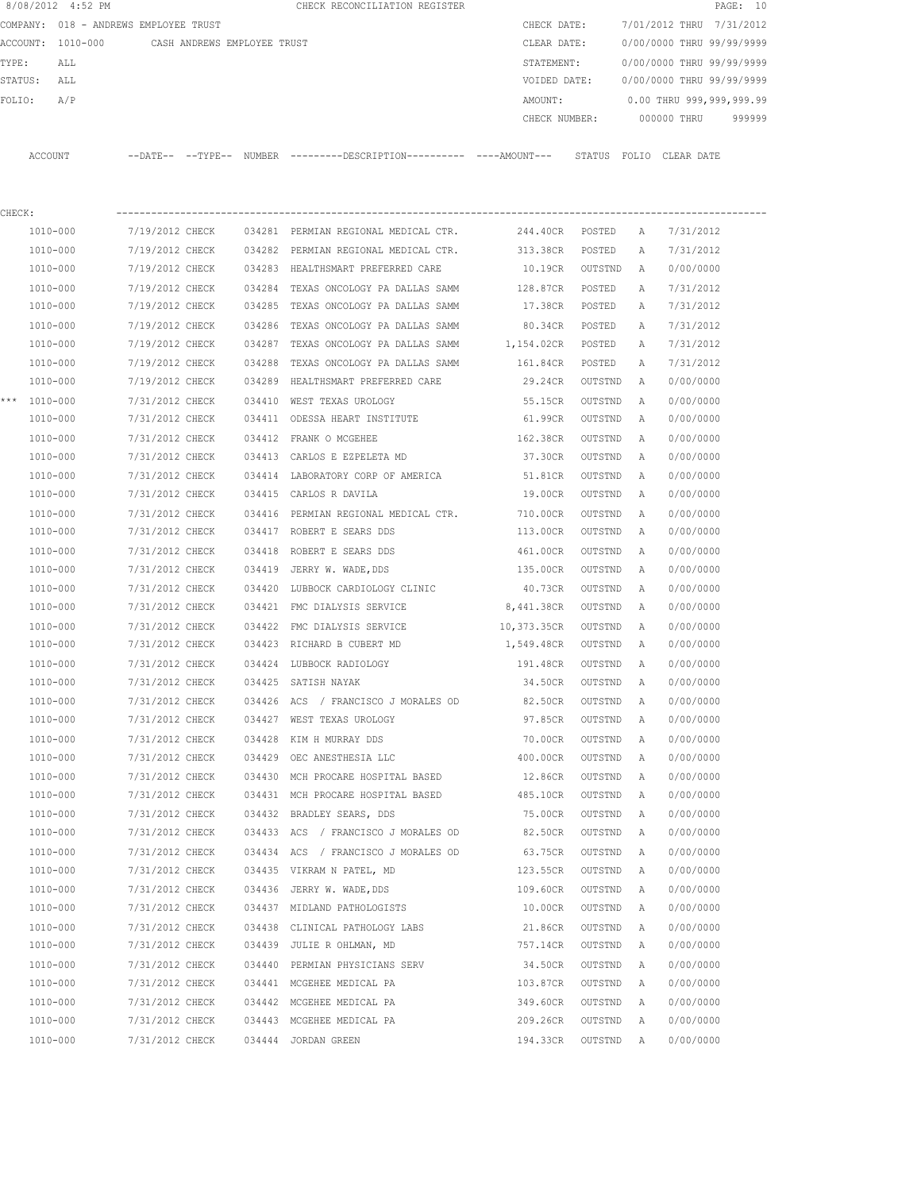|        | 8/08/2012 4:52 PM                     |                 |                             |        | CHECK RECONCILIATION REGISTER                                                                |               |         |              |                           | PAGE: 10 |
|--------|---------------------------------------|-----------------|-----------------------------|--------|----------------------------------------------------------------------------------------------|---------------|---------|--------------|---------------------------|----------|
|        | COMPANY: 018 - ANDREWS EMPLOYEE TRUST |                 |                             |        |                                                                                              | CHECK DATE:   |         |              | 7/01/2012 THRU 7/31/2012  |          |
|        | ACCOUNT: 1010-000                     |                 | CASH ANDREWS EMPLOYEE TRUST |        |                                                                                              | CLEAR DATE:   |         |              | 0/00/0000 THRU 99/99/9999 |          |
| TYPE:  | ALL                                   |                 |                             |        |                                                                                              | STATEMENT:    |         |              | 0/00/0000 THRU 99/99/9999 |          |
|        | STATUS:<br>ALL                        |                 |                             |        |                                                                                              | VOIDED DATE:  |         |              | 0/00/0000 THRU 99/99/9999 |          |
| FOLIO: | A/P                                   |                 |                             |        |                                                                                              | AMOUNT:       |         |              | 0.00 THRU 999,999,999.99  |          |
|        |                                       |                 |                             |        |                                                                                              | CHECK NUMBER: |         |              | 000000 THRU               | 999999   |
|        | ACCOUNT                               |                 |                             |        | --DATE-- --TYPE-- NUMBER ---------DESCRIPTION---------- ----AMOUNT--- STATUS FOLIO CLEARDATE |               |         |              |                           |          |
| CHECK: |                                       |                 |                             |        |                                                                                              |               |         |              |                           |          |
|        | 1010-000                              | 7/19/2012 CHECK |                             |        | 034281 PERMIAN REGIONAL MEDICAL CTR.                                                         | 244.40CR      | POSTED  | A            | 7/31/2012                 |          |
|        | 1010-000                              | 7/19/2012 CHECK |                             |        | 034282 PERMIAN REGIONAL MEDICAL CTR.                                                         | 313.38CR      | POSTED  | A            | 7/31/2012                 |          |
|        | 1010-000                              | 7/19/2012 CHECK |                             |        | 034283 HEALTHSMART PREFERRED CARE                                                            | 10.19CR       | OUTSTND | Α            | 0/00/0000                 |          |
|        | 1010-000                              | 7/19/2012 CHECK |                             |        | 034284 TEXAS ONCOLOGY PA DALLAS SAMM                                                         | 128.87CR      | POSTED  | A            | 7/31/2012                 |          |
|        | 1010-000                              | 7/19/2012 CHECK |                             |        | 034285 TEXAS ONCOLOGY PA DALLAS SAMM                                                         | 17.38CR       | POSTED  | A            | 7/31/2012                 |          |
|        | 1010-000                              | 7/19/2012 CHECK |                             | 034286 | TEXAS ONCOLOGY PA DALLAS SAMM                                                                | 80.34CR       | POSTED  | Α            | 7/31/2012                 |          |
|        | 1010-000                              | 7/19/2012 CHECK |                             | 034287 | TEXAS ONCOLOGY PA DALLAS SAMM                                                                | 1,154.02CR    | POSTED  | Α            | 7/31/2012                 |          |
|        | 1010-000                              | 7/19/2012 CHECK |                             | 034288 | TEXAS ONCOLOGY PA DALLAS SAMM                                                                | 161.84CR      | POSTED  | Α            | 7/31/2012                 |          |
|        | 1010-000                              | 7/19/2012 CHECK |                             | 034289 | HEALTHSMART PREFERRED CARE                                                                   | 29.24CR       | OUTSTND | A            | 0/00/0000                 |          |
|        | *** 1010-000                          | 7/31/2012 CHECK |                             | 034410 | WEST TEXAS UROLOGY                                                                           | 55.15CR       | OUTSTND | Α            | 0/00/0000                 |          |
|        | 1010-000                              | 7/31/2012 CHECK |                             |        | 034411 ODESSA HEART INSTITUTE                                                                | 61.99CR       | OUTSTND | Α            | 0/00/0000                 |          |
|        | 1010-000                              | 7/31/2012 CHECK |                             |        | 034412 FRANK O MCGEHEE                                                                       | 162.38CR      | OUTSTND |              | 0/00/0000                 |          |
|        | 1010-000                              | 7/31/2012 CHECK |                             |        | 034413 CARLOS E EZPELETA MD                                                                  | 37.30CR       | OUTSTND | Α<br>Α       | 0/00/0000                 |          |
|        |                                       |                 |                             |        |                                                                                              |               |         |              |                           |          |
|        | 1010-000                              | 7/31/2012 CHECK |                             |        | 034414 LABORATORY CORP OF AMERICA                                                            | 51.81CR       | OUTSTND | Α            | 0/00/0000                 |          |
|        | 1010-000                              | 7/31/2012 CHECK |                             |        | 034415 CARLOS R DAVILA                                                                       | 19.00CR       | OUTSTND | A            | 0/00/0000                 |          |
|        | 1010-000                              | 7/31/2012 CHECK |                             | 034416 | PERMIAN REGIONAL MEDICAL CTR.                                                                | 710.00CR      | OUTSTND | Α            | 0/00/0000                 |          |
|        | 1010-000                              | 7/31/2012 CHECK |                             | 034417 | ROBERT E SEARS DDS                                                                           | 113.00CR      | OUTSTND | A            | 0/00/0000                 |          |
|        | 1010-000                              | 7/31/2012 CHECK |                             | 034418 | ROBERT E SEARS DDS                                                                           | 461.00CR      | OUTSTND | Α            | 0/00/0000                 |          |
|        | 1010-000                              | 7/31/2012 CHECK |                             | 034419 | JERRY W. WADE, DDS                                                                           | 135.00CR      | OUTSTND | Α            | 0/00/0000                 |          |
|        | 1010-000                              | 7/31/2012 CHECK |                             | 034420 | LUBBOCK CARDIOLOGY CLINIC                                                                    | 40.73CR       | OUTSTND | Α            | 0/00/0000                 |          |
|        | 1010-000                              | 7/31/2012 CHECK |                             |        | 034421 FMC DIALYSIS SERVICE                                                                  | 8,441.38CR    | OUTSTND | Α            | 0/00/0000                 |          |
|        | 1010-000                              | 7/31/2012 CHECK |                             | 034422 | FMC DIALYSIS SERVICE                                                                         | 10,373.35CR   | OUTSTND | Α            | 0/00/0000                 |          |
|        | 1010-000                              | 7/31/2012 CHECK |                             |        | 034423 RICHARD B CUBERT MD                                                                   | 1,549.48CR    | OUTSTND | Α            | 0/00/0000                 |          |
|        | 1010-000                              | 7/31/2012 CHECK |                             |        | 034424 LUBBOCK RADIOLOGY                                                                     | 191.48CR      | OUTSTND | $\mathbb{A}$ | 0/00/0000                 |          |
|        | 1010-000                              | 7/31/2012 CHECK |                             |        | 034425 SATISH NAYAK                                                                          | 34.50CR       | OUTSTND | A            | 0/00/0000                 |          |
|        | 1010-000                              | 7/31/2012 CHECK |                             |        | 034426 ACS / FRANCISCO J MORALES OD                                                          | 82.50CR       | OUTSTND | Α            | 0/00/0000                 |          |
|        | 1010-000                              | 7/31/2012 CHECK |                             |        | 034427 WEST TEXAS UROLOGY                                                                    | 97.85CR       | OUTSTND | Α            | 0/00/0000                 |          |
|        | $1010 - 000$                          | 7/31/2012 CHECK |                             | 034428 | KIM H MURRAY DDS                                                                             | 70.00CR       | OUTSTND | Α            | 0/00/0000                 |          |
|        | 1010-000                              | 7/31/2012 CHECK |                             |        | 034429 OEC ANESTHESIA LLC                                                                    | 400.00CR      | OUTSTND | Α            | 0/00/0000                 |          |
|        | 1010-000                              | 7/31/2012 CHECK |                             |        | 034430 MCH PROCARE HOSPITAL BASED                                                            | 12.86CR       | OUTSTND | Α            | 0/00/0000                 |          |
|        | $1010 - 000$                          | 7/31/2012 CHECK |                             |        | 034431 MCH PROCARE HOSPITAL BASED                                                            | 485.10CR      | OUTSTND | Α            | 0/00/0000                 |          |
|        | $1010 - 000$                          | 7/31/2012 CHECK |                             |        | 034432 BRADLEY SEARS, DDS                                                                    | 75.00CR       | OUTSTND | Α            | 0/00/0000                 |          |
|        | 1010-000                              | 7/31/2012 CHECK |                             |        | 034433 ACS / FRANCISCO J MORALES OD                                                          | 82.50CR       | OUTSTND | Α            | 0/00/0000                 |          |
|        | 1010-000                              | 7/31/2012 CHECK |                             |        | 034434 ACS / FRANCISCO J MORALES OD                                                          | 63.75CR       | OUTSTND | Α            | 0/00/0000                 |          |
|        | 1010-000                              | 7/31/2012 CHECK |                             |        | 034435 VIKRAM N PATEL, MD                                                                    | 123.55CR      | OUTSTND | Α            | 0/00/0000                 |          |
|        | 1010-000                              | 7/31/2012 CHECK |                             |        | 034436 JERRY W. WADE, DDS                                                                    | 109.60CR      | OUTSTND | Α            | 0/00/0000                 |          |
|        | 1010-000                              | 7/31/2012 CHECK |                             |        | 034437 MIDLAND PATHOLOGISTS                                                                  | 10.00CR       | OUTSTND | Α            | 0/00/0000                 |          |
|        | 1010-000                              | 7/31/2012 CHECK |                             |        | 034438 CLINICAL PATHOLOGY LABS                                                               | 21.86CR       | OUTSTND | Α            | 0/00/0000                 |          |
|        | 1010-000                              | 7/31/2012 CHECK |                             |        | 034439 JULIE R OHLMAN, MD                                                                    | 757.14CR      | OUTSTND | Α            | 0/00/0000                 |          |
|        | 1010-000                              | 7/31/2012 CHECK |                             |        | 034440 PERMIAN PHYSICIANS SERV                                                               | 34.50CR       | OUTSTND | Α            | 0/00/0000                 |          |
|        | 1010-000                              | 7/31/2012 CHECK |                             |        | 034441 MCGEHEE MEDICAL PA                                                                    | 103.87CR      | OUTSTND | Α            | 0/00/0000                 |          |
|        | 1010-000                              | 7/31/2012 CHECK |                             |        | 034442 MCGEHEE MEDICAL PA                                                                    | 349.60CR      | OUTSTND | A            | 0/00/0000                 |          |
|        | 1010-000                              | 7/31/2012 CHECK |                             |        | 034443 MCGEHEE MEDICAL PA                                                                    | 209.26CR      | OUTSTND | Α            | 0/00/0000                 |          |
|        | 1010-000                              | 7/31/2012 CHECK |                             |        | 034444 JORDAN GREEN                                                                          | 194.33CR      | OUTSTND | Α            | 0/00/0000                 |          |
|        |                                       |                 |                             |        |                                                                                              |               |         |              |                           |          |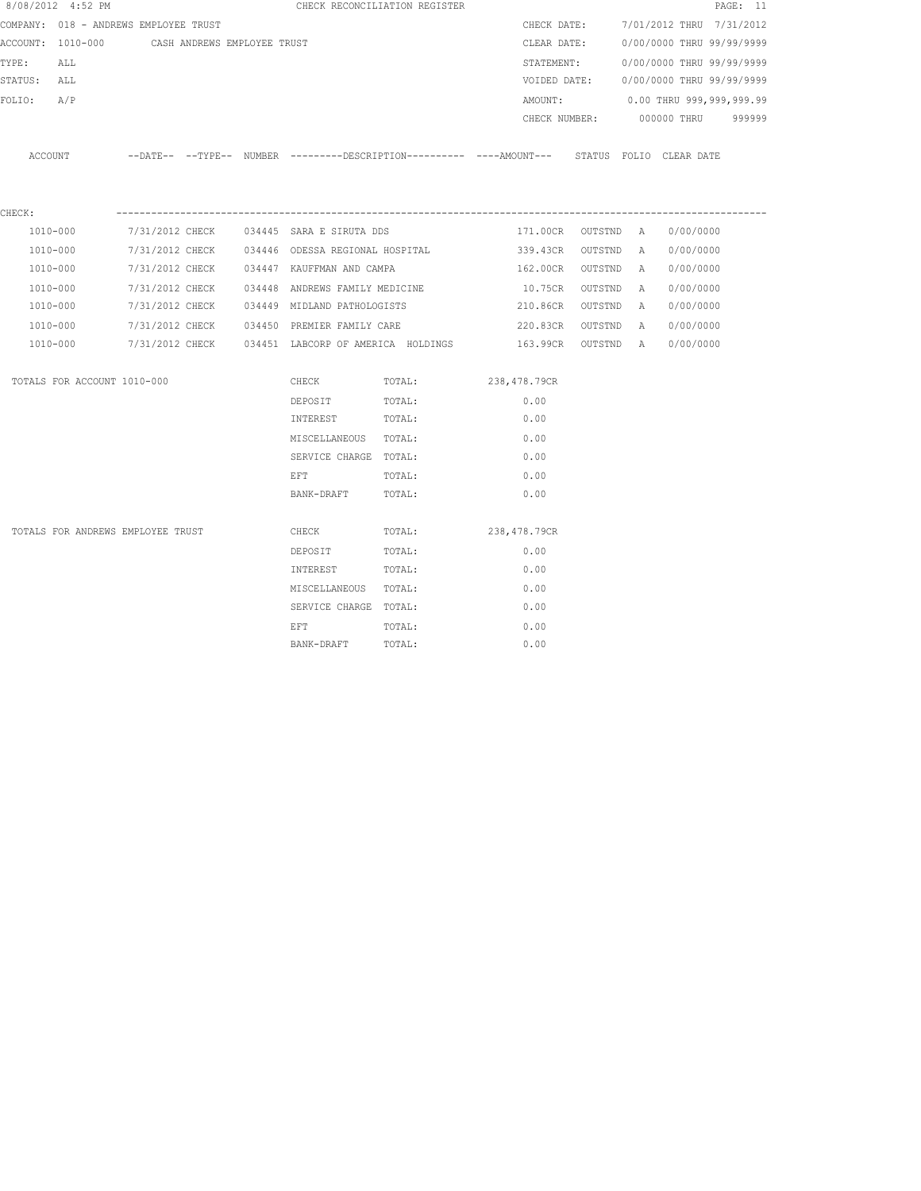|             | 8/08/2012 4:52 PM                             |  | CHECK RECONCILIATION REGISTER                                                                                  |                                                                                            |      |             |                    |                                        | PAGE: 11 |
|-------------|-----------------------------------------------|--|----------------------------------------------------------------------------------------------------------------|--------------------------------------------------------------------------------------------|------|-------------|--------------------|----------------------------------------|----------|
|             | COMPANY: 018 - ANDREWS EMPLOYEE TRUST         |  |                                                                                                                |                                                                                            |      | CHECK DATE: |                    | 7/01/2012 THRU 7/31/2012               |          |
|             | ACCOUNT: 1010-000 CASH ANDREWS EMPLOYEE TRUST |  |                                                                                                                |                                                                                            |      | CLEAR DATE: |                    | 0/00/0000 THRU 99/99/9999              |          |
| TYPE: ALL   |                                               |  |                                                                                                                |                                                                                            |      |             |                    | STATEMENT: 0/00/0000 THRU 99/99/9999   |          |
| STATUS: ALL |                                               |  |                                                                                                                |                                                                                            |      |             |                    | VOIDED DATE: 0/00/0000 THRU 99/99/9999 |          |
| FOLIO: A/P  |                                               |  |                                                                                                                |                                                                                            |      |             |                    | AMOUNT: 0.00 THRU 999,999,999.99       |          |
|             |                                               |  |                                                                                                                |                                                                                            |      |             |                    | CHECK NUMBER: 000000 THRU 999999       |          |
|             | ACCOUNT                                       |  |                                                                                                                | --DATE-- --TYPE-- NUMBER --------DESCRIPTION---------- ---AMOUNT--- STATUS FOLIO CLEARDATE |      |             |                    |                                        |          |
| CHECK:      |                                               |  |                                                                                                                |                                                                                            |      |             |                    |                                        |          |
|             | 1010-000                                      |  | 7/31/2012 CHECK 034445 SARA E SIRUTA DDS                                                                       |                                                                                            |      |             | 171.00CR OUTSTND A | 0/00/0000                              |          |
|             | 1010-000                                      |  | 7/31/2012 CHECK 034446 ODESSA REGIONAL HOSPITAL                                                                |                                                                                            |      |             | 339.43CR OUTSTND A | 0/00/0000                              |          |
|             | 1010-000                                      |  | 7/31/2012 CHECK 034447 KAUFFMAN AND CAMPA                                                                      |                                                                                            |      |             | 162.00CR OUTSTND A | 0/00/0000                              |          |
| 1010-000    |                                               |  | 7/31/2012 CHECK 034448 ANDREWS FAMILY MEDICINE                                                                 |                                                                                            |      |             | 10.75CR OUTSTND A  | 0/00/0000                              |          |
| 1010-000    |                                               |  | 7/31/2012 CHECK 034449 MIDLAND PATHOLOGISTS                                                                    |                                                                                            |      |             | 210.86CR OUTSTND A | 0/00/0000                              |          |
|             | 1010-000                                      |  |                                                                                                                | $7/31/2012$ CHECK $034450$ PREMIER FAMILY CARE                                             |      |             | 220.83CR OUTSTND A | 0/00/0000                              |          |
|             | 1010-000                                      |  |                                                                                                                | 7/31/2012 CHECK    034451  LABCORP OF AMERICA  HOLDINGS        163.99CR   OUTSTND   A      |      |             |                    | 0/00/0000                              |          |
|             | TOTALS FOR ACCOUNT 1010-000                   |  |                                                                                                                | CHECK TOTAL: 238,478.79CR                                                                  |      |             |                    |                                        |          |
|             |                                               |  | DEPOSIT TOTAL:                                                                                                 |                                                                                            | 0.00 |             |                    |                                        |          |
|             |                                               |  | INTEREST TOTAL:                                                                                                |                                                                                            | 0.00 |             |                    |                                        |          |
|             |                                               |  | MISCELLANEOUS TOTAL:                                                                                           |                                                                                            | 0.00 |             |                    |                                        |          |
|             |                                               |  | SERVICE CHARGE TOTAL:                                                                                          |                                                                                            | 0.00 |             |                    |                                        |          |
|             |                                               |  | EFT FOR THE STATE OF THE STATE OF THE STATE OF THE STATE OF THE STATE OF THE STATE OF THE STATE OF THE STATE O | TOTAL:                                                                                     | 0.00 |             |                    |                                        |          |
|             |                                               |  | BANK-DRAFT                                                                                                     | TOTAL:                                                                                     |      | 0.00        |                    |                                        |          |
|             | TOTALS FOR ANDREWS EMPLOYEE TRUST             |  |                                                                                                                | CHECK TOTAL: 238,478.79CR                                                                  |      |             |                    |                                        |          |
|             |                                               |  | DEPOSIT                                                                                                        | TOTAL:                                                                                     | 0.00 |             |                    |                                        |          |
|             |                                               |  | INTEREST TOTAL:                                                                                                |                                                                                            | 0.00 |             |                    |                                        |          |
|             |                                               |  | MISCELLANEOUS TOTAL:                                                                                           |                                                                                            |      | 0.00        |                    |                                        |          |
|             |                                               |  | SERVICE CHARGE TOTAL:                                                                                          |                                                                                            | 0.00 |             |                    |                                        |          |
|             |                                               |  | EFT FOR THE STATE OF THE STATE OF THE STATE OF THE STATE OF THE STATE OF THE STATE OF THE STATE OF THE STATE O | TOTAL:                                                                                     |      | 0.00        |                    |                                        |          |
|             |                                               |  | BANK-DRAFT                                                                                                     | TOTAL:                                                                                     |      | 0.00        |                    |                                        |          |
|             |                                               |  |                                                                                                                |                                                                                            |      |             |                    |                                        |          |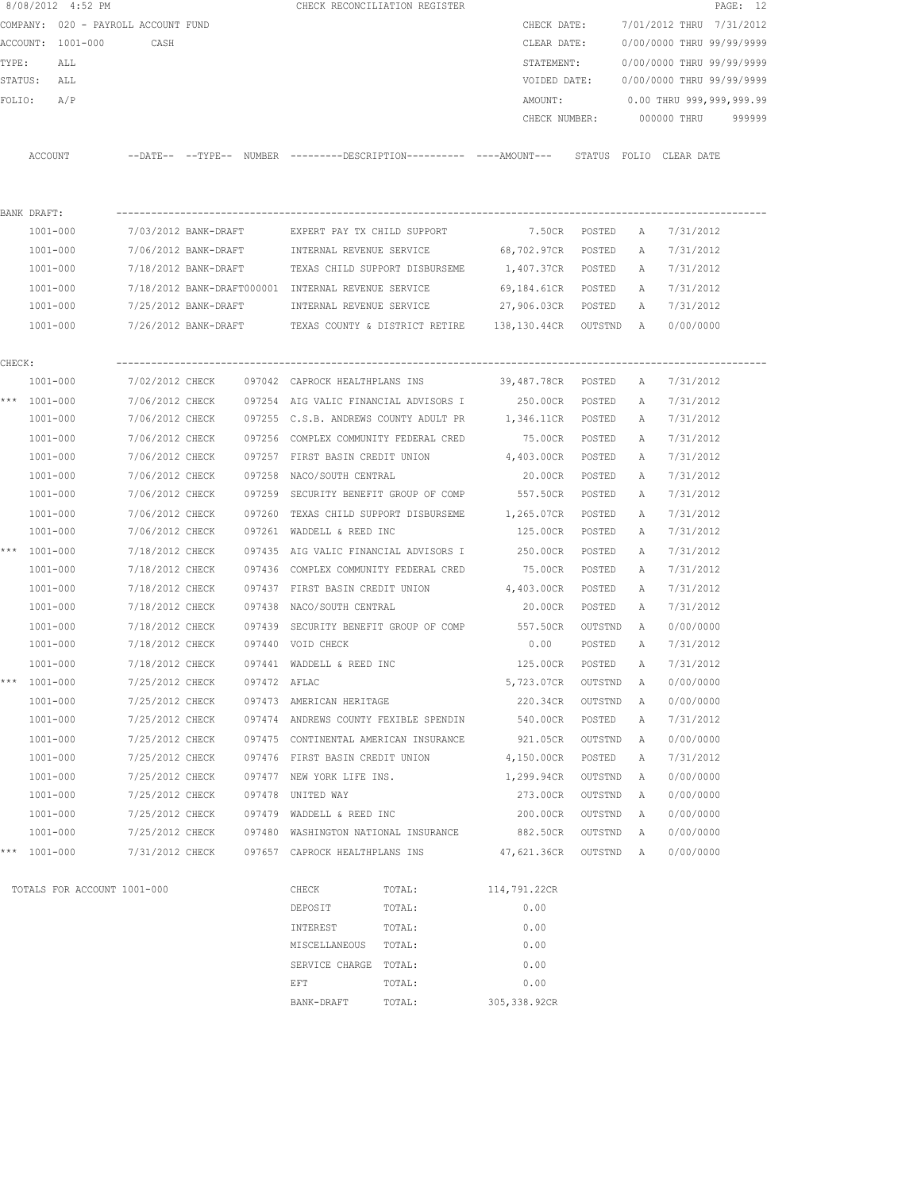|        | 8/08/2012 4:52 PM                   |                      |              |                                                     | CHECK RECONCILIATION REGISTER                                                               |                    |               |              |                           | PAGE: 12 |
|--------|-------------------------------------|----------------------|--------------|-----------------------------------------------------|---------------------------------------------------------------------------------------------|--------------------|---------------|--------------|---------------------------|----------|
|        | COMPANY: 020 - PAYROLL ACCOUNT FUND |                      |              |                                                     |                                                                                             | CHECK DATE:        |               |              | 7/01/2012 THRU 7/31/2012  |          |
|        | ACCOUNT: 1001-000                   | CASH                 |              |                                                     |                                                                                             | CLEAR DATE:        |               |              | 0/00/0000 THRU 99/99/9999 |          |
| TYPE:  | ALL                                 |                      |              |                                                     |                                                                                             | STATEMENT:         |               |              | 0/00/0000 THRU 99/99/9999 |          |
|        | STATUS:<br>ALL                      |                      |              |                                                     |                                                                                             | VOIDED DATE:       |               |              | 0/00/0000 THRU 99/99/9999 |          |
| FOLIO: | A/P                                 |                      |              |                                                     |                                                                                             | AMOUNT:            |               |              | 0.00 THRU 999,999,999.99  |          |
|        |                                     |                      |              |                                                     |                                                                                             |                    |               |              | CHECK NUMBER: 000000 THRU | 999999   |
|        | ACCOUNT                             |                      |              |                                                     | --DATE-- --TYPE-- NUMBER --------DESCRIPTION---------- ----AMOUNT--- STATUS FOLIO CLEARDATE |                    |               |              |                           |          |
|        |                                     |                      |              |                                                     |                                                                                             |                    |               |              |                           |          |
|        | BANK DRAFT:                         |                      |              |                                                     |                                                                                             |                    |               |              |                           |          |
|        | 1001-000                            | 7/03/2012 BANK-DRAFT |              | EXPERT PAY TX CHILD SUPPORT                         |                                                                                             |                    | 7.50CR POSTED | A            | 7/31/2012                 |          |
|        | 1001-000                            | 7/06/2012 BANK-DRAFT |              | INTERNAL REVENUE SERVICE                            |                                                                                             | 68,702.97CR POSTED |               | A            | 7/31/2012                 |          |
|        | 1001-000                            | 7/18/2012 BANK-DRAFT |              |                                                     | TEXAS CHILD SUPPORT DISBURSEME                                                              | 1,407.37CR POSTED  |               | A            | 7/31/2012                 |          |
|        | 1001-000                            |                      |              | 7/18/2012 BANK-DRAFT000001 INTERNAL REVENUE SERVICE |                                                                                             | 69,184.61CR POSTED |               | A            | 7/31/2012                 |          |
|        | 1001-000                            |                      |              |                                                     | 7/25/2012 BANK-DRAFT INTERNAL REVENUE SERVICE                                               | 27,906.03CR POSTED |               | A            | 7/31/2012                 |          |
|        | 1001-000                            |                      |              |                                                     | 7/26/2012 BANK-DRAFT TEXAS COUNTY & DISTRICT RETIRE 138,130.44CR OUTSTND A                  |                    |               |              | 0/00/0000                 |          |
| CHECK: |                                     |                      |              |                                                     |                                                                                             |                    |               |              |                           |          |
|        | 1001-000                            |                      |              |                                                     | 7/02/2012 CHECK 097042 CAPROCK HEALTHPLANS INS 39,487.78CR POSTED                           |                    |               | A            | 7/31/2012                 |          |
|        | *** $1001 - 000$                    |                      |              |                                                     | 7/06/2012 CHECK 097254 AIG VALIC FINANCIAL ADVISORS I 250.00CR POSTED                       |                    |               | A            | 7/31/2012                 |          |
|        | 1001-000                            | 7/06/2012 CHECK      |              |                                                     | 097255 C.S.B. ANDREWS COUNTY ADULT PR 1,346.11CR POSTED                                     |                    |               | Α            | 7/31/2012                 |          |
|        | 1001-000                            | 7/06/2012 CHECK      |              |                                                     | 097256 COMPLEX COMMUNITY FEDERAL CRED                                                       | 75.00CR POSTED     |               | Α            | 7/31/2012                 |          |
|        | 1001-000                            | 7/06/2012 CHECK      |              | 097257 FIRST BASIN CREDIT UNION                     |                                                                                             | 4,403.00CR         | POSTED        | А            | 7/31/2012                 |          |
|        | 1001-000                            | 7/06/2012 CHECK      |              | 097258 NACO/SOUTH CENTRAL                           |                                                                                             | 20.00CR            | POSTED        | Α            | 7/31/2012                 |          |
|        | 1001-000                            | 7/06/2012 CHECK      |              |                                                     | 097259 SECURITY BENEFIT GROUP OF COMP                                                       | 557.50CR           | POSTED        | Α            | 7/31/2012                 |          |
|        | 1001-000                            | 7/06/2012 CHECK      | 097260       |                                                     | TEXAS CHILD SUPPORT DISBURSEME                                                              | 1,265.07CR         | POSTED        | А            | 7/31/2012                 |          |
|        | $1001 - 000$                        | 7/06/2012 CHECK      |              | 097261 WADDELL & REED INC                           |                                                                                             | 125.00CR           | POSTED        | Α            | 7/31/2012                 |          |
|        | *** 1001-000                        | 7/18/2012 CHECK      |              |                                                     | 097435 AIG VALIC FINANCIAL ADVISORS I 250.00CR                                              |                    | POSTED        | А            | 7/31/2012                 |          |
|        | 1001-000                            | 7/18/2012 CHECK      |              |                                                     | 097436 COMPLEX COMMUNITY FEDERAL CRED                                                       | 75.00CR            | POSTED        | А            | 7/31/2012                 |          |
|        | 1001-000                            | 7/18/2012 CHECK      |              |                                                     | 097437 FIRST BASIN CREDIT UNION 4,403.00CR                                                  |                    | POSTED        | А            | 7/31/2012                 |          |
|        | 1001-000                            | 7/18/2012 CHECK      |              | 097438 NACO/SOUTH CENTRAL                           |                                                                                             | 20.00CR            | POSTED        | Α            | 7/31/2012                 |          |
|        | 1001-000                            | 7/18/2012 CHECK      | 097439       |                                                     | SECURITY BENEFIT GROUP OF COMP 557.50CR                                                     |                    | OUTSTND       | A            | 0/00/0000                 |          |
|        | 1001-000                            | 7/18/2012 CHECK      |              | 097440 VOID CHECK                                   |                                                                                             | 0.00               | POSTED        | А            | 7/31/2012                 |          |
|        | 1001-000                            | 7/18/2012 CHECK      |              | 097441 WADDELL & REED INC                           |                                                                                             | 125.00CR           | POSTED        | $\mathbb{A}$ | 7/31/2012                 |          |
| ***    | 1001-000                            | 7/25/2012 CHECK      | 097472 AFLAC |                                                     |                                                                                             | 5,723.07CR         | OUTSTND       | Α            | 0/00/0000                 |          |
|        | 1001-000                            | 7/25/2012 CHECK      |              | 097473 AMERICAN HERITAGE                            |                                                                                             | 220.34CR           | OUTSTND       | A            | 0/00/0000                 |          |
|        | 1001-000                            | 7/25/2012 CHECK      |              |                                                     | 097474 ANDREWS COUNTY FEXIBLE SPENDIN                                                       | 540.00CR           | POSTED        | Α            | 7/31/2012                 |          |
|        | 1001-000                            | 7/25/2012 CHECK      |              | 097475 CONTINENTAL AMERICAN INSURANCE               |                                                                                             | 921.05CR           | OUTSTND       | А            | 0/00/0000                 |          |
|        | 1001-000                            | 7/25/2012 CHECK      |              | 097476 FIRST BASIN CREDIT UNION                     |                                                                                             | 4,150.00CR         | POSTED        | Α            | 7/31/2012                 |          |
|        | 1001-000                            | 7/25/2012 CHECK      |              | 097477 NEW YORK LIFE INS.                           |                                                                                             | 1,299.94CR         | OUTSTND       | Α            | 0/00/0000                 |          |
|        | 1001-000                            | 7/25/2012 CHECK      |              | 097478 UNITED WAY                                   |                                                                                             | 273.00CR           | OUTSTND       | Α            | 0/00/0000                 |          |
|        | 1001-000                            | 7/25/2012 CHECK      |              | 097479 WADDELL & REED INC                           |                                                                                             | 200.00CR           | OUTSTND       | Α            | 0/00/0000                 |          |
|        | 1001-000                            | 7/25/2012 CHECK      |              | 097480 WASHINGTON NATIONAL INSURANCE                |                                                                                             | 882.50CR           | OUTSTND       | Α            | 0/00/0000                 |          |
|        | *** 1001-000                        | 7/31/2012 CHECK      |              | 097657 CAPROCK HEALTHPLANS INS                      |                                                                                             | 47,621.36CR        | OUTSTND       | A            | 0/00/0000                 |          |
|        | TOTALS FOR ACCOUNT 1001-000         |                      |              | CHECK                                               | TOTAL:                                                                                      | 114,791.22CR       |               |              |                           |          |
|        |                                     |                      |              | DEPOSIT                                             | TOTAL:                                                                                      | 0.00               |               |              |                           |          |
|        |                                     |                      |              | INTEREST                                            | TOTAL:                                                                                      | 0.00               |               |              |                           |          |
|        |                                     |                      |              | MISCELLANEOUS                                       | TOTAL:                                                                                      | 0.00               |               |              |                           |          |
|        |                                     |                      |              | SERVICE CHARGE TOTAL:                               |                                                                                             | 0.00               |               |              |                           |          |
|        |                                     |                      |              | EFT                                                 | TOTAL:                                                                                      | 0.00               |               |              |                           |          |

BANK-DRAFT TOTAL: 305,338.92CR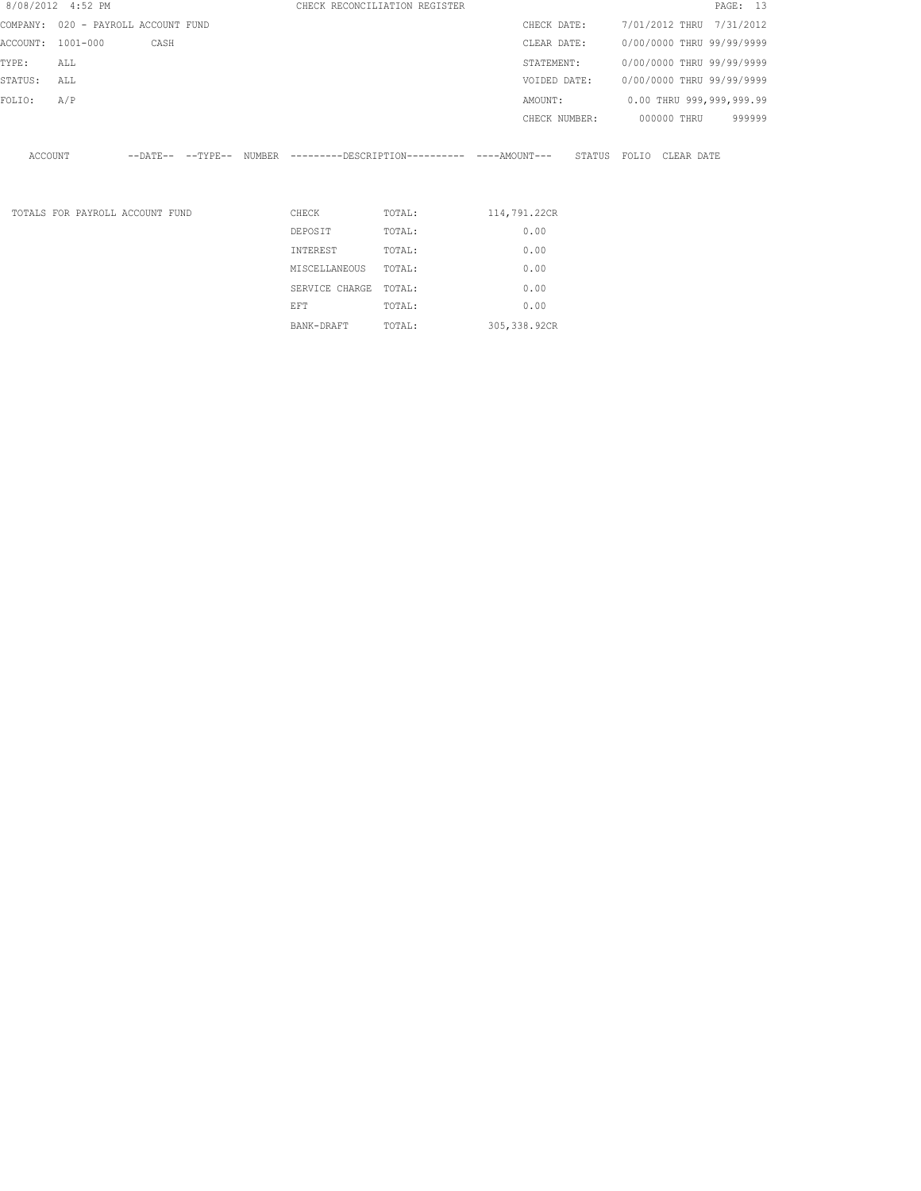| 8/08/2012 4:52 PM                   |     |                                 |                   |                | CHECK RECONCILIATION REGISTER                       |               |                         |             |                           | PAGE: 13 |
|-------------------------------------|-----|---------------------------------|-------------------|----------------|-----------------------------------------------------|---------------|-------------------------|-------------|---------------------------|----------|
| COMPANY: 020 - PAYROLL ACCOUNT FUND |     |                                 |                   |                |                                                     | CHECK DATE:   |                         |             | 7/01/2012 THRU 7/31/2012  |          |
| ACCOUNT: 1001-000                   |     | CASH                            |                   |                |                                                     | CLEAR DATE:   |                         |             | 0/00/0000 THRU 99/99/9999 |          |
| TYPE:                               | ALL |                                 |                   |                |                                                     | STATEMENT:    |                         |             | 0/00/0000 THRU 99/99/9999 |          |
| STATUS:                             | ALL |                                 |                   |                |                                                     | VOIDED DATE:  |                         |             | 0/00/0000 THRU 99/99/9999 |          |
| FOLIO:                              | A/P |                                 |                   |                |                                                     | AMOUNT:       |                         |             | 0.00 THRU 999,999,999.99  |          |
|                                     |     |                                 |                   |                |                                                     | CHECK NUMBER: |                         | 000000 THRU |                           | 999999   |
| ACCOUNT                             |     |                                 | --DATE-- --TYPE-- |                | NUMBER ---------DESCRIPTION---------- ----AMOUNT--- |               | STATUS FOLIO CLEAR DATE |             |                           |          |
|                                     |     | TOTALS FOR PAYROLL ACCOUNT FUND |                   | CHECK          | TOTAL:                                              | 114,791.22CR  |                         |             |                           |          |
|                                     |     |                                 |                   | DEPOSIT        | TOTAL:                                              | 0.00          |                         |             |                           |          |
|                                     |     |                                 |                   | INTEREST       | TOTAL:                                              | 0.00          |                         |             |                           |          |
|                                     |     |                                 |                   | MISCELLANEOUS  | TOTAL:                                              | 0.00          |                         |             |                           |          |
|                                     |     |                                 |                   | SERVICE CHARGE | TOTAL:                                              | 0.00          |                         |             |                           |          |
|                                     |     |                                 |                   | EFT            | TOTAL:                                              | 0.00          |                         |             |                           |          |

BANK-DRAFT TOTAL: 305,338.92CR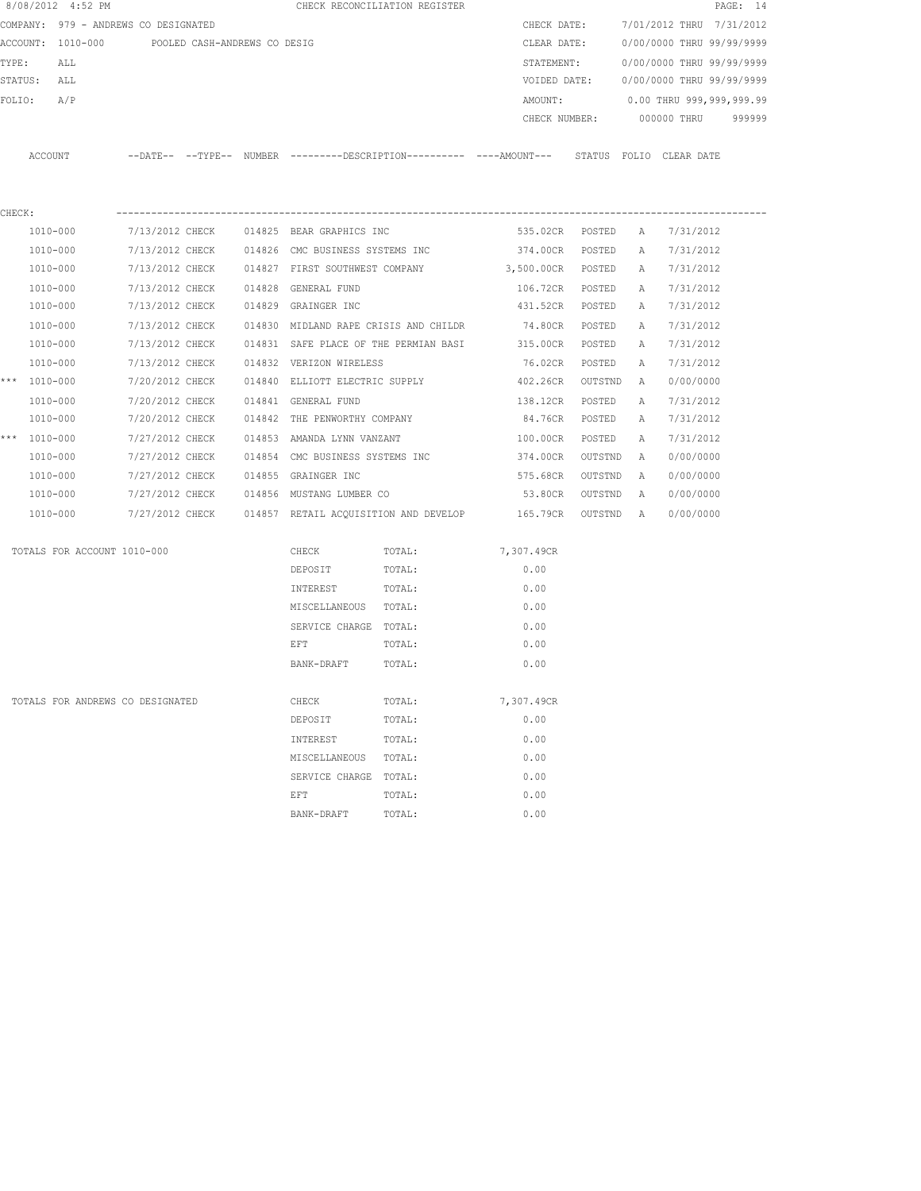|                                                                                                             |                                  |                 |  |  |                              | CHECK RECONCILIATION REGISTER                         |                                                                                            |         |   | PAGE: 14                  |  |
|-------------------------------------------------------------------------------------------------------------|----------------------------------|-----------------|--|--|------------------------------|-------------------------------------------------------|--------------------------------------------------------------------------------------------|---------|---|---------------------------|--|
| 8/08/2012 4:52 PM<br>COMPANY: 979 - ANDREWS CO DESIGNATED<br>ACCOUNT: 1010-000 POOLED CASH-ANDREWS CO DESIG |                                  |                 |  |  |                              |                                                       | CHECK DATE:                                                                                |         |   | 7/01/2012 THRU 7/31/2012  |  |
|                                                                                                             | TYPE:<br>ALL                     |                 |  |  |                              |                                                       | CLEAR DATE:                                                                                |         |   | 0/00/0000 THRU 99/99/9999 |  |
|                                                                                                             |                                  |                 |  |  |                              |                                                       | STATEMENT:                                                                                 |         |   | 0/00/0000 THRU 99/99/9999 |  |
|                                                                                                             | STATUS: ALL                      |                 |  |  |                              |                                                       | VOIDED DATE:                                                                               |         |   | 0/00/0000 THRU 99/99/9999 |  |
| FOLIO:                                                                                                      | A/P                              |                 |  |  |                              |                                                       | AMOUNT:                                                                                    |         |   | 0.00 THRU 999,999,999.99  |  |
|                                                                                                             |                                  |                 |  |  |                              |                                                       | CHECK NUMBER:                                                                              |         |   | 000000 THRU<br>999999     |  |
|                                                                                                             | ACCOUNT                          |                 |  |  |                              |                                                       | --DATE-- --TYPE-- NUMBER --------DESCRIPTION---------- ---AMOUNT--- STATUS FOLIO CLEARDATE |         |   |                           |  |
| CHECK:                                                                                                      |                                  |                 |  |  |                              |                                                       |                                                                                            |         |   |                           |  |
|                                                                                                             | 1010-000                         | 7/13/2012 CHECK |  |  | 014825 BEAR GRAPHICS INC     |                                                       | 535.02CR POSTED                                                                            |         | A | 7/31/2012                 |  |
|                                                                                                             | 1010-000                         | 7/13/2012 CHECK |  |  |                              |                                                       | 014826 CMC BUSINESS SYSTEMS INC 374.00CR POSTED                                            |         | A | 7/31/2012                 |  |
|                                                                                                             | 1010-000                         | 7/13/2012 CHECK |  |  |                              |                                                       | 014827 FIRST SOUTHWEST COMPANY 3,500.00CR POSTED                                           |         | A | 7/31/2012                 |  |
|                                                                                                             | 1010-000                         | 7/13/2012 CHECK |  |  | 014828 GENERAL FUND          |                                                       | 106.72CR POSTED                                                                            |         | A | 7/31/2012                 |  |
|                                                                                                             | 1010-000                         | 7/13/2012 CHECK |  |  | 014829 GRAINGER INC          |                                                       | 431.52CR POSTED                                                                            |         | A | 7/31/2012                 |  |
|                                                                                                             | 1010-000                         | 7/13/2012 CHECK |  |  |                              | 014830 MIDLAND RAPE CRISIS AND CHILDR                 | 74.80CR POSTED                                                                             |         | A | 7/31/2012                 |  |
|                                                                                                             | 1010-000                         | 7/13/2012 CHECK |  |  |                              | 014831 SAFE PLACE OF THE PERMIAN BASI                 | 315.00CR POSTED                                                                            |         | A | 7/31/2012                 |  |
|                                                                                                             | 1010-000                         | 7/13/2012 CHECK |  |  | 014832 VERIZON WIRELESS      |                                                       | 76.02CR                                                                                    | POSTED  | A | 7/31/2012                 |  |
|                                                                                                             | *** 1010-000                     | 7/20/2012 CHECK |  |  |                              | 014840 ELLIOTT ELECTRIC SUPPLY                        | 402.26CR OUTSTND                                                                           |         | A | 0/00/0000                 |  |
|                                                                                                             | 1010-000                         | 7/20/2012 CHECK |  |  | 014841 GENERAL FUND          |                                                       | 138.12CR                                                                                   | POSTED  | Α | 7/31/2012                 |  |
|                                                                                                             | 1010-000                         | 7/20/2012 CHECK |  |  | 014842 THE PENWORTHY COMPANY |                                                       | 84.76CR POSTED                                                                             |         | А | 7/31/2012                 |  |
|                                                                                                             | *** 1010-000                     | 7/27/2012 CHECK |  |  | 014853 AMANDA LYNN VANZANT   |                                                       | 100.00CR                                                                                   | POSTED  | Α | 7/31/2012                 |  |
|                                                                                                             | 1010-000                         | 7/27/2012 CHECK |  |  |                              | 014854 CMC BUSINESS SYSTEMS INC                       | 374.00CR                                                                                   | OUTSTND | A | 0/00/0000                 |  |
|                                                                                                             | 1010-000                         | 7/27/2012 CHECK |  |  | 014855 GRAINGER INC          |                                                       | 575.68CR                                                                                   | OUTSTND | Α | 0/00/0000                 |  |
|                                                                                                             | 1010-000                         | 7/27/2012 CHECK |  |  | 014856 MUSTANG LUMBER CO     |                                                       | 53.80CR                                                                                    | OUTSTND | A | 0/00/0000                 |  |
|                                                                                                             | 1010-000                         |                 |  |  |                              | 7/27/2012 CHECK 014857 RETAIL ACQUISITION AND DEVELOP | 165.79CR OUTSTND A                                                                         |         |   | 0/00/0000                 |  |
|                                                                                                             | TOTALS FOR ACCOUNT 1010-000      |                 |  |  | CHECK                        | TOTAL:                                                | 7,307.49CR                                                                                 |         |   |                           |  |
|                                                                                                             |                                  |                 |  |  | DEPOSIT                      | TOTAL:                                                | 0.00                                                                                       |         |   |                           |  |
|                                                                                                             |                                  |                 |  |  | INTEREST                     | TOTAL:                                                | 0.00                                                                                       |         |   |                           |  |
|                                                                                                             |                                  |                 |  |  | MISCELLANEOUS TOTAL:         |                                                       | 0.00                                                                                       |         |   |                           |  |
|                                                                                                             |                                  |                 |  |  | SERVICE CHARGE TOTAL:        |                                                       | 0.00                                                                                       |         |   |                           |  |
|                                                                                                             |                                  |                 |  |  | EFT                          | TOTAL:                                                | 0.00                                                                                       |         |   |                           |  |
|                                                                                                             |                                  |                 |  |  | BANK-DRAFT                   | TOTAL:                                                | 0.00                                                                                       |         |   |                           |  |
|                                                                                                             | TOTALS FOR ANDREWS CO DESIGNATED |                 |  |  | CHECK                        | TOTAL:                                                | 7,307.49CR                                                                                 |         |   |                           |  |
|                                                                                                             |                                  |                 |  |  | DEPOSIT                      | TOTAL:                                                | 0.00                                                                                       |         |   |                           |  |
|                                                                                                             |                                  |                 |  |  | INTEREST                     | TOTAL:                                                | 0.00                                                                                       |         |   |                           |  |
|                                                                                                             |                                  |                 |  |  | MISCELLANEOUS                | TOTAL:                                                | 0.00                                                                                       |         |   |                           |  |
|                                                                                                             |                                  |                 |  |  | SERVICE CHARGE               | TOTAL:                                                | 0.00                                                                                       |         |   |                           |  |
|                                                                                                             |                                  |                 |  |  | EFT                          | TOTAL:                                                | 0.00                                                                                       |         |   |                           |  |
|                                                                                                             |                                  |                 |  |  | BANK-DRAFT                   | TOTAL:                                                | 0.00                                                                                       |         |   |                           |  |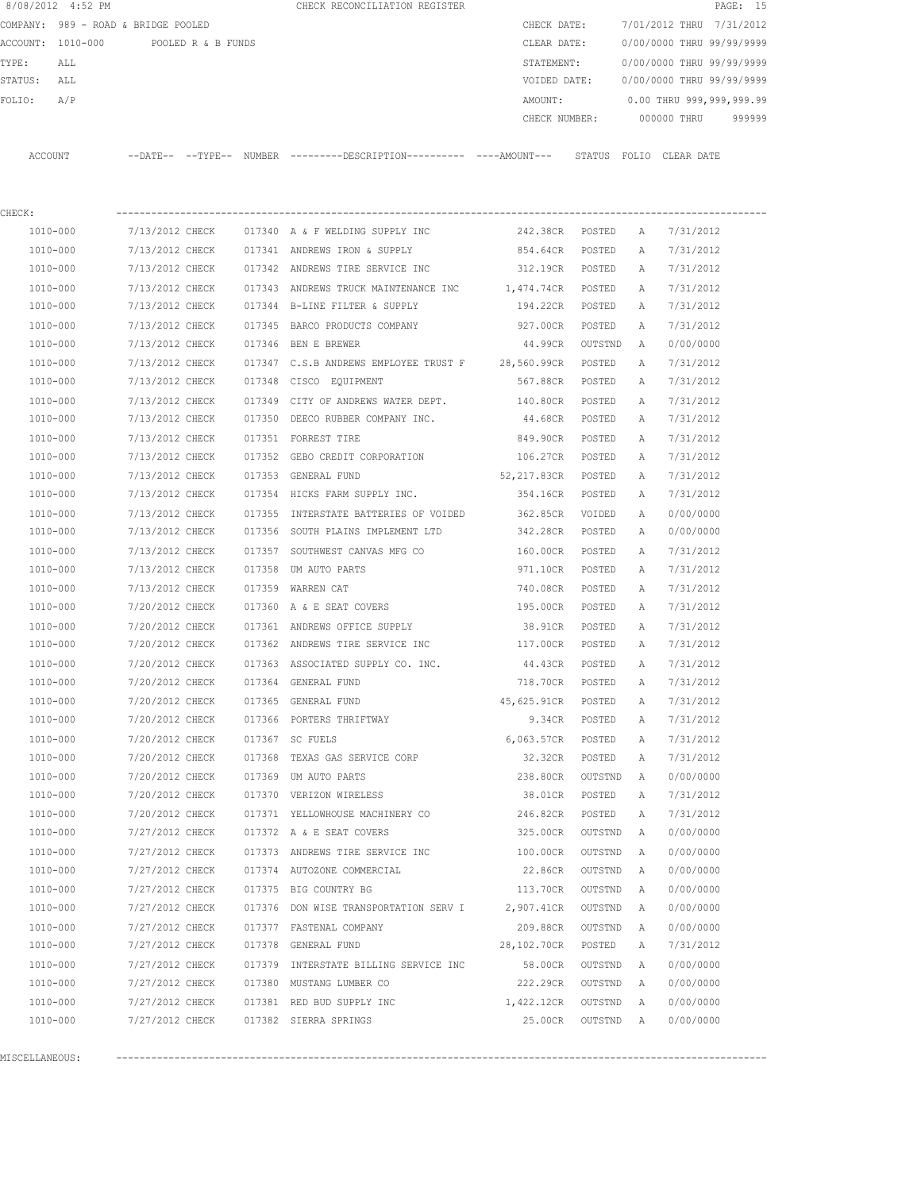| 8/08/2012 4:52 PM                    |                 | CHECK RECONCILIATION REGISTER                                                               |                    |         |   |                           | PAGE: 15 |
|--------------------------------------|-----------------|---------------------------------------------------------------------------------------------|--------------------|---------|---|---------------------------|----------|
| COMPANY: 989 - ROAD & BRIDGE POOLED  |                 |                                                                                             | CHECK DATE:        |         |   | 7/01/2012 THRU 7/31/2012  |          |
| ACCOUNT: 1010-000 POOLED R & B FUNDS |                 |                                                                                             | CLEAR DATE:        |         |   | 0/00/0000 THRU 99/99/9999 |          |
| TYPE:<br>ALL                         |                 |                                                                                             | STATEMENT:         |         |   | 0/00/0000 THRU 99/99/9999 |          |
| STATUS:<br>ALL                       |                 |                                                                                             | VOIDED DATE:       |         |   | 0/00/0000 THRU 99/99/9999 |          |
| FOLIO:<br>A/P                        |                 |                                                                                             | AMOUNT:            |         |   | 0.00 THRU 999,999,999.99  |          |
|                                      |                 |                                                                                             |                    |         |   | CHECK NUMBER: 000000 THRU | 999999   |
| ACCOUNT                              |                 | --DATE-- --TYPE-- NUMBER --------DESCRIPTION--------- ----AMOUNT--- STATUS FOLIO CLEAR-DATE |                    |         |   |                           |          |
| CHECK:                               |                 |                                                                                             |                    |         |   |                           |          |
| 1010-000                             |                 | $7/13/2012$ CHECK 017340 A & F WELDING SUPPLY INC                                           | 242.38CR POSTED    |         | A | 7/31/2012                 |          |
| 1010-000                             | 7/13/2012 CHECK | 017341 ANDREWS IRON & SUPPLY                                                                | 854.64CR POSTED    |         | A | 7/31/2012                 |          |
| 1010-000                             | 7/13/2012 CHECK | 017342 ANDREWS TIRE SERVICE INC                                                             | 312.19CR POSTED    |         | A | 7/31/2012                 |          |
| 1010-000                             | 7/13/2012 CHECK | 017343 ANDREWS TRUCK MAINTENANCE INC                                                        | 1,474.74CR POSTED  |         | A | 7/31/2012                 |          |
| 1010-000                             | 7/13/2012 CHECK | 017344 B-LINE FILTER & SUPPLY                                                               | 194.22CR POSTED    |         | A | 7/31/2012                 |          |
| 1010-000                             | 7/13/2012 CHECK | 017345 BARCO PRODUCTS COMPANY                                                               | 927.00CR POSTED    |         | A | 7/31/2012                 |          |
| 1010-000                             | 7/13/2012 CHECK | 017346 BEN E BREWER                                                                         | 44.99CR OUTSTND    |         | A | 0/00/0000                 |          |
| 1010-000                             | 7/13/2012 CHECK | 017347 C.S.B ANDREWS EMPLOYEE TRUST F 28,560.99CR POSTED                                    |                    |         | Α | 7/31/2012                 |          |
| 1010-000                             | 7/13/2012 CHECK | 017348 CISCO EQUIPMENT                                                                      | 567.88CR POSTED    |         | Α | 7/31/2012                 |          |
| 1010-000                             | 7/13/2012 CHECK | 017349 CITY OF ANDREWS WATER DEPT. 140.80CR POSTED                                          |                    |         | Α | 7/31/2012                 |          |
| 1010-000                             | 7/13/2012 CHECK | 017350 DEECO RUBBER COMPANY INC.                                                            | 44.68CR POSTED     |         | A | 7/31/2012                 |          |
| 1010-000                             | 7/13/2012 CHECK | 017351 FORREST TIRE                                                                         | 849.90CR POSTED    |         | A | 7/31/2012                 |          |
| 1010-000                             | 7/13/2012 CHECK | 017352 GEBO CREDIT CORPORATION                                                              | 106.27CR POSTED    |         | Α | 7/31/2012                 |          |
| 1010-000                             | 7/13/2012 CHECK | 017353 GENERAL FUND                                                                         | 52,217.83CR POSTED |         | Α | 7/31/2012                 |          |
| 1010-000                             | 7/13/2012 CHECK | 017354 HICKS FARM SUPPLY INC.                                                               | 354.16CR POSTED    |         | Α | 7/31/2012                 |          |
| 1010-000                             | 7/13/2012 CHECK | 017355 INTERSTATE BATTERIES OF VOIDED                                                       | 362.85CR VOIDED    |         | Α | 0/00/0000                 |          |
| 1010-000                             | 7/13/2012 CHECK | 017356 SOUTH PLAINS IMPLEMENT LTD                                                           | 342.28CR POSTED    |         | Α | 0/00/0000                 |          |
| 1010-000                             | 7/13/2012 CHECK | 017357 SOUTHWEST CANVAS MFG CO                                                              | 160.00CR           | POSTED  | Α | 7/31/2012                 |          |
| 1010-000                             | 7/13/2012 CHECK | 017358 UM AUTO PARTS                                                                        | 971.10CR           | POSTED  | Α | 7/31/2012                 |          |
| 1010-000                             | 7/13/2012 CHECK | 017359 WARREN CAT                                                                           | 740.08CR           | POSTED  | A | 7/31/2012                 |          |
| 1010-000                             | 7/20/2012 CHECK | 017360 A & E SEAT COVERS                                                                    | 195.00CR           | POSTED  | A | 7/31/2012                 |          |
| 1010-000                             | 7/20/2012 CHECK | 017361 ANDREWS OFFICE SUPPLY                                                                | 38.91CR            | POSTED  | A | 7/31/2012                 |          |
| 1010-000                             | 7/20/2012 CHECK | 017362 ANDREWS TIRE SERVICE INC 117.00CR                                                    |                    | POSTED  | A | 7/31/2012                 |          |
| 1010-000                             | 7/20/2012 CHECK | 017363 ASSOCIATED SUPPLY CO. INC.                                                           | 44.43CR            | POSTED  | Α | 7/31/2012                 |          |
| 1010-000                             | 7/20/2012 CHECK | 017364 GENERAL FUND                                                                         | 718.70CR           | POSTED  | Α | 7/31/2012                 |          |
| 1010-000                             | 7/20/2012 CHECK | 017365 GENERAL FUND                                                                         | 45,625.91CR        | POSTED  | Α | 7/31/2012                 |          |
| 1010-000                             | 7/20/2012 CHECK | 017366 PORTERS THRIFTWAY                                                                    | 9.34CR             | POSTED  | Α | 7/31/2012                 |          |
|                                      |                 |                                                                                             |                    |         |   |                           |          |
| 1010-000<br>1010-000                 | 7/20/2012 CHECK | 017367 SC FUELS                                                                             | 6,063.57CR         | POSTED  | Α | 7/31/2012                 |          |
|                                      | 7/20/2012 CHECK | 017368 TEXAS GAS SERVICE CORP                                                               | 32.32CR            | POSTED  | Α | 7/31/2012                 |          |
| 1010-000                             | 7/20/2012 CHECK | 017369 UM AUTO PARTS                                                                        | 238.80CR           | OUTSTND | Α | 0/00/0000                 |          |
| 1010-000                             | 7/20/2012 CHECK | 017370 VERIZON WIRELESS                                                                     | 38.01CR            | POSTED  | Α | 7/31/2012                 |          |
| 1010-000                             | 7/20/2012 CHECK | 017371 YELLOWHOUSE MACHINERY CO                                                             | 246.82CR           | POSTED  | Α | 7/31/2012                 |          |
| 1010-000                             | 7/27/2012 CHECK | 017372 A & E SEAT COVERS                                                                    | 325.00CR           | OUTSTND | Α | 0/00/0000                 |          |
| 1010-000                             | 7/27/2012 CHECK | 017373 ANDREWS TIRE SERVICE INC                                                             | 100.00CR           | OUTSTND | Α | 0/00/0000                 |          |
| 1010-000                             | 7/27/2012 CHECK | 017374 AUTOZONE COMMERCIAL                                                                  | 22.86CR            | OUTSTND | Α | 0/00/0000                 |          |
| 1010-000                             | 7/27/2012 CHECK | 017375 BIG COUNTRY BG                                                                       | 113.70CR           | OUTSTND | Α | 0/00/0000                 |          |
| 1010-000                             | 7/27/2012 CHECK | 017376 DON WISE TRANSPORTATION SERV I                                                       | 2,907.41CR         | OUTSTND | Α | 0/00/0000                 |          |
| 1010-000                             | 7/27/2012 CHECK | 017377 FASTENAL COMPANY                                                                     | 209.88CR           | OUTSTND | А | 0/00/0000                 |          |
| 1010-000                             | 7/27/2012 CHECK | 017378 GENERAL FUND                                                                         | 28,102.70CR        | POSTED  | Α | 7/31/2012                 |          |
| 1010-000                             | 7/27/2012 CHECK | 017379 INTERSTATE BILLING SERVICE INC                                                       | 58.00CR            | OUTSTND | A | 0/00/0000                 |          |
| 1010-000                             | 7/27/2012 CHECK | 017380 MUSTANG LUMBER CO                                                                    | 222.29CR           | OUTSTND | A | 0/00/0000                 |          |
| 1010-000                             | 7/27/2012 CHECK | 017381 RED BUD SUPPLY INC                                                                   | 1,422.12CR         | OUTSTND | A | 0/00/0000                 |          |
| 1010-000                             | 7/27/2012 CHECK | 017382 SIERRA SPRINGS                                                                       | 25.00CR            | OUTSTND | A | 0/00/0000                 |          |
|                                      |                 |                                                                                             |                    |         |   |                           |          |

MISCELLANEOUS: ----------------------------------------------------------------------------------------------------------------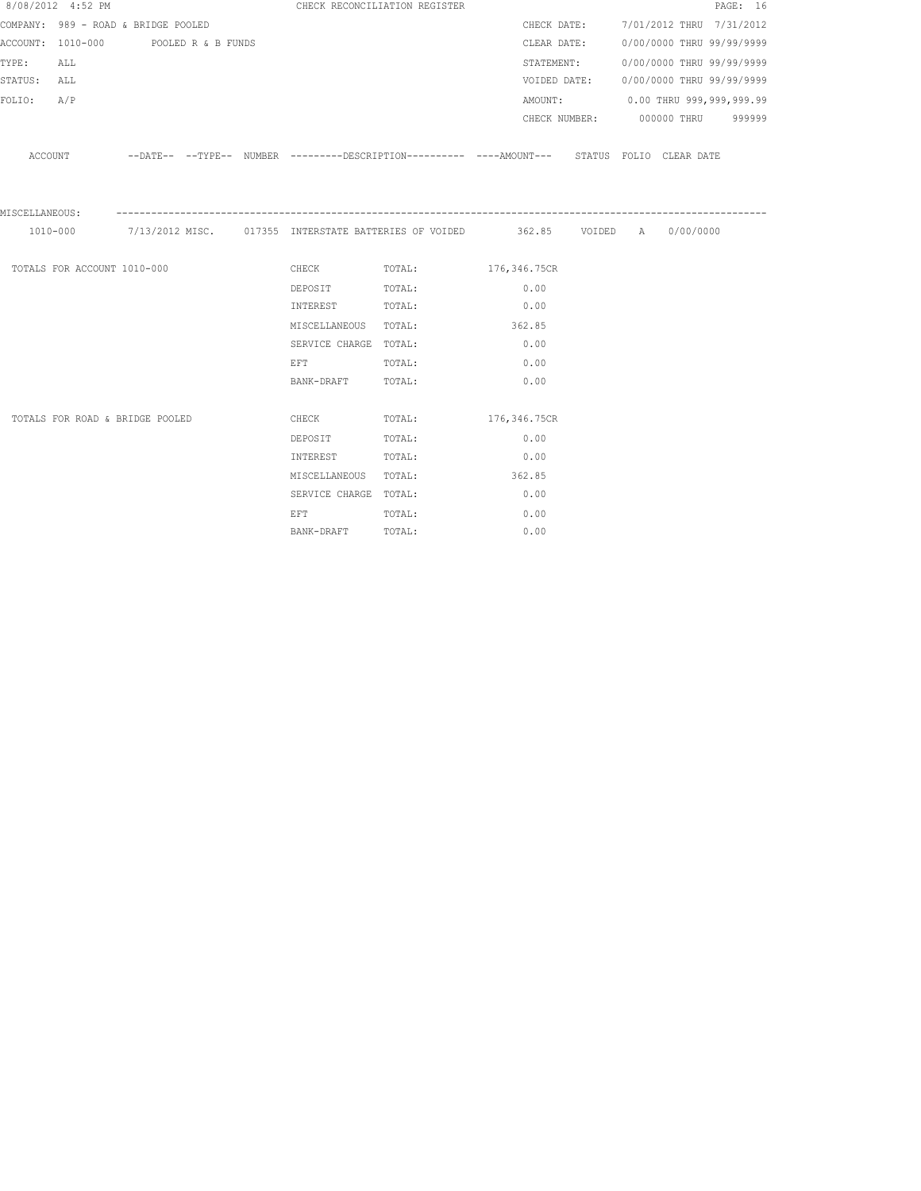|                | 8/08/2012 4:52 PM                    |  | CHECK RECONCILIATION REGISTER                                                                                  |                                                                                                      |             |  |                                        | PAGE: 16 |
|----------------|--------------------------------------|--|----------------------------------------------------------------------------------------------------------------|------------------------------------------------------------------------------------------------------|-------------|--|----------------------------------------|----------|
|                | COMPANY: 989 - ROAD & BRIDGE POOLED  |  |                                                                                                                |                                                                                                      |             |  | CHECK DATE: 7/01/2012 THRU 7/31/2012   |          |
|                | ACCOUNT: 1010-000 POOLED R & B FUNDS |  |                                                                                                                |                                                                                                      | CLEAR DATE: |  | 0/00/0000 THRU 99/99/9999              |          |
| TYPE:          | ALL                                  |  |                                                                                                                |                                                                                                      | STATEMENT:  |  | 0/00/0000 THRU 99/99/9999              |          |
| STATUS: ALL    |                                      |  |                                                                                                                |                                                                                                      |             |  | VOIDED DATE: 0/00/0000 THRU 99/99/9999 |          |
| FOLIO: A/P     |                                      |  |                                                                                                                |                                                                                                      |             |  | AMOUNT: 0.00 THRU 999,999,999.99       |          |
|                |                                      |  |                                                                                                                |                                                                                                      |             |  | CHECK NUMBER: 000000 THRU 999999       |          |
|                |                                      |  |                                                                                                                | ACCOUNT -DATE-- --TYPE-- NUMBER ---------DESCRIPTION---------- ----AMOUNT--- STATUS FOLIO CLEAR DATE |             |  |                                        |          |
| MISCELLANEOUS: |                                      |  |                                                                                                                |                                                                                                      |             |  |                                        |          |
|                |                                      |  |                                                                                                                | 1010-000 1/13/2012 MISC. 017355 INTERSTATE BATTERIES OF VOIDED 362.85 VOIDED A 0/00/0000             |             |  |                                        |          |
|                | TOTALS FOR ACCOUNT 1010-000          |  |                                                                                                                | CHECK TOTAL: 176,346.75CR                                                                            |             |  |                                        |          |
|                |                                      |  | DEPOSIT TOTAL:                                                                                                 |                                                                                                      | 0.00        |  |                                        |          |
|                |                                      |  | INTEREST TOTAL:                                                                                                |                                                                                                      | 0.00        |  |                                        |          |
|                |                                      |  |                                                                                                                | MISCELLANEOUS TOTAL: 362.85                                                                          |             |  |                                        |          |
|                |                                      |  | SERVICE CHARGE TOTAL:                                                                                          |                                                                                                      | 0.00        |  |                                        |          |
|                |                                      |  | EFT FOR THE STATE OF THE STATE OF THE STATE OF THE STATE OF THE STATE OF THE STATE OF THE STATE OF THE STATE O | TOTAL:                                                                                               | 0.00        |  |                                        |          |
|                |                                      |  | BANK-DRAFT TOTAL:                                                                                              |                                                                                                      | 0.00        |  |                                        |          |
|                |                                      |  |                                                                                                                |                                                                                                      |             |  |                                        |          |
|                | TOTALS FOR ROAD & BRIDGE POOLED      |  | <b>CHECK</b>                                                                                                   | TOTAL: 176,346.75CR                                                                                  |             |  |                                        |          |
|                |                                      |  | DEPOSIT                                                                                                        | TOTAL:                                                                                               | 0.00        |  |                                        |          |
|                |                                      |  | INTEREST                                                                                                       | TOTAL:                                                                                               | 0.00        |  |                                        |          |
|                |                                      |  | MISCELLANEOUS TOTAL:                                                                                           |                                                                                                      | 362.85      |  |                                        |          |
|                |                                      |  | SERVICE CHARGE TOTAL:                                                                                          |                                                                                                      | 0.00        |  |                                        |          |
|                |                                      |  | EFT FOR THE STATE OF THE STATE OF THE STATE OF THE STATE OF THE STATE OF THE STATE OF THE STATE OF THE STATE O | TOTAL:                                                                                               | 0.00        |  |                                        |          |
|                |                                      |  | BANK-DRAFT                                                                                                     | TOTAL:                                                                                               | 0.00        |  |                                        |          |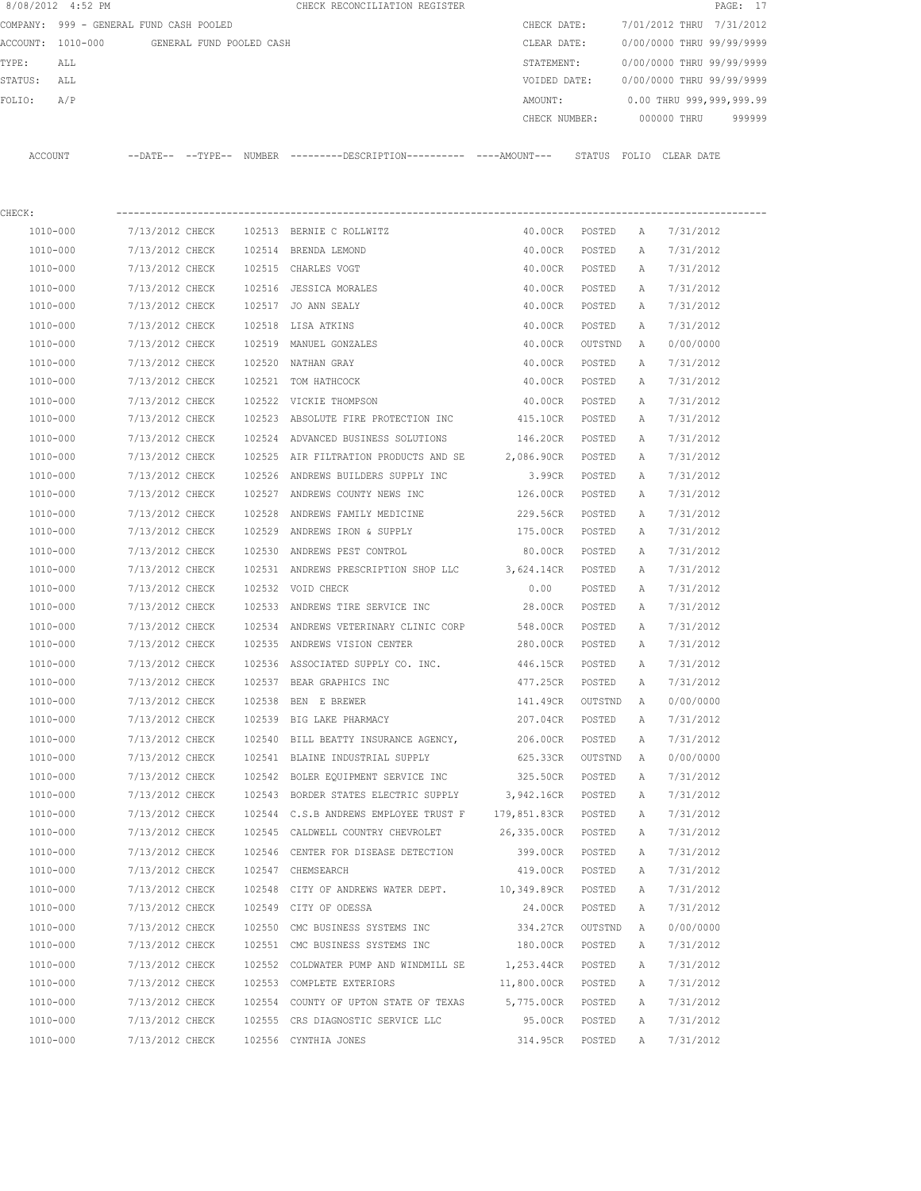|         | 8/08/2012 4:52 PM                       |                          |        | CHECK RECONCILIATION REGISTER                                                                |                    |                |              |                           | PAGE: 17 |
|---------|-----------------------------------------|--------------------------|--------|----------------------------------------------------------------------------------------------|--------------------|----------------|--------------|---------------------------|----------|
|         | COMPANY: 999 - GENERAL FUND CASH POOLED |                          |        |                                                                                              | CHECK DATE:        |                |              | 7/01/2012 THRU 7/31/2012  |          |
|         | ACCOUNT: 1010-000                       | GENERAL FUND POOLED CASH |        |                                                                                              | CLEAR DATE:        |                |              | 0/00/0000 THRU 99/99/9999 |          |
| TYPE:   | ALL                                     |                          |        |                                                                                              | STATEMENT:         |                |              | 0/00/0000 THRU 99/99/9999 |          |
| STATUS: | ALL                                     |                          |        |                                                                                              | VOIDED DATE:       |                |              | 0/00/0000 THRU 99/99/9999 |          |
| FOLIO:  | A/P                                     |                          |        |                                                                                              | AMOUNT:            |                |              | 0.00 THRU 999,999,999.99  |          |
|         |                                         |                          |        |                                                                                              | CHECK NUMBER:      |                |              | 000000 THRU               | 999999   |
|         | ACCOUNT                                 |                          |        | --DATE-- --TYPE-- NUMBER --------DESCRIPTION---------- ----AMOUNT--- STATUS FOLIO CLEAR DATE |                    |                |              |                           |          |
|         |                                         |                          |        |                                                                                              |                    |                |              |                           |          |
| CHECK:  |                                         |                          |        |                                                                                              |                    |                |              |                           |          |
|         | 1010-000                                | 7/13/2012 CHECK          |        | 102513 BERNIE C ROLLWITZ                                                                     | 40.00CR            | POSTED         | A            | 7/31/2012                 |          |
|         | 1010-000                                | 7/13/2012 CHECK          |        | 102514 BRENDA LEMOND                                                                         | 40.00CR            | POSTED         | A            | 7/31/2012                 |          |
|         | 1010-000                                | 7/13/2012 CHECK          |        | 102515 CHARLES VOGT                                                                          |                    | 40.00CR POSTED | A            | 7/31/2012                 |          |
|         | 1010-000                                | 7/13/2012 CHECK          |        | 102516 JESSICA MORALES                                                                       | 40.00CR            | POSTED         | A            | 7/31/2012                 |          |
|         | 1010-000                                | 7/13/2012 CHECK          |        | 102517 JO ANN SEALY                                                                          | 40.00CR            | POSTED         | A            | 7/31/2012                 |          |
|         | 1010-000                                | 7/13/2012 CHECK          | 102518 | LISA ATKINS                                                                                  | 40.00CR            | POSTED         | Α            | 7/31/2012                 |          |
|         | 1010-000                                | 7/13/2012 CHECK          |        | 102519 MANUEL GONZALES                                                                       | 40.00CR            | OUTSTND        | A            | 0/00/0000                 |          |
|         | 1010-000                                | 7/13/2012 CHECK          |        | 102520 NATHAN GRAY                                                                           | 40.00CR            | POSTED         | Α            | 7/31/2012                 |          |
|         | 1010-000                                | 7/13/2012 CHECK          |        | 102521 TOM HATHCOCK                                                                          | 40.00CR            | POSTED         | A            | 7/31/2012                 |          |
|         | 1010-000                                | 7/13/2012 CHECK          |        | 102522 VICKIE THOMPSON                                                                       | 40.00CR            | POSTED         | Α            | 7/31/2012                 |          |
|         | 1010-000                                | 7/13/2012 CHECK          |        | 102523 ABSOLUTE FIRE PROTECTION INC 415.10CR                                                 |                    | POSTED         | Α            | 7/31/2012                 |          |
|         | 1010-000                                | 7/13/2012 CHECK          |        | 102524 ADVANCED BUSINESS SOLUTIONS                                                           | 146.20CR POSTED    |                | Α            | 7/31/2012                 |          |
|         | 1010-000                                | 7/13/2012 CHECK          | 102525 | AIR FILTRATION PRODUCTS AND SE                                                               | 2,086.90CR         | POSTED         | Α            | 7/31/2012                 |          |
|         | 1010-000                                | 7/13/2012 CHECK          |        | 102526 ANDREWS BUILDERS SUPPLY INC                                                           | 3.99CR             | POSTED         | Α            | 7/31/2012                 |          |
|         | 1010-000                                | 7/13/2012 CHECK          |        | 102527 ANDREWS COUNTY NEWS INC                                                               | 126.00CR           | POSTED         | A            | 7/31/2012                 |          |
|         | 1010-000                                | 7/13/2012 CHECK          | 102528 | ANDREWS FAMILY MEDICINE                                                                      | 229.56CR           | POSTED         | Α            | 7/31/2012                 |          |
|         | 1010-000                                | 7/13/2012 CHECK          |        | 102529 ANDREWS IRON & SUPPLY                                                                 | 175.00CR           | POSTED         | A            | 7/31/2012                 |          |
|         | 1010-000                                | 7/13/2012 CHECK          | 102530 | ANDREWS PEST CONTROL                                                                         | 80.00CR            | POSTED         | Α            | 7/31/2012                 |          |
|         | 1010-000                                | 7/13/2012 CHECK          |        | 102531 ANDREWS PRESCRIPTION SHOP LLC 3,624.14CR                                              |                    | POSTED         | A            | 7/31/2012                 |          |
|         | 1010-000                                | 7/13/2012 CHECK          |        | 102532 VOID CHECK                                                                            | 0.00               | POSTED         | Α            | 7/31/2012                 |          |
|         | 1010-000                                | 7/13/2012 CHECK          |        | 102533 ANDREWS TIRE SERVICE INC                                                              | 28.00CR            | POSTED         | A            | 7/31/2012                 |          |
|         | 1010-000                                | 7/13/2012 CHECK          |        | 102534 ANDREWS VETERINARY CLINIC CORP                                                        | 548.00CR           | POSTED         | A            | 7/31/2012                 |          |
|         | 1010-000                                | 7/13/2012 CHECK          |        | 102535 ANDREWS VISION CENTER                                                                 | 280.00CR           | POSTED         | A            | 7/31/2012                 |          |
|         | 1010-000                                | 7/13/2012 CHECK          |        | 102536 ASSOCIATED SUPPLY CO. INC.                                                            | 446.15CR           | POSTED         | $\mathbb{A}$ | 7/31/2012                 |          |
|         | 1010-000                                | 7/13/2012 CHECK          |        | 102537 BEAR GRAPHICS INC                                                                     | 477.25CR           | POSTED         | Α            | 7/31/2012                 |          |
|         | $1010 - 000$                            | 7/13/2012 CHECK          |        | 102538 BEN E BREWER                                                                          | 141.49CR           | OUTSTND        | Α            | 0/00/0000                 |          |
|         | 1010-000                                | 7/13/2012 CHECK          |        | 102539 BIG LAKE PHARMACY                                                                     | 207.04CR           | POSTED         | Α            | 7/31/2012                 |          |
|         | 1010-000                                | 7/13/2012 CHECK          |        | 102540 BILL BEATTY INSURANCE AGENCY,                                                         | 206.00CR           | POSTED         | Α            | 7/31/2012                 |          |
|         | 1010-000                                | 7/13/2012 CHECK          |        | 102541 BLAINE INDUSTRIAL SUPPLY                                                              | 625.33CR           | OUTSTND        | A            | 0/00/0000                 |          |
|         | 1010-000                                | 7/13/2012 CHECK          |        | 102542 BOLER EQUIPMENT SERVICE INC                                                           | 325.50CR           | POSTED         | Α            | 7/31/2012                 |          |
|         | 1010-000                                | 7/13/2012 CHECK          |        | 102543 BORDER STATES ELECTRIC SUPPLY                                                         | 3,942.16CR         | POSTED         | Α            | 7/31/2012                 |          |
|         | $1010 - 000$                            | 7/13/2012 CHECK          |        | 102544 C.S.B ANDREWS EMPLOYEE TRUST F 179,851.83CR                                           |                    | POSTED         | Α            | 7/31/2012                 |          |
|         | 1010-000                                | 7/13/2012 CHECK          |        | 102545 CALDWELL COUNTRY CHEVROLET 26,335.00CR                                                |                    | POSTED         | Α            | 7/31/2012                 |          |
|         | 1010-000                                | 7/13/2012 CHECK          |        | 102546 CENTER FOR DISEASE DETECTION                                                          | 399.00CR           | POSTED         | Α            | 7/31/2012                 |          |
|         | 1010-000                                | 7/13/2012 CHECK          |        | 102547 CHEMSEARCH                                                                            | 419.00CR           | POSTED         | Α            | 7/31/2012                 |          |
|         | 1010-000                                | 7/13/2012 CHECK          |        | 102548 CITY OF ANDREWS WATER DEPT.                                                           | 10,349.89CR        | POSTED         | Α            | 7/31/2012                 |          |
|         | 1010-000                                | 7/13/2012 CHECK          |        | 102549 CITY OF ODESSA                                                                        | 24.00CR            | POSTED         | Α            | 7/31/2012                 |          |
|         | 1010-000                                | 7/13/2012 CHECK          |        | 102550 CMC BUSINESS SYSTEMS INC                                                              | 334.27CR           | OUTSTND        | Α            | 0/00/0000                 |          |
|         | 1010-000                                | 7/13/2012 CHECK          |        | 102551 CMC BUSINESS SYSTEMS INC                                                              | 180.00CR           | POSTED         | Α            | 7/31/2012                 |          |
|         | 1010-000                                | 7/13/2012 CHECK          |        | 102552 COLDWATER PUMP AND WINDMILL SE                                                        | 1,253.44CR POSTED  |                | Α            | 7/31/2012                 |          |
|         | 1010-000                                | 7/13/2012 CHECK          |        | 102553 COMPLETE EXTERIORS                                                                    | 11,800.00CR POSTED |                | Α            | 7/31/2012                 |          |
|         | 1010-000                                | 7/13/2012 CHECK          |        | 102554 COUNTY OF UPTON STATE OF TEXAS                                                        | 5,775.00CR         | POSTED         | Α            | 7/31/2012                 |          |
|         | 1010-000                                | 7/13/2012 CHECK          |        | 102555 CRS DIAGNOSTIC SERVICE LLC                                                            | 95.00CR            | POSTED         | Α            | 7/31/2012                 |          |
|         | 1010-000                                | 7/13/2012 CHECK          |        | 102556 CYNTHIA JONES                                                                         | 314.95CR           | POSTED         | Α            | 7/31/2012                 |          |
|         |                                         |                          |        |                                                                                              |                    |                |              |                           |          |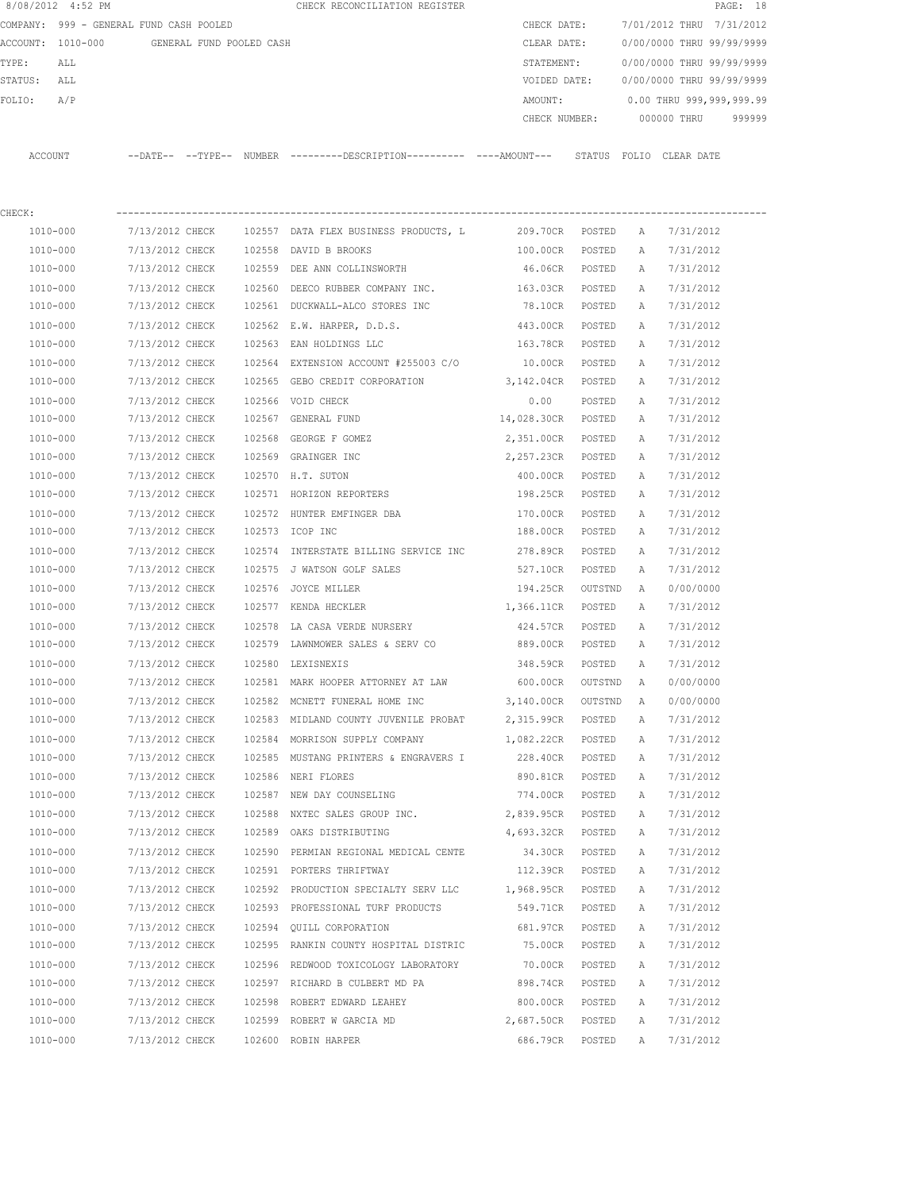|             | 8/08/2012 4:52 PM                       |                 |                          |        | CHECK RECONCILIATION REGISTER                                                                |                    |         |              |                           | PAGE: 18 |
|-------------|-----------------------------------------|-----------------|--------------------------|--------|----------------------------------------------------------------------------------------------|--------------------|---------|--------------|---------------------------|----------|
|             | COMPANY: 999 - GENERAL FUND CASH POOLED |                 |                          |        |                                                                                              | CHECK DATE:        |         |              | 7/01/2012 THRU 7/31/2012  |          |
|             | ACCOUNT: 1010-000                       |                 | GENERAL FUND POOLED CASH |        |                                                                                              | CLEAR DATE:        |         |              | 0/00/0000 THRU 99/99/9999 |          |
| TYPE:       | ALL                                     |                 |                          |        |                                                                                              | STATEMENT:         |         |              | 0/00/0000 THRU 99/99/9999 |          |
| STATUS: ALL |                                         |                 |                          |        |                                                                                              | VOIDED DATE:       |         |              | 0/00/0000 THRU 99/99/9999 |          |
| FOLIO:      | A/P                                     |                 |                          |        |                                                                                              | AMOUNT:            |         |              | 0.00 THRU 999,999,999.99  |          |
|             |                                         |                 |                          |        |                                                                                              | CHECK NUMBER:      |         |              | 000000 THRU               | 999999   |
|             | ACCOUNT                                 |                 |                          |        | --DATE-- --TYPE-- NUMBER ---------DESCRIPTION---------- ----AMOUNT--- STATUS FOLIO CLEARDATE |                    |         |              |                           |          |
| CHECK:      |                                         |                 |                          |        |                                                                                              |                    |         |              |                           |          |
|             | 1010-000                                | 7/13/2012 CHECK |                          |        | 102557 DATA FLEX BUSINESS PRODUCTS, L                                                        | 209.70CR POSTED    |         | A            | 7/31/2012                 |          |
|             | 1010-000                                | 7/13/2012 CHECK |                          |        | 102558 DAVID B BROOKS                                                                        | 100.00CR           | POSTED  | A            | 7/31/2012                 |          |
|             | 1010-000                                | 7/13/2012 CHECK |                          |        | 102559 DEE ANN COLLINSWORTH                                                                  | 46.06CR            | POSTED  | A            | 7/31/2012                 |          |
|             | 1010-000                                | 7/13/2012 CHECK |                          |        | 102560 DEECO RUBBER COMPANY INC.                                                             | 163.03CR POSTED    |         | A            | 7/31/2012                 |          |
|             | 1010-000                                | 7/13/2012 CHECK |                          |        | 102561 DUCKWALL-ALCO STORES INC                                                              | 78.10CR POSTED     |         | Α            | 7/31/2012                 |          |
|             | 1010-000                                | 7/13/2012 CHECK |                          |        | 102562 E.W. HARPER, D.D.S.                                                                   | 443.00CR POSTED    |         | $\mathbb{A}$ | 7/31/2012                 |          |
|             | 1010-000                                | 7/13/2012 CHECK |                          |        | 102563 EAN HOLDINGS LLC                                                                      | 163.78CR POSTED    |         | Α            | 7/31/2012                 |          |
|             | 1010-000                                | 7/13/2012 CHECK |                          |        | 102564 EXTENSION ACCOUNT #255003 C/O                                                         | 10.00CR            | POSTED  | A            | 7/31/2012                 |          |
|             | 1010-000                                | 7/13/2012 CHECK |                          |        | 102565 GEBO CREDIT CORPORATION                                                               | 3,142.04CR POSTED  |         | А            | 7/31/2012                 |          |
|             | 1010-000                                | 7/13/2012 CHECK |                          |        | 102566 VOID CHECK                                                                            | 0.00               | POSTED  | Α            | 7/31/2012                 |          |
|             | 1010-000                                | 7/13/2012 CHECK |                          |        | 102567 GENERAL FUND                                                                          | 14,028.30CR POSTED |         | А            | 7/31/2012                 |          |
|             | 1010-000                                | 7/13/2012 CHECK |                          | 102568 | GEORGE F GOMEZ                                                                               | 2,351.00CR         | POSTED  | Α            | 7/31/2012                 |          |
|             | 1010-000                                | 7/13/2012 CHECK |                          |        | 102569 GRAINGER INC                                                                          | 2,257.23CR POSTED  |         | Α            | 7/31/2012                 |          |
|             | 1010-000                                | 7/13/2012 CHECK |                          |        | 102570 H.T. SUTON                                                                            | 400.00CR           | POSTED  | А            | 7/31/2012                 |          |
|             | 1010-000                                | 7/13/2012 CHECK |                          |        | 102571 HORIZON REPORTERS                                                                     | 198.25CR           | POSTED  | А            | 7/31/2012                 |          |
|             | 1010-000                                | 7/13/2012 CHECK |                          |        | 102572 HUNTER EMFINGER DBA                                                                   | 170.00CR           | POSTED  | Α            | 7/31/2012                 |          |
|             | 1010-000                                | 7/13/2012 CHECK |                          |        | 102573 ICOP INC                                                                              | 188.00CR POSTED    |         | Α            | 7/31/2012                 |          |
|             | 1010-000                                | 7/13/2012 CHECK |                          |        | 102574 INTERSTATE BILLING SERVICE INC                                                        | 278.89CR           | POSTED  | Α            | 7/31/2012                 |          |
|             | 1010-000                                | 7/13/2012 CHECK |                          |        | 102575 J WATSON GOLF SALES                                                                   | 527.10CR POSTED    |         | A            | 7/31/2012                 |          |
|             | 1010-000                                | 7/13/2012 CHECK |                          |        | 102576 JOYCE MILLER                                                                          | 194.25CR           | OUTSTND | A            | 0/00/0000                 |          |
|             | 1010-000                                | 7/13/2012 CHECK |                          |        | 102577 KENDA HECKLER                                                                         | 1,366.11CR POSTED  |         | А            | 7/31/2012                 |          |
|             | 1010-000                                | 7/13/2012 CHECK |                          |        | 102578 LA CASA VERDE NURSERY                                                                 | 424.57CR           | POSTED  | Α            | 7/31/2012                 |          |
|             | 1010-000                                | 7/13/2012 CHECK |                          |        | 102579 LAWNMOWER SALES & SERV CO                                                             | 889.00CR           | POSTED  | Α            | 7/31/2012                 |          |
|             | 1010-000                                | 7/13/2012 CHECK |                          |        | 102580 LEXISNEXIS                                                                            | 348.59CR           | POSTED  | A            | 7/31/2012                 |          |
|             | 1010-000                                | 7/13/2012 CHECK |                          |        | 102581 MARK HOOPER ATTORNEY AT LAW                                                           | 600.00CR           | OUTSTND | A            | 0/00/0000                 |          |
|             | 1010-000                                | 7/13/2012 CHECK |                          |        | 102582 MCNETT FUNERAL HOME INC 3,140.00CR                                                    |                    | OUTSTND | A            | 0/00/0000                 |          |
|             | 1010-000                                | 7/13/2012 CHECK |                          |        | 102583 MIDLAND COUNTY JUVENILE PROBAT 2,315.99CR                                             |                    | POSTED  | Α            | 7/31/2012                 |          |
|             | $1010 - 000$                            | 7/13/2012 CHECK |                          |        | 102584 MORRISON SUPPLY COMPANY                                                               | 1,082.22CR POSTED  |         | Α            | 7/31/2012                 |          |
|             | 1010-000                                | 7/13/2012 CHECK |                          |        | 102585 MUSTANG PRINTERS & ENGRAVERS I                                                        | 228.40CR           | POSTED  | Α            | 7/31/2012                 |          |
|             | 1010-000                                | 7/13/2012 CHECK |                          |        | 102586 NERI FLORES                                                                           | 890.81CR           | POSTED  | Α            | 7/31/2012                 |          |
|             | 1010-000                                | 7/13/2012 CHECK |                          |        | 102587 NEW DAY COUNSELING                                                                    | 774.00CR           | POSTED  | Α            | 7/31/2012                 |          |
|             | 1010-000                                | 7/13/2012 CHECK |                          |        | 102588 NXTEC SALES GROUP INC.                                                                | 2,839.95CR POSTED  |         | Α            | 7/31/2012                 |          |
|             | 1010-000                                | 7/13/2012 CHECK |                          |        | 102589 OAKS DISTRIBUTING                                                                     | 4,693.32CR POSTED  |         | Α            | 7/31/2012                 |          |
|             | 1010-000                                | 7/13/2012 CHECK |                          |        | 102590 PERMIAN REGIONAL MEDICAL CENTE                                                        | 34.30CR            | POSTED  | Α            | 7/31/2012                 |          |
|             | 1010-000                                | 7/13/2012 CHECK |                          |        | 102591 PORTERS THRIFTWAY                                                                     | 112.39CR           | POSTED  | Α            | 7/31/2012                 |          |
|             | 1010-000                                | 7/13/2012 CHECK |                          |        | 102592 PRODUCTION SPECIALTY SERV LLC 1,968.95CR                                              |                    | POSTED  | Α            | 7/31/2012                 |          |
|             | 1010-000                                | 7/13/2012 CHECK |                          |        | 102593 PROFESSIONAL TURF PRODUCTS                                                            | 549.71CR           | POSTED  | Α            | 7/31/2012                 |          |
|             | 1010-000                                | 7/13/2012 CHECK |                          |        | 102594 QUILL CORPORATION                                                                     | 681.97CR           | POSTED  | Α            | 7/31/2012                 |          |
|             | 1010-000                                | 7/13/2012 CHECK |                          |        | 102595 RANKIN COUNTY HOSPITAL DISTRIC                                                        | 75.00CR            | POSTED  | Α            | 7/31/2012                 |          |
|             | 1010-000                                | 7/13/2012 CHECK |                          |        | 102596 REDWOOD TOXICOLOGY LABORATORY                                                         | 70.00CR            | POSTED  | Α            | 7/31/2012                 |          |
|             | 1010-000                                | 7/13/2012 CHECK |                          |        | 102597 RICHARD B CULBERT MD PA                                                               | 898.74CR           | POSTED  | Α            | 7/31/2012                 |          |
|             | 1010-000                                | 7/13/2012 CHECK |                          |        | 102598 ROBERT EDWARD LEAHEY                                                                  | 800.00CR           | POSTED  | $\mathbb{A}$ | 7/31/2012                 |          |
|             | 1010-000                                | 7/13/2012 CHECK |                          |        | 102599 ROBERT W GARCIA MD                                                                    | 2,687.50CR POSTED  |         | Α            | 7/31/2012                 |          |
|             | 1010-000                                | 7/13/2012 CHECK |                          |        | 102600 ROBIN HARPER                                                                          | 686.79CR           | POSTED  | Α            | 7/31/2012                 |          |
|             |                                         |                 |                          |        |                                                                                              |                    |         |              |                           |          |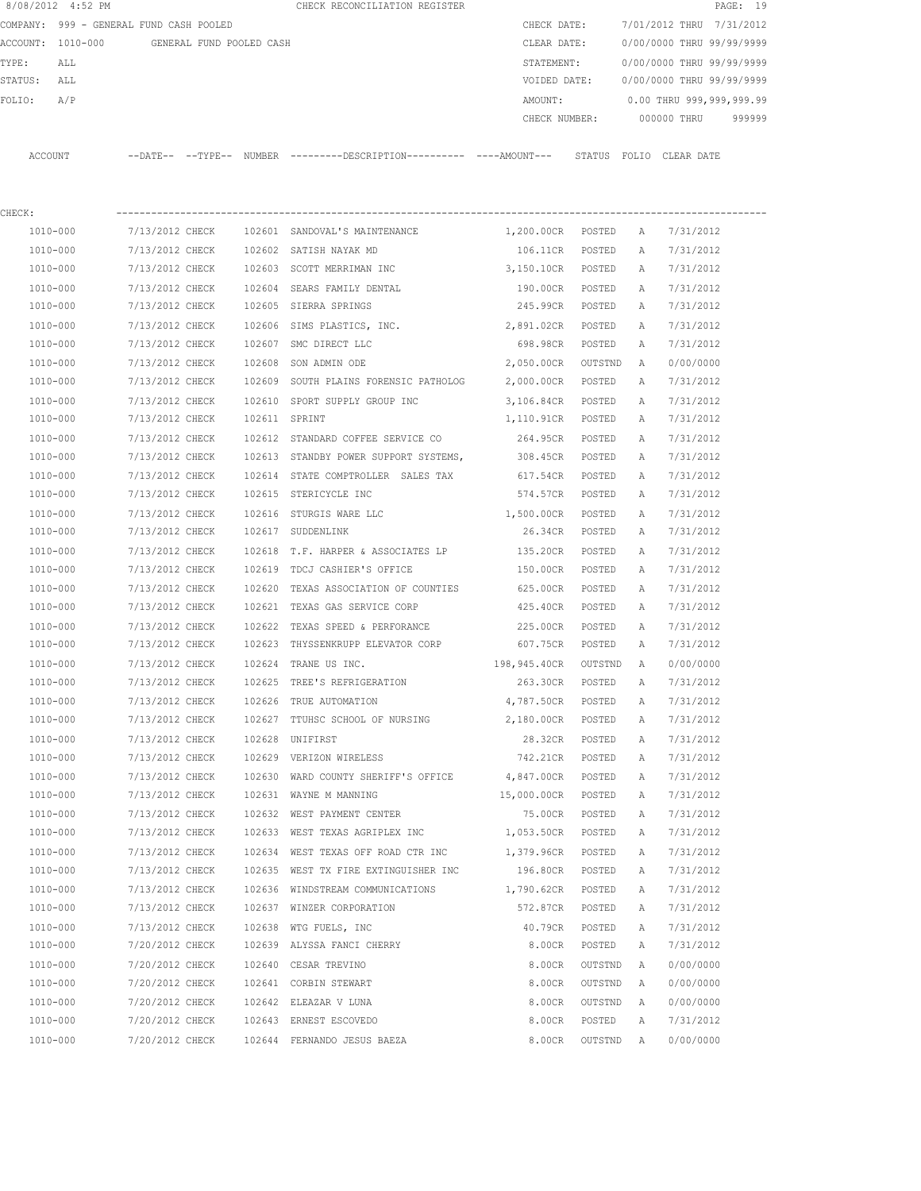|                                                                                                               |              |                 |  |               | CHECK RECONCILIATION REGISTER                                                             |                        |         |   |                           | PAGE: 19 |
|---------------------------------------------------------------------------------------------------------------|--------------|-----------------|--|---------------|-------------------------------------------------------------------------------------------|------------------------|---------|---|---------------------------|----------|
| 8/08/2012 4:52 PM<br>COMPANY: 999 - GENERAL FUND CASH POOLED<br>ACCOUNT: 1010-000<br>GENERAL FUND POOLED CASH |              |                 |  |               |                                                                                           | CHECK DATE:            |         |   | 7/01/2012 THRU 7/31/2012  |          |
|                                                                                                               |              |                 |  |               |                                                                                           | CLEAR DATE:            |         |   | 0/00/0000 THRU 99/99/9999 |          |
| TYPE:                                                                                                         | ALL          |                 |  |               |                                                                                           | STATEMENT:             |         |   | 0/00/0000 THRU 99/99/9999 |          |
| STATUS:                                                                                                       | ALL          |                 |  |               |                                                                                           | VOIDED DATE:           |         |   | 0/00/0000 THRU 99/99/9999 |          |
| FOLIO:                                                                                                        | A/P          |                 |  |               |                                                                                           | AMOUNT:                |         |   | 0.00 THRU 999,999,999.99  |          |
|                                                                                                               |              |                 |  |               |                                                                                           | CHECK NUMBER:          |         |   | 000000 THRU               | 999999   |
|                                                                                                               | ACCOUNT      |                 |  |               | --DATE-- --TYPE-- NUMBER --------DESCRIPTION--------- ---AMOUNT--- STATUS FOLIO CLEARDATE |                        |         |   |                           |          |
|                                                                                                               |              |                 |  |               |                                                                                           |                        |         |   |                           |          |
| CHECK:                                                                                                        |              |                 |  |               |                                                                                           |                        |         |   |                           |          |
|                                                                                                               | 1010-000     | 7/13/2012 CHECK |  |               | 102601 SANDOVAL'S MAINTENANCE                                                             | 1,200.00CR POSTED      |         | A | 7/31/2012                 |          |
|                                                                                                               | 1010-000     | 7/13/2012 CHECK |  |               | 102602 SATISH NAYAK MD                                                                    | 106.11CR POSTED        |         | A | 7/31/2012                 |          |
|                                                                                                               | 1010-000     | 7/13/2012 CHECK |  |               | 102603 SCOTT MERRIMAN INC                                                                 | 3,150.10CR POSTED      |         | A | 7/31/2012                 |          |
|                                                                                                               | 1010-000     | 7/13/2012 CHECK |  |               | 102604 SEARS FAMILY DENTAL                                                                | 190.00CR POSTED        |         | A | 7/31/2012                 |          |
|                                                                                                               | 1010-000     | 7/13/2012 CHECK |  |               | 102605 SIERRA SPRINGS                                                                     | 245.99CR POSTED        |         | A | 7/31/2012                 |          |
|                                                                                                               | 1010-000     | 7/13/2012 CHECK |  | 102606        | SIMS PLASTICS, INC.                                                                       | 2,891.02CR POSTED      |         | Α | 7/31/2012                 |          |
|                                                                                                               | 1010-000     | 7/13/2012 CHECK |  | 102607        | SMC DIRECT LLC                                                                            | 698.98CR POSTED        |         | Α | 7/31/2012                 |          |
|                                                                                                               | 1010-000     | 7/13/2012 CHECK |  | 102608        | SON ADMIN ODE                                                                             | 2,050.00CR OUTSTND     |         | A | 0/00/0000                 |          |
|                                                                                                               | 1010-000     | 7/13/2012 CHECK |  |               | 102609 SOUTH PLAINS FORENSIC PATHOLOG 2,000.00CR POSTED                                   |                        |         | A | 7/31/2012                 |          |
|                                                                                                               | 1010-000     | 7/13/2012 CHECK |  |               | 102610 SPORT SUPPLY GROUP INC                                                             | 3,106.84CR POSTED      |         | A | 7/31/2012                 |          |
|                                                                                                               | 1010-000     | 7/13/2012 CHECK |  | 102611 SPRINT |                                                                                           | 1,110.91CR             | POSTED  | Α | 7/31/2012                 |          |
|                                                                                                               | 1010-000     | 7/13/2012 CHECK |  |               | 102612 STANDARD COFFEE SERVICE CO                                                         | 264.95CR               | POSTED  | Α | 7/31/2012                 |          |
|                                                                                                               | 1010-000     | 7/13/2012 CHECK |  |               | 102613 STANDBY POWER SUPPORT SYSTEMS,                                                     | 308.45CR               | POSTED  | Α | 7/31/2012                 |          |
|                                                                                                               | 1010-000     | 7/13/2012 CHECK |  |               | 102614 STATE COMPTROLLER SALES TAX                                                        | 617.54CR               | POSTED  | Α | 7/31/2012                 |          |
|                                                                                                               | 1010-000     | 7/13/2012 CHECK |  |               | 102615 STERICYCLE INC                                                                     | 574.57CR POSTED        |         | Α | 7/31/2012                 |          |
|                                                                                                               | 1010-000     | 7/13/2012 CHECK |  |               | 102616 STURGIS WARE LLC                                                                   | 1,500.00CR POSTED      |         | A | 7/31/2012                 |          |
|                                                                                                               | 1010-000     | 7/13/2012 CHECK |  | 102617        | SUDDENLINK                                                                                | 26.34CR                | POSTED  | Α | 7/31/2012                 |          |
|                                                                                                               | 1010-000     | 7/13/2012 CHECK |  | 102618        | T.F. HARPER & ASSOCIATES LP                                                               | 135.20CR               | POSTED  | Α | 7/31/2012                 |          |
|                                                                                                               | 1010-000     | 7/13/2012 CHECK |  | 102619        | TDCJ CASHIER'S OFFICE                                                                     | 150.00CR               | POSTED  | Α | 7/31/2012                 |          |
|                                                                                                               | 1010-000     | 7/13/2012 CHECK |  | 102620        | TEXAS ASSOCIATION OF COUNTIES                                                             | 625.00CR               | POSTED  | A | 7/31/2012                 |          |
|                                                                                                               | 1010-000     | 7/13/2012 CHECK |  |               | 102621 TEXAS GAS SERVICE CORP                                                             | 425.40CR               | POSTED  | A | 7/31/2012                 |          |
|                                                                                                               | 1010-000     | 7/13/2012 CHECK |  | 102622        | TEXAS SPEED & PERFORANCE                                                                  | 225.00CR               | POSTED  | Α | 7/31/2012                 |          |
|                                                                                                               | 1010-000     | 7/13/2012 CHECK |  |               | 102623 THYSSENKRUPP ELEVATOR CORP                                                         | 607.75CR               | POSTED  | Α | 7/31/2012                 |          |
|                                                                                                               | 1010-000     | 7/13/2012 CHECK |  |               | 102624 TRANE US INC.                                                                      | 198,945.40CR           | OUTSTND | A | 0/00/0000                 |          |
|                                                                                                               | 1010-000     | 7/13/2012 CHECK |  |               | 102625 TREE'S REFRIGERATION                                                               | 263.30CR               | POSTED  | Α | 7/31/2012                 |          |
|                                                                                                               | 1010-000     | 7/13/2012 CHECK |  |               | 102626 TRUE AUTOMATION                                                                    | 4,787.50CR             | POSTED  | Α | 7/31/2012                 |          |
|                                                                                                               | 1010-000     | 7/13/2012 CHECK |  |               | 102627 TTUHSC SCHOOL OF NURSING                                                           | 2,180.00CR             | POSTED  | Α | 7/31/2012                 |          |
|                                                                                                               | 1010-000     | 7/13/2012 CHECK |  |               | 102628 UNIFIRST                                                                           | 28.32CR                | POSTED  | Α | 7/31/2012                 |          |
|                                                                                                               | 1010-000     | 7/13/2012 CHECK |  |               | 102629 VERIZON WIRELESS                                                                   | 742.21CR               | POSTED  | Α | 7/31/2012                 |          |
|                                                                                                               | 1010-000     | 7/13/2012 CHECK |  | 102630        | WARD COUNTY SHERIFF'S OFFICE                                                              | 4,847.00CR             | POSTED  | Α | 7/31/2012                 |          |
|                                                                                                               | 1010-000     | 7/13/2012 CHECK |  |               | 102631 WAYNE M MANNING                                                                    | 15,000.00CR            | POSTED  | Α | 7/31/2012                 |          |
|                                                                                                               | 1010-000     | 7/13/2012 CHECK |  |               | 102632 WEST PAYMENT CENTER                                                                | 75.00CR                | POSTED  | Α | 7/31/2012                 |          |
|                                                                                                               | 1010-000     | 7/13/2012 CHECK |  |               | 102633 WEST TEXAS AGRIPLEX INC                                                            | 1,053.50CR             | POSTED  | Α | 7/31/2012                 |          |
|                                                                                                               | $1010 - 000$ | 7/13/2012 CHECK |  |               | 102634 WEST TEXAS OFF ROAD CTR INC                                                        |                        |         |   | 7/31/2012                 |          |
|                                                                                                               |              | 7/13/2012 CHECK |  |               |                                                                                           | 1,379.96CR<br>196.80CR | POSTED  | Α |                           |          |
|                                                                                                               | 1010-000     |                 |  |               | 102635 WEST TX FIRE EXTINGUISHER INC                                                      |                        | POSTED  | Α | 7/31/2012                 |          |
|                                                                                                               | 1010-000     | 7/13/2012 CHECK |  |               | 102636 WINDSTREAM COMMUNICATIONS                                                          | 1,790.62CR             | POSTED  | Α | 7/31/2012                 |          |
|                                                                                                               | 1010-000     | 7/13/2012 CHECK |  |               | 102637 WINZER CORPORATION                                                                 | 572.87CR               | POSTED  | Α | 7/31/2012                 |          |
|                                                                                                               | 1010-000     | 7/13/2012 CHECK |  |               | 102638 WTG FUELS, INC                                                                     | 40.79CR                | POSTED  | Α | 7/31/2012                 |          |
|                                                                                                               | 1010-000     | 7/20/2012 CHECK |  |               | 102639 ALYSSA FANCI CHERRY                                                                | 8.00CR                 | POSTED  | Α | 7/31/2012                 |          |
|                                                                                                               | 1010-000     | 7/20/2012 CHECK |  |               | 102640 CESAR TREVINO                                                                      | 8.00CR                 | OUTSTND | Α | 0/00/0000                 |          |
|                                                                                                               | 1010-000     | 7/20/2012 CHECK |  |               | 102641 CORBIN STEWART                                                                     | 8.00CR                 | OUTSTND | Α | 0/00/0000                 |          |
|                                                                                                               | 1010-000     | 7/20/2012 CHECK |  |               | 102642 ELEAZAR V LUNA                                                                     | 8.00CR                 | OUTSTND | Α | 0/00/0000                 |          |
|                                                                                                               | 1010-000     | 7/20/2012 CHECK |  |               | 102643 ERNEST ESCOVEDO                                                                    | 8.00CR                 | POSTED  | Α | 7/31/2012                 |          |
|                                                                                                               | 1010-000     | 7/20/2012 CHECK |  |               | 102644 FERNANDO JESUS BAEZA                                                               | 8.00CR                 | OUTSTND | Α | 0/00/0000                 |          |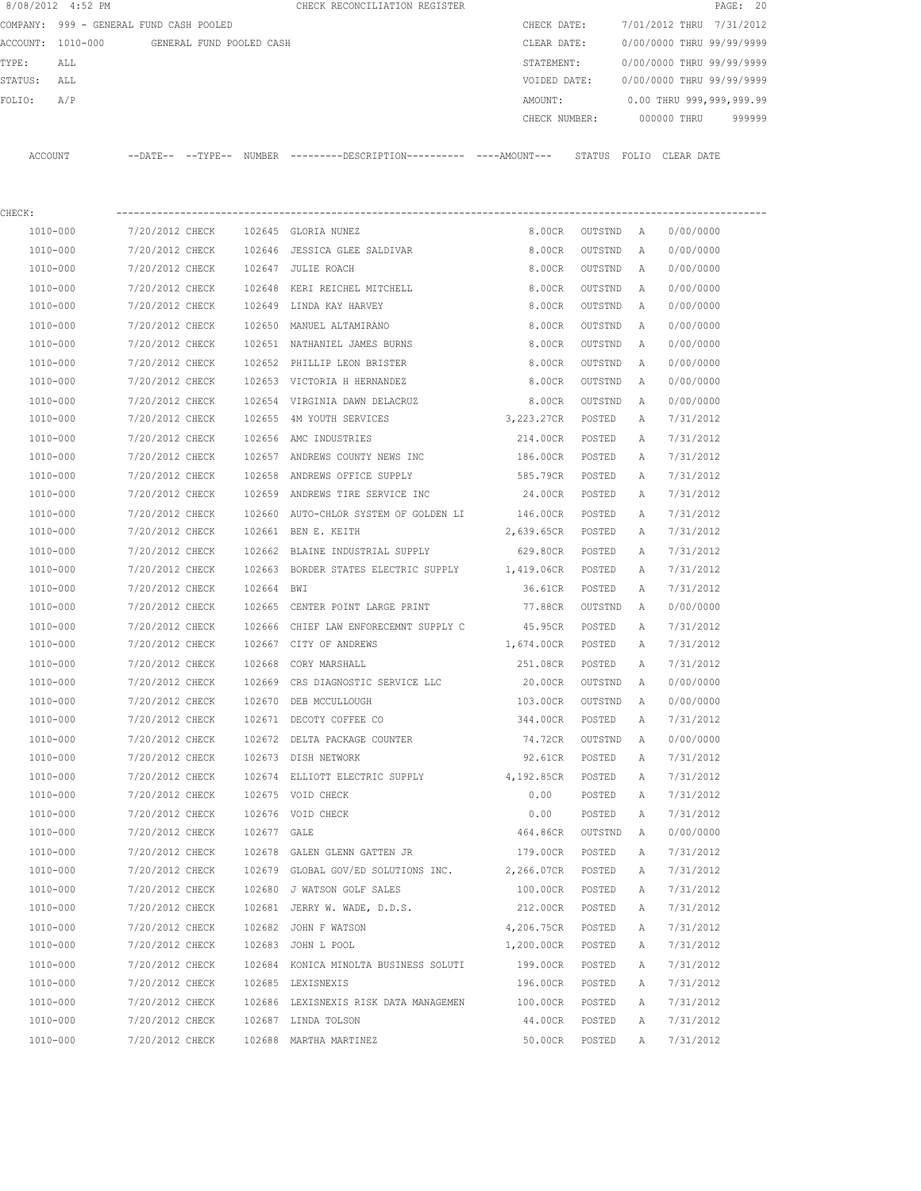|         | 8/08/2012 4:52 PM                       |                            |                          |               | CHECK RECONCILIATION REGISTER |  |               |        |                           |             | PAGE: 20                 |        |
|---------|-----------------------------------------|----------------------------|--------------------------|---------------|-------------------------------|--|---------------|--------|---------------------------|-------------|--------------------------|--------|
|         | COMPANY: 999 - GENERAL FUND CASH POOLED |                            |                          |               |                               |  | CHECK DATE:   |        | 7/01/2012 THRU 7/31/2012  |             |                          |        |
|         | ACCOUNT: 1010-000                       |                            | GENERAL FUND POOLED CASH |               |                               |  | CLEAR DATE:   |        | 0/00/0000 THRU 99/99/9999 |             |                          |        |
| TYPE:   | ALL                                     |                            |                          |               |                               |  | STATEMENT:    |        | 0/00/0000 THRU 99/99/9999 |             |                          |        |
| STATUS: | ALL                                     |                            |                          |               |                               |  | VOIDED DATE:  |        | 0/00/0000 THRU 99/99/9999 |             |                          |        |
| FOLIO:  | A/P                                     |                            |                          |               |                               |  | AMOUNT:       |        |                           |             | 0.00 THRU 999,999,999.99 |        |
|         |                                         |                            |                          |               |                               |  | CHECK NUMBER: |        |                           | 000000 THRU |                          | 999999 |
|         |                                         |                            |                          |               |                               |  |               |        |                           |             |                          |        |
| ACCOUNT |                                         | $--$ DATE $- --$ TYPE $--$ |                          | <b>NUMBER</b> |                               |  |               | STATUS | FOLTO                     | CLEAR DATE  |                          |        |
|         |                                         |                            |                          |               |                               |  |               |        |                           |             |                          |        |

| CHECK:       |                                     |             |                                                       |                   |                  |              |           |
|--------------|-------------------------------------|-------------|-------------------------------------------------------|-------------------|------------------|--------------|-----------|
| 1010-000     | 7/20/2012 CHECK 102645 GLORIA NUNEZ |             |                                                       |                   | 8.00CR OUTSTND A |              | 0/00/0000 |
| 1010-000     | 7/20/2012 CHECK                     |             | 102646 JESSICA GLEE SALDIVAR                          | 8.00CR            | OUTSTND          | A            | 0/00/0000 |
| 1010-000     | 7/20/2012 CHECK                     |             | 102647 JULIE ROACH                                    | 8.00CR            | OUTSTND          | A            | 0/00/0000 |
| 1010-000     | 7/20/2012 CHECK                     | 102648      | KERI REICHEL MITCHELL                                 | 8.00CR            | OUTSTND          | Α            | 0/00/0000 |
| 1010-000     | 7/20/2012 CHECK                     |             | 102649 LINDA KAY HARVEY                               | 8.00CR            | OUTSTND          | A            | 0/00/0000 |
| 1010-000     | 7/20/2012 CHECK                     |             | 102650 MANUEL ALTAMIRANO                              | 8.00CR            | OUTSTND          | A            | 0/00/0000 |
| 1010-000     | 7/20/2012 CHECK                     |             | 102651 NATHANIEL JAMES BURNS                          | 8.00CR            | OUTSTND          | $\mathbb{A}$ | 0/00/0000 |
| 1010-000     |                                     |             | 7/20/2012 CHECK 102652 PHILLIP LEON BRISTER           | 8.00CR            | OUTSTND          | Α            | 0/00/0000 |
| 1010-000     |                                     |             | 7/20/2012 CHECK 102653 VICTORIA H HERNANDEZ           | 8.00CR            | OUTSTND          | Α            | 0/00/0000 |
| 1010-000     |                                     |             | 7/20/2012 CHECK 102654 VIRGINIA DAWN DELACRUZ         | 8.00CR            | OUTSTND          | Α            | 0/00/0000 |
| 1010-000     | 7/20/2012 CHECK                     |             | 102655 4M YOUTH SERVICES                              | 3,223.27CR POSTED |                  | Α            | 7/31/2012 |
| 1010-000     | 7/20/2012 CHECK                     |             | 102656 AMC INDUSTRIES                                 | 214.00CR POSTED   |                  | $\mathbb{A}$ | 7/31/2012 |
| 1010-000     | 7/20/2012 CHECK                     |             | 102657 ANDREWS COUNTY NEWS INC                        | 186.00CR POSTED   |                  | Α            | 7/31/2012 |
| 1010-000     | 7/20/2012 CHECK                     |             | 102658 ANDREWS OFFICE SUPPLY                          | 585.79CR POSTED   |                  | A            | 7/31/2012 |
| 1010-000     | 7/20/2012 CHECK                     |             | 102659 ANDREWS TIRE SERVICE INC                       | 24.00CR POSTED    |                  | A            | 7/31/2012 |
| 1010-000     | 7/20/2012 CHECK                     |             | 102660 AUTO-CHLOR SYSTEM OF GOLDEN LI 146.00CR        |                   | POSTED           | Α            | 7/31/2012 |
| 1010-000     | 7/20/2012 CHECK                     |             | 102661 BEN E. KEITH                                   | 2,639.65CR POSTED |                  | A            | 7/31/2012 |
| 1010-000     | 7/20/2012 CHECK                     |             | 102662 BLAINE INDUSTRIAL SUPPLY                       | 629.80CR          | POSTED           | A            | 7/31/2012 |
| 1010-000     | 7/20/2012 CHECK                     |             | 102663 BORDER STATES ELECTRIC SUPPLY 1,419.06CR       |                   | POSTED           | Α            | 7/31/2012 |
| 1010-000     | 7/20/2012 CHECK                     | 102664 BWI  |                                                       | 36.61CR           | POSTED           | А            | 7/31/2012 |
| 1010-000     |                                     |             | 7/20/2012 CHECK 102665 CENTER POINT LARGE PRINT       | 77.88CR           | OUTSTND          | A            | 0/00/0000 |
| 1010-000     |                                     |             | 7/20/2012 CHECK 102666 CHIEF LAW ENFORECEMNT SUPPLY C | 45.95CR POSTED    |                  | Α            | 7/31/2012 |
| 1010-000     | 7/20/2012 CHECK                     |             | 102667 CITY OF ANDREWS                                | 1,674.00CR POSTED |                  | Α            | 7/31/2012 |
| 1010-000     | 7/20/2012 CHECK                     | 102668      | CORY MARSHALL                                         | 251.08CR POSTED   |                  | A            | 7/31/2012 |
| 1010-000     | 7/20/2012 CHECK                     |             | 102669 CRS DIAGNOSTIC SERVICE LLC                     | 20.00CR           | OUTSTND          | $\mathbb{A}$ | 0/00/0000 |
| 1010-000     | 7/20/2012 CHECK                     | 102670      | DEB MCCULLOUGH                                        | 103.00CR          | OUTSTND          | Α            | 0/00/0000 |
| 1010-000     | 7/20/2012 CHECK                     |             | 102671 DECOTY COFFEE CO                               | 344.00CR          | POSTED           | A            | 7/31/2012 |
| 1010-000     | 7/20/2012 CHECK                     |             | 102672 DELTA PACKAGE COUNTER                          | 74.72CR           | OUTSTND          | Α            | 0/00/0000 |
| 1010-000     | 7/20/2012 CHECK                     |             | 102673 DISH NETWORK                                   | 92.61CR           | POSTED           | Α            | 7/31/2012 |
| 1010-000     | 7/20/2012 CHECK                     |             | 102674 ELLIOTT ELECTRIC SUPPLY 4,192.85CR             |                   | POSTED           | A            | 7/31/2012 |
| 1010-000     | 7/20/2012 CHECK                     |             | 102675 VOID CHECK                                     | 0.00              | POSTED           | Α            | 7/31/2012 |
| 1010-000     | 7/20/2012 CHECK                     |             | 102676 VOID CHECK                                     | 0.00              | POSTED           | А            | 7/31/2012 |
| 1010-000     | 7/20/2012 CHECK                     | 102677 GALE |                                                       | 464.86CR          | OUTSTND          | A            | 0/00/0000 |
| 1010-000     |                                     |             | 7/20/2012 CHECK 102678 GALEN GLENN GATTEN JR          | 179.00CR POSTED   |                  | Α            | 7/31/2012 |
| 1010-000     | 7/20/2012 CHECK                     |             | 102679 GLOBAL GOV/ED SOLUTIONS INC.                   | 2,266.07CR        | POSTED           | A            | 7/31/2012 |
| 1010-000     | 7/20/2012 CHECK                     |             | 102680 J WATSON GOLF SALES                            | 100.00CR          | POSTED           | А            | 7/31/2012 |
| 1010-000     | 7/20/2012 CHECK                     |             | 102681 JERRY W. WADE, D.D.S.                          | 212.00CR          | POSTED           | Α            | 7/31/2012 |
| 1010-000     | 7/20/2012 CHECK                     |             | 102682 JOHN F WATSON                                  | 4,206.75CR        | POSTED           | Α            | 7/31/2012 |
| 1010-000     | 7/20/2012 CHECK                     |             | 102683 JOHN L POOL                                    | 1,200.00CR        | POSTED           | А            | 7/31/2012 |
| 1010-000     | 7/20/2012 CHECK                     |             | 102684 KONICA MINOLTA BUSINESS SOLUTI                 | 199.00CR          | POSTED           | Α            | 7/31/2012 |
| 1010-000     | 7/20/2012 CHECK                     |             | 102685 LEXISNEXIS                                     | 196.00CR          | POSTED           | Α            | 7/31/2012 |
| 1010-000     | 7/20/2012 CHECK                     |             | 102686 LEXISNEXIS RISK DATA MANAGEMEN                 | 100.00CR          | POSTED           | Α            | 7/31/2012 |
| $1010 - 000$ | 7/20/2012 CHECK                     |             | 102687 LINDA TOLSON                                   | 44.00CR           | POSTED           | Α            | 7/31/2012 |
| $1010 - 000$ | 7/20/2012 CHECK                     |             | 102688 MARTHA MARTINEZ                                | 50.00CR           | POSTED           | Α            | 7/31/2012 |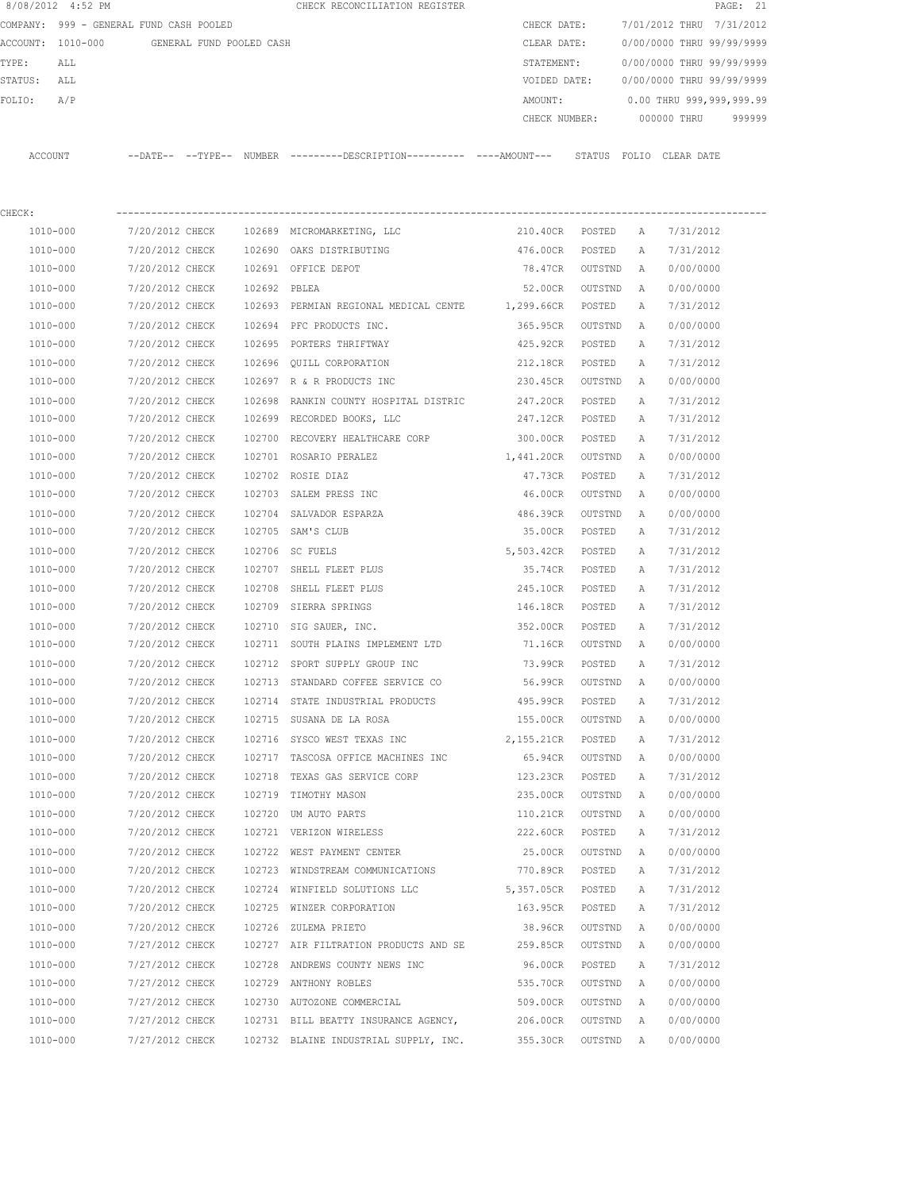| 8/08/2012 4:52 PM    |                                         |              | CHECK RECONCILIATION REGISTER                                                              |               |         |                           | PAGE: 21                  |        |
|----------------------|-----------------------------------------|--------------|--------------------------------------------------------------------------------------------|---------------|---------|---------------------------|---------------------------|--------|
|                      | COMPANY: 999 - GENERAL FUND CASH POOLED |              |                                                                                            | CHECK DATE:   |         |                           | 7/01/2012 THRU 7/31/2012  |        |
| ACCOUNT: 1010-000    | GENERAL FUND POOLED CASH                |              |                                                                                            | CLEAR DATE:   |         | 0/00/0000 THRU 99/99/9999 |                           |        |
| TYPE:<br>ALL         |                                         |              |                                                                                            | STATEMENT:    |         |                           | 0/00/0000 THRU 99/99/9999 |        |
| STATUS:<br>ALL       |                                         |              |                                                                                            | VOIDED DATE:  |         |                           | 0/00/0000 THRU 99/99/9999 |        |
| FOLIO:<br>A/P        |                                         |              |                                                                                            | AMOUNT:       |         |                           | 0.00 THRU 999,999,999.99  |        |
|                      |                                         |              |                                                                                            | CHECK NUMBER: |         |                           | 000000 THRU               | 999999 |
| ACCOUNT              |                                         |              | --DATE-- --TYPE-- NUMBER --------DESCRIPTION---------- ---AMOUNT--- STATUS FOLIO CLEARDATE |               |         |                           |                           |        |
| CHECK:               |                                         |              |                                                                                            |               |         |                           |                           |        |
| 1010-000             | 7/20/2012 CHECK                         |              | 102689 MICROMARKETING, LLC                                                                 | 210.40CR      | POSTED  | A                         | 7/31/2012                 |        |
| 1010-000             | 7/20/2012 CHECK                         |              | 102690 OAKS DISTRIBUTING                                                                   | 476.00CR      | POSTED  | Α                         | 7/31/2012                 |        |
| 1010-000             | 7/20/2012 CHECK                         |              | 102691 OFFICE DEPOT                                                                        | 78.47CR       | OUTSTND | A                         | 0/00/0000                 |        |
| 1010-000             | 7/20/2012 CHECK                         | 102692 PBLEA |                                                                                            | 52.00CR       | OUTSTND | A                         | 0/00/0000                 |        |
| 1010-000             | 7/20/2012 CHECK                         |              | 102693 PERMIAN REGIONAL MEDICAL CENTE 1,299.66CR POSTED                                    |               |         | A                         | 7/31/2012                 |        |
| 1010-000             | 7/20/2012 CHECK                         |              | 102694 PFC PRODUCTS INC.                                                                   | 365.95CR      | OUTSTND | A                         | 0/00/0000                 |        |
| 1010-000             | 7/20/2012 CHECK                         |              | 102695 PORTERS THRIFTWAY                                                                   | 425.92CR      | POSTED  | Α                         | 7/31/2012                 |        |
| 1010-000             | 7/20/2012 CHECK                         |              | 102696 QUILL CORPORATION                                                                   | 212.18CR      | POSTED  | Α                         | 7/31/2012                 |        |
| 1010-000             | 7/20/2012 CHECK                         |              | 102697 R & R PRODUCTS INC                                                                  | 230.45CR      | OUTSTND | A                         | 0/00/0000                 |        |
| 1010-000             | 7/20/2012 CHECK                         | 102698       | RANKIN COUNTY HOSPITAL DISTRIC                                                             | 247.20CR      | POSTED  | Α                         | 7/31/2012                 |        |
| 1010-000             | 7/20/2012 CHECK                         |              | 102699 RECORDED BOOKS, LLC                                                                 | 247.12CR      | POSTED  | Α                         | 7/31/2012                 |        |
| 1010-000             | 7/20/2012 CHECK                         |              | 102700 RECOVERY HEALTHCARE CORP                                                            | 300.00CR      | POSTED  | Α                         | 7/31/2012                 |        |
| 1010-000             | 7/20/2012 CHECK                         |              | 102701 ROSARIO PERALEZ                                                                     | 1,441.20CR    | OUTSTND | A                         | 0/00/0000                 |        |
| 1010-000             | 7/20/2012 CHECK                         |              | 102702 ROSIE DIAZ                                                                          | 47.73CR       | POSTED  | Α                         | 7/31/2012                 |        |
| 1010-000             | 7/20/2012 CHECK                         |              | 102703 SALEM PRESS INC                                                                     | 46.00CR       | OUTSTND | Α                         | 0/00/0000                 |        |
| 1010-000             |                                         |              | 102704 SALVADOR ESPARZA                                                                    | 486.39CR      |         |                           | 0/00/0000                 |        |
| 1010-000             | 7/20/2012 CHECK<br>7/20/2012 CHECK      |              | 102705 SAM'S CLUB                                                                          | 35.00CR       | OUTSTND | A                         | 7/31/2012                 |        |
|                      |                                         |              |                                                                                            |               | POSTED  | A                         |                           |        |
| 1010-000             | 7/20/2012 CHECK                         |              | 102706 SC FUELS                                                                            | 5,503.42CR    | POSTED  | Α                         | 7/31/2012                 |        |
| 1010-000             | 7/20/2012 CHECK                         |              | 102707 SHELL FLEET PLUS                                                                    | 35.74CR       | POSTED  | A                         | 7/31/2012                 |        |
| 1010-000<br>1010-000 | 7/20/2012 CHECK<br>7/20/2012 CHECK      | 102708       | SHELL FLEET PLUS<br>102709 SIERRA SPRINGS                                                  | 245.10CR      | POSTED  | Α                         | 7/31/2012<br>7/31/2012    |        |
|                      |                                         |              |                                                                                            | 146.18CR      | POSTED  | Α                         |                           |        |
| 1010-000             | 7/20/2012 CHECK                         |              | 102710 SIG SAUER, INC.                                                                     | 352.00CR      | POSTED  | А                         | 7/31/2012                 |        |
| 1010-000             | 7/20/2012 CHECK                         |              | 102711 SOUTH PLAINS IMPLEMENT LTD                                                          | 71.16CR       | OUTSTND | Α                         | 0/00/0000                 |        |
| 1010-000             | 7/20/2012 CHECK                         |              | 102712 SPORT SUPPLY GROUP INC                                                              | 73.99CR       | POSTED  | $\mathbb{A}$              | 7/31/2012                 |        |
| 1010-000             | 7/20/2012 CHECK                         |              | 102713 STANDARD COFFEE SERVICE CO                                                          | 56.99CR       | OUTSTND | A                         | 0/00/0000                 |        |
| $1010 - 000$         | 7/20/2012 CHECK                         |              | 102714 STATE INDUSTRIAL PRODUCTS                                                           | 495.99CR      | POSTED  | Α                         | 7/31/2012                 |        |
| 1010-000             | 7/20/2012 CHECK                         |              | 102715 SUSANA DE LA ROSA                                                                   | 155.00CR      | OUTSTND | Α                         | 0/00/0000                 |        |
| 1010-000             | 7/20/2012 CHECK                         |              | 102716 SYSCO WEST TEXAS INC                                                                | 2,155.21CR    | POSTED  | Α                         | 7/31/2012                 |        |
| 1010-000             | 7/20/2012 CHECK                         |              | 102717 TASCOSA OFFICE MACHINES INC                                                         | 65.94CR       | OUTSTND | Α                         | 0/00/0000                 |        |
| 1010-000             | 7/20/2012 CHECK                         | 102718       | TEXAS GAS SERVICE CORP                                                                     | 123.23CR      | POSTED  | Α                         | 7/31/2012                 |        |
| 1010-000             | 7/20/2012 CHECK                         |              | 102719 TIMOTHY MASON                                                                       | 235.00CR      | OUTSTND | Α                         | 0/00/0000                 |        |
| 1010-000             | 7/20/2012 CHECK                         |              | 102720 UM AUTO PARTS                                                                       | 110.21CR      | OUTSTND | Α                         | 0/00/0000                 |        |
| 1010-000             | 7/20/2012 CHECK                         |              | 102721 VERIZON WIRELESS                                                                    | 222.60CR      | POSTED  | Α                         | 7/31/2012                 |        |
| 1010-000             | 7/20/2012 CHECK                         |              | 102722 WEST PAYMENT CENTER                                                                 | 25.00CR       | OUTSTND | Α                         | 0/00/0000                 |        |
| 1010-000             | 7/20/2012 CHECK                         |              | 102723 WINDSTREAM COMMUNICATIONS                                                           | 770.89CR      | POSTED  | Α                         | 7/31/2012                 |        |
| 1010-000             | 7/20/2012 CHECK                         |              | 102724 WINFIELD SOLUTIONS LLC                                                              | 5,357.05CR    | POSTED  | Α                         | 7/31/2012                 |        |
| 1010-000             | 7/20/2012 CHECK                         |              | 102725 WINZER CORPORATION                                                                  | 163.95CR      | POSTED  | Α                         | 7/31/2012                 |        |
| 1010-000             | 7/20/2012 CHECK                         |              | 102726 ZULEMA PRIETO                                                                       | 38.96CR       | OUTSTND | Α                         | 0/00/0000                 |        |
| 1010-000             | 7/27/2012 CHECK                         |              | 102727 AIR FILTRATION PRODUCTS AND SE                                                      | 259.85CR      | OUTSTND | Α                         | 0/00/0000                 |        |
| 1010-000             | 7/27/2012 CHECK                         |              | 102728 ANDREWS COUNTY NEWS INC                                                             | 96.00CR       | POSTED  | Α                         | 7/31/2012                 |        |
| 1010-000             | 7/27/2012 CHECK                         |              | 102729 ANTHONY ROBLES                                                                      | 535.70CR      | OUTSTND | Α                         | 0/00/0000                 |        |
| 1010-000             | 7/27/2012 CHECK                         |              | 102730 AUTOZONE COMMERCIAL                                                                 | 509.00CR      | OUTSTND | Α                         | 0/00/0000                 |        |
| 1010-000             | 7/27/2012 CHECK                         |              | 102731 BILL BEATTY INSURANCE AGENCY,                                                       | 206.00CR      | OUTSTND | Α                         | 0/00/0000                 |        |
| 1010-000             | 7/27/2012 CHECK                         |              | 102732 BLAINE INDUSTRIAL SUPPLY, INC.                                                      | 355.30CR      | OUTSTND | Α                         | 0/00/0000                 |        |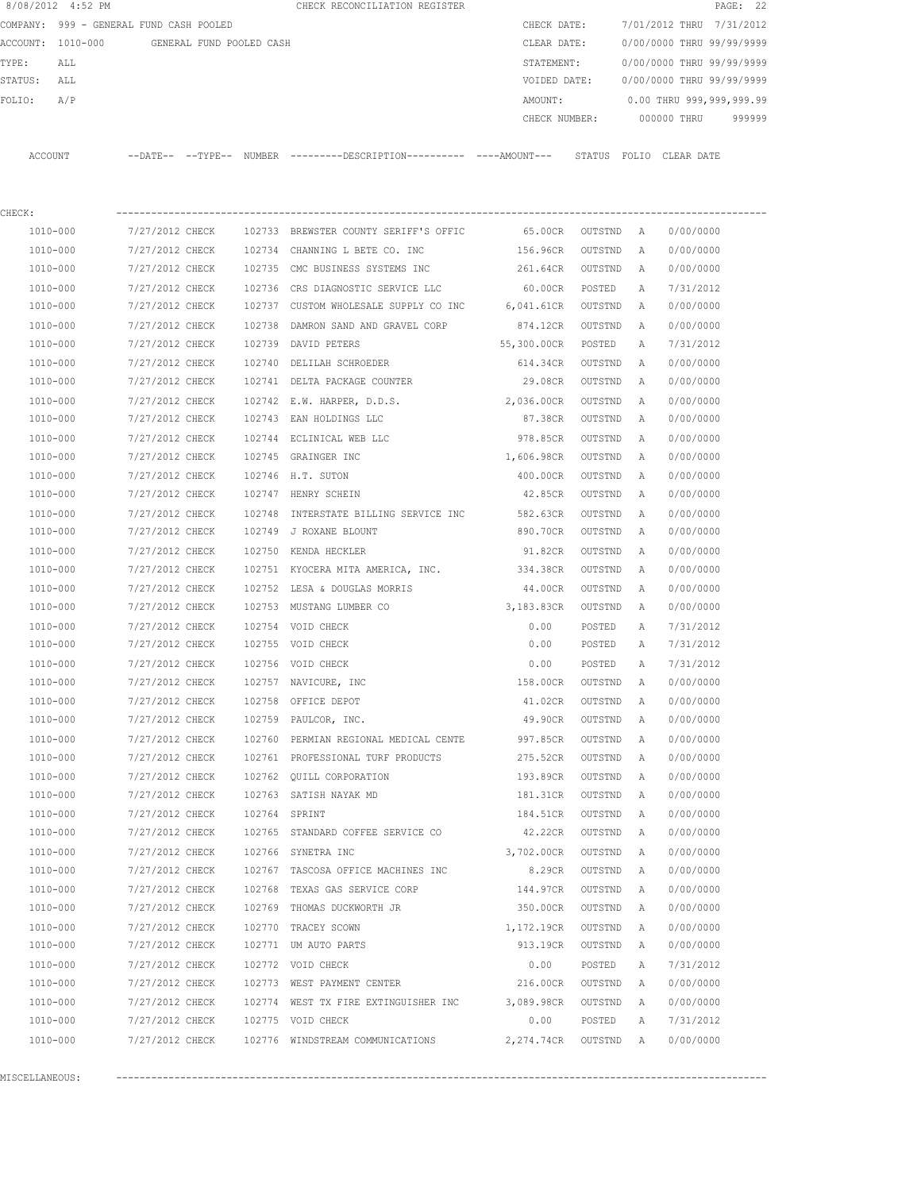|                                               | 8/08/2012 4:52 PM                       |                 |        | CHECK RECONCILIATION REGISTER                                                                |                      |           |                           |                           | PAGE: 22 |
|-----------------------------------------------|-----------------------------------------|-----------------|--------|----------------------------------------------------------------------------------------------|----------------------|-----------|---------------------------|---------------------------|----------|
|                                               | COMPANY: 999 - GENERAL FUND CASH POOLED |                 |        |                                                                                              | CHECK DATE:          |           |                           | 7/01/2012 THRU 7/31/2012  |          |
| ACCOUNT: 1010-000<br>GENERAL FUND POOLED CASH |                                         |                 |        | CLEAR DATE:                                                                                  |                      |           | 0/00/0000 THRU 99/99/9999 |                           |          |
| TYPE:<br>ALL                                  |                                         |                 |        | STATEMENT:                                                                                   |                      |           | 0/00/0000 THRU 99/99/9999 |                           |          |
| STATUS:<br>ALL                                |                                         |                 |        |                                                                                              | VOIDED DATE:         |           |                           | 0/00/0000 THRU 99/99/9999 |          |
| FOLIO:                                        | A/P                                     |                 |        |                                                                                              | AMOUNT:              |           |                           | 0.00 THRU 999,999,999.99  |          |
|                                               |                                         |                 |        |                                                                                              | CHECK NUMBER:        |           |                           | 000000 THRU               | 999999   |
|                                               | ACCOUNT                                 |                 |        | --DATE-- --TYPE-- NUMBER ---------DESCRIPTION---------- ----AMOUNT--- STATUS FOLIO CLEARDATE |                      |           |                           |                           |          |
| CHECK:                                        |                                         |                 |        |                                                                                              |                      |           |                           |                           |          |
|                                               | 1010-000                                | 7/27/2012 CHECK |        | 102733 BREWSTER COUNTY SERIFF'S OFFIC                                                        | 65.00CR              | OUTSTND A |                           | 0/00/0000                 |          |
|                                               | 1010-000                                | 7/27/2012 CHECK |        | 102734 CHANNING L BETE CO. INC                                                               | 156.96CR             | OUTSTND   | А                         | 0/00/0000                 |          |
|                                               | 1010-000                                | 7/27/2012 CHECK |        | 102735 CMC BUSINESS SYSTEMS INC                                                              | 261.64CR             | OUTSTND   | A                         | 0/00/0000                 |          |
|                                               | 1010-000                                | 7/27/2012 CHECK |        | 102736 CRS DIAGNOSTIC SERVICE LLC                                                            | 60.00CR              | POSTED    | Α                         | 7/31/2012                 |          |
|                                               | 1010-000                                | 7/27/2012 CHECK |        | 102737 CUSTOM WHOLESALE SUPPLY CO INC                                                        | 6,041.61CR           | OUTSTND   | Α                         | 0/00/0000                 |          |
|                                               | 1010-000                                | 7/27/2012 CHECK | 102738 | DAMRON SAND AND GRAVEL CORP                                                                  | 874.12CR             | OUTSTND   | A                         | 0/00/0000                 |          |
|                                               | 1010-000                                | 7/27/2012 CHECK |        | 102739 DAVID PETERS                                                                          | 55,300.00CR          | POSTED    | Α                         | 7/31/2012                 |          |
|                                               | 1010-000                                | 7/27/2012 CHECK | 102740 | DELILAH SCHROEDER                                                                            | 614.34CR             | OUTSTND   | A                         | 0/00/0000                 |          |
|                                               | 1010-000                                | 7/27/2012 CHECK |        | 102741 DELTA PACKAGE COUNTER                                                                 | 29.08CR              | OUTSTND   | А                         | 0/00/0000                 |          |
|                                               | 1010-000                                | 7/27/2012 CHECK |        | 102742 E.W. HARPER, D.D.S.                                                                   | 2,036.00CR           | OUTSTND   | А                         | 0/00/0000                 |          |
|                                               | 1010-000                                | 7/27/2012 CHECK |        | 102743 EAN HOLDINGS LLC                                                                      | 87.38CR              | OUTSTND   | A                         | 0/00/0000                 |          |
|                                               | 1010-000                                | 7/27/2012 CHECK |        | 102744 ECLINICAL WEB LLC                                                                     | 978.85CR             | OUTSTND   | A                         | 0/00/0000                 |          |
|                                               | 1010-000                                | 7/27/2012 CHECK |        | 102745 GRAINGER INC                                                                          | 1,606.98CR           | OUTSTND   | А                         | 0/00/0000                 |          |
|                                               | 1010-000                                | 7/27/2012 CHECK |        | 102746 H.T. SUTON                                                                            | 400.00CR             | OUTSTND   | Α                         | 0/00/0000                 |          |
|                                               | 1010-000                                | 7/27/2012 CHECK |        | 102747 HENRY SCHEIN                                                                          | 42.85CR              | OUTSTND   | А                         | 0/00/0000                 |          |
|                                               | 1010-000                                | 7/27/2012 CHECK | 102748 | INTERSTATE BILLING SERVICE INC                                                               | 582.63CR             | OUTSTND   | Α                         | 0/00/0000                 |          |
|                                               | 1010-000                                | 7/27/2012 CHECK |        | 102749 J ROXANE BLOUNT                                                                       | 890.70CR             | OUTSTND   | Α                         | 0/00/0000                 |          |
|                                               | 1010-000                                | 7/27/2012 CHECK |        | 102750 KENDA HECKLER                                                                         | 91.82CR              | OUTSTND   | A                         | 0/00/0000                 |          |
|                                               | 1010-000                                | 7/27/2012 CHECK |        | 102751 KYOCERA MITA AMERICA, INC.                                                            | 334.38CR             | OUTSTND   | Α                         | 0/00/0000                 |          |
|                                               | 1010-000                                | 7/27/2012 CHECK | 102752 | LESA & DOUGLAS MORRIS                                                                        | 44.00CR              | OUTSTND   | А                         | 0/00/0000                 |          |
|                                               | 1010-000                                | 7/27/2012 CHECK |        | 102753 MUSTANG LUMBER CO                                                                     | 3,183.83CR           | OUTSTND   | А                         | 0/00/0000                 |          |
|                                               | 1010-000                                | 7/27/2012 CHECK |        | 102754 VOID CHECK                                                                            | 0.00                 | POSTED    | А                         | 7/31/2012                 |          |
|                                               | 1010-000                                | 7/27/2012 CHECK |        | 102755 VOID CHECK                                                                            | 0.00                 | POSTED    | Α                         | 7/31/2012                 |          |
|                                               | 1010-000                                | 7/27/2012 CHECK |        | 102756 VOID CHECK                                                                            | 0.00                 | POSTED    | A                         | 7/31/2012                 |          |
|                                               | 1010-000                                | 7/27/2012 CHECK |        | 102757 NAVICURE, INC                                                                         | 158.00CR             | OUTSTND   | A                         | 0/00/0000                 |          |
|                                               | $1010 - 000$                            | 7/27/2012 CHECK |        | 102758 OFFICE DEPOT                                                                          | 41.02CR              | OUTSTND   | А                         | 0/00/0000                 |          |
|                                               | 1010-000                                | 7/27/2012 CHECK |        | 102759 PAULCOR, INC.                                                                         | 49.90CR              | OUTSTND   | Α                         | 0/00/0000                 |          |
|                                               | 1010-000                                | 7/27/2012 CHECK |        | 102760 PERMIAN REGIONAL MEDICAL CENTE                                                        | 997.85CR             | OUTSTND   | А                         | 0/00/0000                 |          |
|                                               | 1010-000                                | 7/27/2012 CHECK |        | 102761 PROFESSIONAL TURF PRODUCTS                                                            | 275.52CR             | OUTSTND   | $\mathbb{A}$              | 0/00/0000                 |          |
|                                               | 1010-000                                | 7/27/2012 CHECK |        | 102762 QUILL CORPORATION                                                                     | 193.89CR             | OUTSTND   | A                         | 0/00/0000                 |          |
|                                               | 1010-000                                | 7/27/2012 CHECK |        | 102763 SATISH NAYAK MD                                                                       | 181.31CR             | OUTSTND   | A                         | 0/00/0000                 |          |
|                                               | 1010-000                                | 7/27/2012 CHECK |        | 102764 SPRINT                                                                                | 184.51CR             | OUTSTND   | А                         | 0/00/0000                 |          |
|                                               | 1010-000                                | 7/27/2012 CHECK |        | 102765 STANDARD COFFEE SERVICE CO                                                            | 42.22CR              | OUTSTND   | Α                         | 0/00/0000                 |          |
|                                               | $1010 - 000$                            | 7/27/2012 CHECK |        | 102766 SYNETRA INC                                                                           | 3,702.00CR           | OUTSTND   | А                         | 0/00/0000                 |          |
|                                               | 1010-000                                | 7/27/2012 CHECK |        | 102767 TASCOSA OFFICE MACHINES INC                                                           | 8.29CR               | OUTSTND   | A                         | 0/00/0000                 |          |
|                                               | 1010-000                                | 7/27/2012 CHECK |        | 102768 TEXAS GAS SERVICE CORP                                                                | 144.97CR             | OUTSTND   | Α                         | 0/00/0000                 |          |
|                                               | 1010-000                                | 7/27/2012 CHECK |        | 102769 THOMAS DUCKWORTH JR                                                                   | 350.00CR             | OUTSTND   | Α                         | 0/00/0000                 |          |
|                                               | 1010-000                                | 7/27/2012 CHECK |        | 102770 TRACEY SCOWN                                                                          | 1,172.19CR           | OUTSTND   | Α                         | 0/00/0000                 |          |
|                                               | 1010-000                                | 7/27/2012 CHECK |        | 102771 UM AUTO PARTS                                                                         | 913.19CR             | OUTSTND   | Α                         | 0/00/0000                 |          |
|                                               | 1010-000                                | 7/27/2012 CHECK |        | 102772 VOID CHECK                                                                            | 0.00                 | POSTED    | Α                         | 7/31/2012                 |          |
|                                               | 1010-000                                | 7/27/2012 CHECK |        | 102773 WEST PAYMENT CENTER                                                                   | 216.00CR             | OUTSTND   | $\mathbb{A}$              | 0/00/0000                 |          |
|                                               | 1010-000                                | 7/27/2012 CHECK |        | 102774 WEST TX FIRE EXTINGUISHER INC                                                         | 3,089.98CR           | OUTSTND   | $\mathbb{A}$              | 0/00/0000                 |          |
|                                               | 1010-000                                | 7/27/2012 CHECK |        | 102775 VOID CHECK                                                                            | 0.00                 | POSTED    | Α                         | 7/31/2012                 |          |
|                                               | 1010-000                                | 7/27/2012 CHECK |        | 102776 WINDSTREAM COMMUNICATIONS                                                             | 2,274.74CR OUTSTND A |           |                           | 0/00/0000                 |          |

MISCELLANEOUS: ----------------------------------------------------------------------------------------------------------------